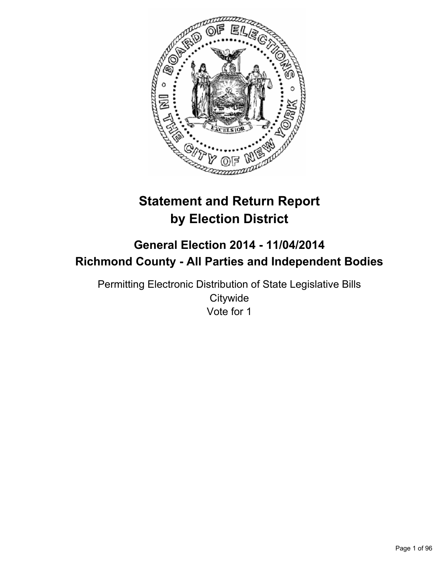

# **Statement and Return Report by Election District**

## **General Election 2014 - 11/04/2014 Richmond County - All Parties and Independent Bodies**

Permitting Electronic Distribution of State Legislative Bills **Citywide** Vote for 1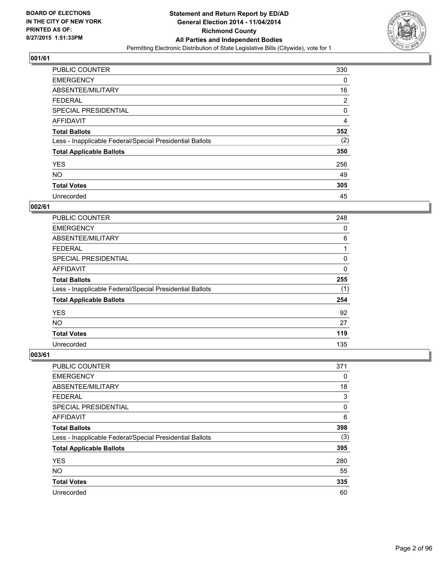

| <b>PUBLIC COUNTER</b>                                    | 330 |
|----------------------------------------------------------|-----|
| <b>EMERGENCY</b>                                         | 0   |
| ABSENTEE/MILITARY                                        | 16  |
| <b>FEDERAL</b>                                           | 2   |
| <b>SPECIAL PRESIDENTIAL</b>                              | 0   |
| AFFIDAVIT                                                | 4   |
| <b>Total Ballots</b>                                     | 352 |
| Less - Inapplicable Federal/Special Presidential Ballots | (2) |
| <b>Total Applicable Ballots</b>                          | 350 |
| <b>YES</b>                                               | 256 |
| <b>NO</b>                                                | 49  |
| <b>Total Votes</b>                                       | 305 |
| Unrecorded                                               | 45  |

#### **002/61**

| <b>PUBLIC COUNTER</b>                                    | 248 |
|----------------------------------------------------------|-----|
| <b>EMERGENCY</b>                                         | 0   |
| ABSENTEE/MILITARY                                        | 6   |
| <b>FEDERAL</b>                                           | 1   |
| SPECIAL PRESIDENTIAL                                     | 0   |
| <b>AFFIDAVIT</b>                                         | 0   |
| <b>Total Ballots</b>                                     | 255 |
| Less - Inapplicable Federal/Special Presidential Ballots | (1) |
| <b>Total Applicable Ballots</b>                          | 254 |
| <b>YES</b>                                               | 92  |
| <b>NO</b>                                                | 27  |
| <b>Total Votes</b>                                       | 119 |
| Unrecorded                                               | 135 |

| PUBLIC COUNTER                                           | 371 |
|----------------------------------------------------------|-----|
| <b>EMERGENCY</b>                                         | 0   |
| ABSENTEE/MILITARY                                        | 18  |
| <b>FEDERAL</b>                                           | 3   |
| <b>SPECIAL PRESIDENTIAL</b>                              | 0   |
| AFFIDAVIT                                                | 6   |
| <b>Total Ballots</b>                                     | 398 |
| Less - Inapplicable Federal/Special Presidential Ballots | (3) |
| <b>Total Applicable Ballots</b>                          | 395 |
| <b>YES</b>                                               | 280 |
| <b>NO</b>                                                | 55  |
| <b>Total Votes</b>                                       | 335 |
| Unrecorded                                               | 60  |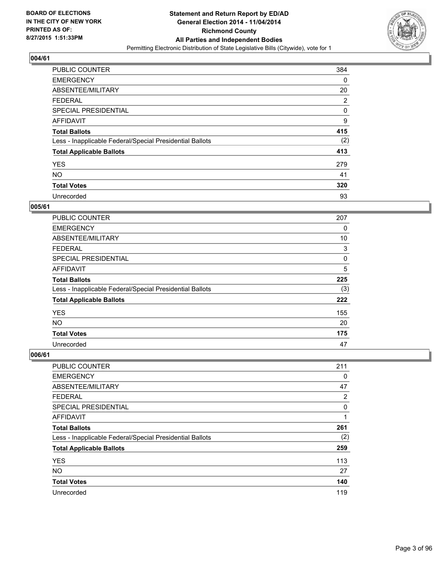

| <b>PUBLIC COUNTER</b>                                    | 384 |
|----------------------------------------------------------|-----|
| <b>EMERGENCY</b>                                         | 0   |
| ABSENTEE/MILITARY                                        | 20  |
| <b>FEDERAL</b>                                           | 2   |
| <b>SPECIAL PRESIDENTIAL</b>                              | 0   |
| AFFIDAVIT                                                | 9   |
| <b>Total Ballots</b>                                     | 415 |
| Less - Inapplicable Federal/Special Presidential Ballots | (2) |
| <b>Total Applicable Ballots</b>                          | 413 |
| <b>YES</b>                                               | 279 |
| <b>NO</b>                                                | 41  |
| <b>Total Votes</b>                                       | 320 |
| Unrecorded                                               | 93  |

#### **005/61**

| PUBLIC COUNTER                                           | 207 |
|----------------------------------------------------------|-----|
| <b>EMERGENCY</b>                                         | 0   |
| ABSENTEE/MILITARY                                        | 10  |
| <b>FEDERAL</b>                                           | 3   |
| SPECIAL PRESIDENTIAL                                     | 0   |
| <b>AFFIDAVIT</b>                                         | 5   |
| <b>Total Ballots</b>                                     | 225 |
| Less - Inapplicable Federal/Special Presidential Ballots | (3) |
| <b>Total Applicable Ballots</b>                          | 222 |
| <b>YES</b>                                               | 155 |
| <b>NO</b>                                                | 20  |
| <b>Total Votes</b>                                       | 175 |
| Unrecorded                                               | 47  |

| PUBLIC COUNTER                                           | 211 |
|----------------------------------------------------------|-----|
| <b>EMERGENCY</b>                                         | 0   |
| ABSENTEE/MILITARY                                        | 47  |
| <b>FEDERAL</b>                                           | 2   |
| <b>SPECIAL PRESIDENTIAL</b>                              | 0   |
| AFFIDAVIT                                                | 1   |
| <b>Total Ballots</b>                                     | 261 |
| Less - Inapplicable Federal/Special Presidential Ballots | (2) |
| <b>Total Applicable Ballots</b>                          | 259 |
| <b>YES</b>                                               | 113 |
| <b>NO</b>                                                | 27  |
| <b>Total Votes</b>                                       | 140 |
| Unrecorded                                               | 119 |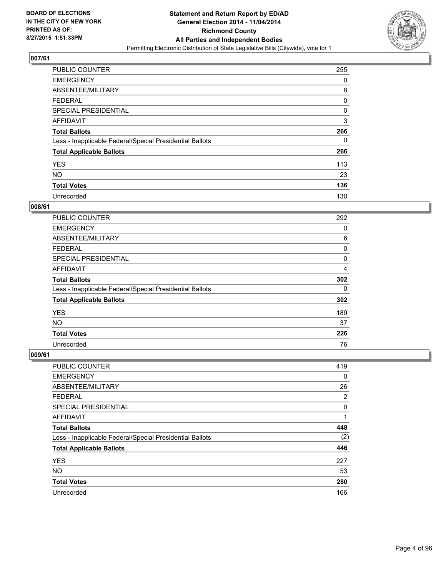

| <b>PUBLIC COUNTER</b>                                    | 255 |
|----------------------------------------------------------|-----|
| <b>EMERGENCY</b>                                         | 0   |
| ABSENTEE/MILITARY                                        | 8   |
| <b>FEDERAL</b>                                           | 0   |
| <b>SPECIAL PRESIDENTIAL</b>                              | 0   |
| <b>AFFIDAVIT</b>                                         | 3   |
| <b>Total Ballots</b>                                     | 266 |
| Less - Inapplicable Federal/Special Presidential Ballots | 0   |
| <b>Total Applicable Ballots</b>                          | 266 |
| <b>YES</b>                                               | 113 |
| <b>NO</b>                                                | 23  |
| <b>Total Votes</b>                                       | 136 |
| Unrecorded                                               | 130 |

#### **008/61**

| <b>PUBLIC COUNTER</b>                                    | 292 |
|----------------------------------------------------------|-----|
| <b>EMERGENCY</b>                                         | 0   |
| ABSENTEE/MILITARY                                        | 6   |
| FEDERAL                                                  | 0   |
| <b>SPECIAL PRESIDENTIAL</b>                              | 0   |
| <b>AFFIDAVIT</b>                                         | 4   |
| <b>Total Ballots</b>                                     | 302 |
| Less - Inapplicable Federal/Special Presidential Ballots | 0   |
| <b>Total Applicable Ballots</b>                          | 302 |
| <b>YES</b>                                               | 189 |
| <b>NO</b>                                                | 37  |
| <b>Total Votes</b>                                       | 226 |
| Unrecorded                                               | 76  |

| <b>PUBLIC COUNTER</b>                                    | 419 |
|----------------------------------------------------------|-----|
| <b>EMERGENCY</b>                                         | 0   |
| ABSENTEE/MILITARY                                        | 26  |
| <b>FEDERAL</b>                                           | 2   |
| SPECIAL PRESIDENTIAL                                     | 0   |
| AFFIDAVIT                                                | 1   |
| <b>Total Ballots</b>                                     | 448 |
| Less - Inapplicable Federal/Special Presidential Ballots | (2) |
| <b>Total Applicable Ballots</b>                          | 446 |
| <b>YES</b>                                               | 227 |
| <b>NO</b>                                                | 53  |
| <b>Total Votes</b>                                       | 280 |
| Unrecorded                                               | 166 |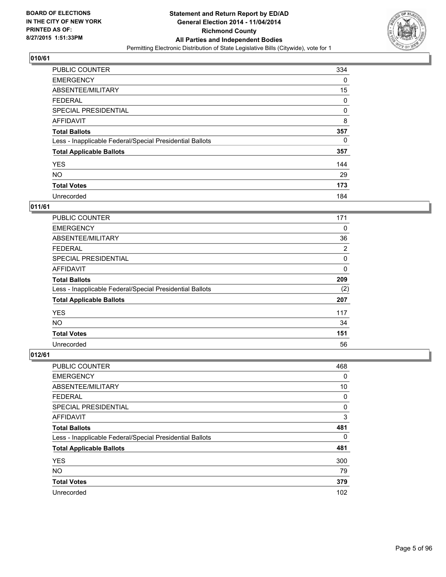

| PUBLIC COUNTER                                           | 334 |
|----------------------------------------------------------|-----|
| <b>EMERGENCY</b>                                         | 0   |
| ABSENTEE/MILITARY                                        | 15  |
| <b>FEDERAL</b>                                           | 0   |
| <b>SPECIAL PRESIDENTIAL</b>                              | 0   |
| AFFIDAVIT                                                | 8   |
| <b>Total Ballots</b>                                     | 357 |
| Less - Inapplicable Federal/Special Presidential Ballots | 0   |
| <b>Total Applicable Ballots</b>                          | 357 |
| <b>YES</b>                                               | 144 |
| <b>NO</b>                                                | 29  |
| <b>Total Votes</b>                                       | 173 |
| Unrecorded                                               | 184 |

## **011/61**

| <b>PUBLIC COUNTER</b>                                    | 171      |
|----------------------------------------------------------|----------|
| <b>EMERGENCY</b>                                         | 0        |
| ABSENTEE/MILITARY                                        | 36       |
| FEDERAL                                                  | 2        |
| <b>SPECIAL PRESIDENTIAL</b>                              | 0        |
| <b>AFFIDAVIT</b>                                         | $\Omega$ |
| <b>Total Ballots</b>                                     | 209      |
| Less - Inapplicable Federal/Special Presidential Ballots | (2)      |
| <b>Total Applicable Ballots</b>                          | 207      |
| <b>YES</b>                                               | 117      |
| <b>NO</b>                                                | 34       |
| <b>Total Votes</b>                                       | 151      |
| Unrecorded                                               | 56       |

| PUBLIC COUNTER                                           | 468 |
|----------------------------------------------------------|-----|
| <b>EMERGENCY</b>                                         | 0   |
| ABSENTEE/MILITARY                                        | 10  |
| <b>FEDERAL</b>                                           | 0   |
| <b>SPECIAL PRESIDENTIAL</b>                              | 0   |
| AFFIDAVIT                                                | 3   |
| <b>Total Ballots</b>                                     | 481 |
| Less - Inapplicable Federal/Special Presidential Ballots | 0   |
| <b>Total Applicable Ballots</b>                          | 481 |
| <b>YES</b>                                               | 300 |
| <b>NO</b>                                                | 79  |
| <b>Total Votes</b>                                       | 379 |
| Unrecorded                                               | 102 |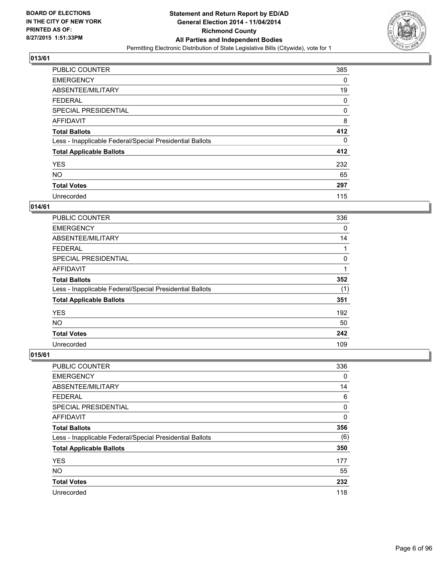

| <b>PUBLIC COUNTER</b>                                    | 385 |
|----------------------------------------------------------|-----|
| <b>EMERGENCY</b>                                         | 0   |
| ABSENTEE/MILITARY                                        | 19  |
| <b>FEDERAL</b>                                           | 0   |
| SPECIAL PRESIDENTIAL                                     | 0   |
| AFFIDAVIT                                                | 8   |
| <b>Total Ballots</b>                                     | 412 |
| Less - Inapplicable Federal/Special Presidential Ballots | 0   |
| <b>Total Applicable Ballots</b>                          | 412 |
| <b>YES</b>                                               | 232 |
| <b>NO</b>                                                | 65  |
| <b>Total Votes</b>                                       | 297 |
| Unrecorded                                               | 115 |

## **014/61**

| PUBLIC COUNTER                                           | 336 |
|----------------------------------------------------------|-----|
| <b>EMERGENCY</b>                                         | 0   |
| ABSENTEE/MILITARY                                        | 14  |
| <b>FEDERAL</b>                                           |     |
| <b>SPECIAL PRESIDENTIAL</b>                              | 0   |
| <b>AFFIDAVIT</b>                                         | 1   |
| <b>Total Ballots</b>                                     | 352 |
| Less - Inapplicable Federal/Special Presidential Ballots | (1) |
| <b>Total Applicable Ballots</b>                          | 351 |
| <b>YES</b>                                               | 192 |
| <b>NO</b>                                                | 50  |
| <b>Total Votes</b>                                       | 242 |
| Unrecorded                                               | 109 |

| <b>PUBLIC COUNTER</b>                                    | 336 |
|----------------------------------------------------------|-----|
| <b>EMERGENCY</b>                                         | 0   |
| ABSENTEE/MILITARY                                        | 14  |
| <b>FEDERAL</b>                                           | 6   |
| <b>SPECIAL PRESIDENTIAL</b>                              | 0   |
| AFFIDAVIT                                                | 0   |
| <b>Total Ballots</b>                                     | 356 |
| Less - Inapplicable Federal/Special Presidential Ballots | (6) |
| <b>Total Applicable Ballots</b>                          | 350 |
| <b>YES</b>                                               | 177 |
| <b>NO</b>                                                | 55  |
| <b>Total Votes</b>                                       | 232 |
| Unrecorded                                               | 118 |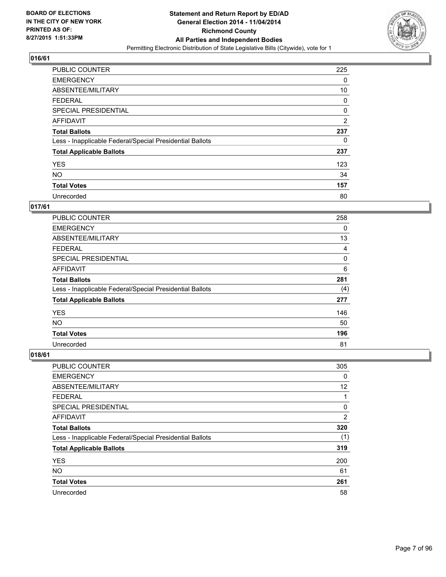

| <b>PUBLIC COUNTER</b>                                    | 225            |
|----------------------------------------------------------|----------------|
| <b>EMERGENCY</b>                                         | 0              |
| ABSENTEE/MILITARY                                        | 10             |
| <b>FEDERAL</b>                                           | 0              |
| SPECIAL PRESIDENTIAL                                     | 0              |
| AFFIDAVIT                                                | $\overline{2}$ |
| <b>Total Ballots</b>                                     | 237            |
| Less - Inapplicable Federal/Special Presidential Ballots | 0              |
| <b>Total Applicable Ballots</b>                          | 237            |
| <b>YES</b>                                               | 123            |
| <b>NO</b>                                                | 34             |
| <b>Total Votes</b>                                       | 157            |
| Unrecorded                                               | 80             |

#### **017/61**

| PUBLIC COUNTER                                           | 258 |
|----------------------------------------------------------|-----|
| <b>EMERGENCY</b>                                         | 0   |
| ABSENTEE/MILITARY                                        | 13  |
| <b>FEDERAL</b>                                           | 4   |
| <b>SPECIAL PRESIDENTIAL</b>                              | 0   |
| <b>AFFIDAVIT</b>                                         | 6   |
| <b>Total Ballots</b>                                     | 281 |
| Less - Inapplicable Federal/Special Presidential Ballots | (4) |
| <b>Total Applicable Ballots</b>                          | 277 |
| <b>YES</b>                                               | 146 |
| <b>NO</b>                                                | 50  |
| <b>Total Votes</b>                                       | 196 |
| Unrecorded                                               | 81  |

| PUBLIC COUNTER                                           | 305            |
|----------------------------------------------------------|----------------|
| <b>EMERGENCY</b>                                         | 0              |
| ABSENTEE/MILITARY                                        | 12             |
| <b>FEDERAL</b>                                           | 1              |
| <b>SPECIAL PRESIDENTIAL</b>                              | 0              |
| AFFIDAVIT                                                | $\overline{2}$ |
| <b>Total Ballots</b>                                     | 320            |
| Less - Inapplicable Federal/Special Presidential Ballots | (1)            |
| <b>Total Applicable Ballots</b>                          | 319            |
| <b>YES</b>                                               | 200            |
| <b>NO</b>                                                | 61             |
| <b>Total Votes</b>                                       | 261            |
| Unrecorded                                               | 58             |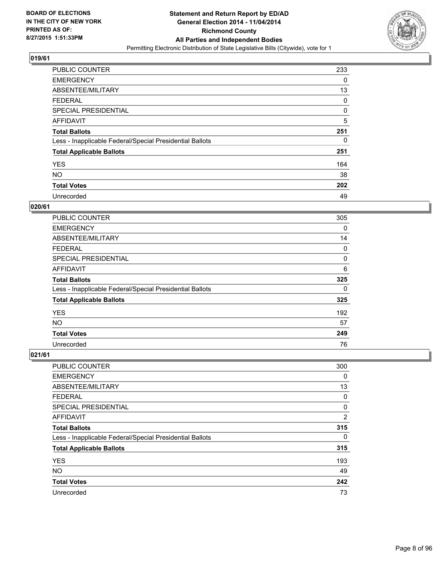

| <b>PUBLIC COUNTER</b>                                    | 233 |
|----------------------------------------------------------|-----|
| <b>EMERGENCY</b>                                         | 0   |
| ABSENTEE/MILITARY                                        | 13  |
| <b>FEDERAL</b>                                           | 0   |
| <b>SPECIAL PRESIDENTIAL</b>                              | 0   |
| <b>AFFIDAVIT</b>                                         | 5   |
| <b>Total Ballots</b>                                     | 251 |
| Less - Inapplicable Federal/Special Presidential Ballots | 0   |
| <b>Total Applicable Ballots</b>                          | 251 |
| <b>YES</b>                                               | 164 |
| <b>NO</b>                                                | 38  |
| <b>Total Votes</b>                                       | 202 |
| Unrecorded                                               | 49  |

#### **020/61**

| <b>PUBLIC COUNTER</b>                                    | 305 |
|----------------------------------------------------------|-----|
| <b>EMERGENCY</b>                                         | 0   |
| ABSENTEE/MILITARY                                        | 14  |
| FEDERAL                                                  | 0   |
| <b>SPECIAL PRESIDENTIAL</b>                              | 0   |
| <b>AFFIDAVIT</b>                                         | 6   |
| <b>Total Ballots</b>                                     | 325 |
| Less - Inapplicable Federal/Special Presidential Ballots | 0   |
| <b>Total Applicable Ballots</b>                          | 325 |
| <b>YES</b>                                               | 192 |
| <b>NO</b>                                                | 57  |
| <b>Total Votes</b>                                       | 249 |
| Unrecorded                                               | 76  |

| <b>PUBLIC COUNTER</b>                                    | 300            |
|----------------------------------------------------------|----------------|
| <b>EMERGENCY</b>                                         | 0              |
| ABSENTEE/MILITARY                                        | 13             |
| <b>FEDERAL</b>                                           | 0              |
| <b>SPECIAL PRESIDENTIAL</b>                              | 0              |
| AFFIDAVIT                                                | $\overline{2}$ |
| <b>Total Ballots</b>                                     | 315            |
| Less - Inapplicable Federal/Special Presidential Ballots | 0              |
| <b>Total Applicable Ballots</b>                          | 315            |
| <b>YES</b>                                               | 193            |
| <b>NO</b>                                                | 49             |
| <b>Total Votes</b>                                       | 242            |
| Unrecorded                                               | 73             |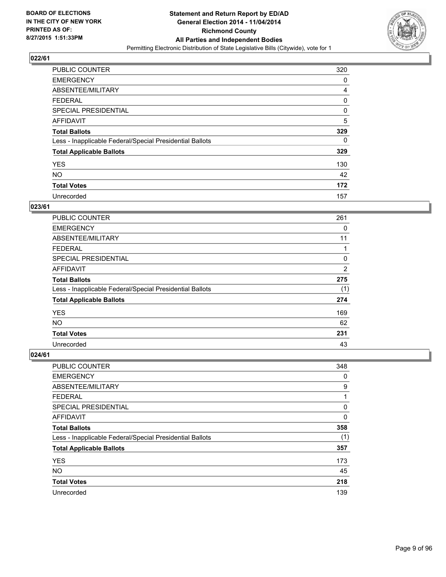

| <b>PUBLIC COUNTER</b>                                    | 320 |
|----------------------------------------------------------|-----|
| <b>EMERGENCY</b>                                         | 0   |
| ABSENTEE/MILITARY                                        | 4   |
| <b>FEDERAL</b>                                           | 0   |
| <b>SPECIAL PRESIDENTIAL</b>                              | 0   |
| AFFIDAVIT                                                | 5   |
| <b>Total Ballots</b>                                     | 329 |
| Less - Inapplicable Federal/Special Presidential Ballots | 0   |
| <b>Total Applicable Ballots</b>                          | 329 |
| <b>YES</b>                                               | 130 |
| <b>NO</b>                                                | 42  |
| <b>Total Votes</b>                                       | 172 |
| Unrecorded                                               | 157 |

## **023/61**

| <b>PUBLIC COUNTER</b>                                    | 261            |
|----------------------------------------------------------|----------------|
| <b>EMERGENCY</b>                                         | 0              |
| ABSENTEE/MILITARY                                        | 11             |
| <b>FEDERAL</b>                                           |                |
| <b>SPECIAL PRESIDENTIAL</b>                              | 0              |
| <b>AFFIDAVIT</b>                                         | $\overline{2}$ |
| <b>Total Ballots</b>                                     | 275            |
| Less - Inapplicable Federal/Special Presidential Ballots | (1)            |
| <b>Total Applicable Ballots</b>                          | 274            |
| <b>YES</b>                                               | 169            |
| <b>NO</b>                                                | 62             |
| <b>Total Votes</b>                                       | 231            |
| Unrecorded                                               | 43             |

| PUBLIC COUNTER                                           | 348 |
|----------------------------------------------------------|-----|
| <b>EMERGENCY</b>                                         | 0   |
| ABSENTEE/MILITARY                                        | 9   |
| <b>FEDERAL</b>                                           | 1   |
| <b>SPECIAL PRESIDENTIAL</b>                              | 0   |
| AFFIDAVIT                                                | 0   |
| <b>Total Ballots</b>                                     | 358 |
| Less - Inapplicable Federal/Special Presidential Ballots | (1) |
| <b>Total Applicable Ballots</b>                          | 357 |
| <b>YES</b>                                               | 173 |
| <b>NO</b>                                                | 45  |
| <b>Total Votes</b>                                       | 218 |
| Unrecorded                                               | 139 |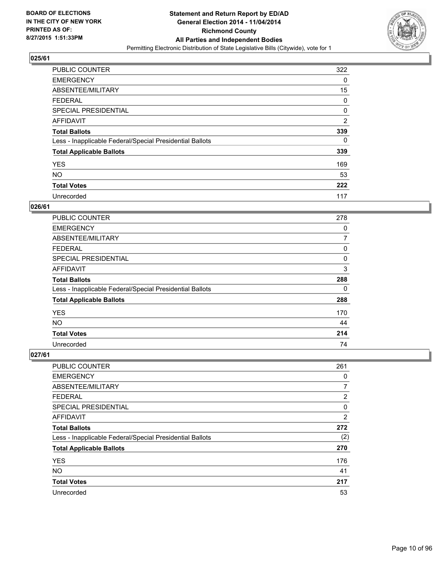

| <b>PUBLIC COUNTER</b>                                    | 322            |
|----------------------------------------------------------|----------------|
| <b>EMERGENCY</b>                                         | 0              |
| ABSENTEE/MILITARY                                        | 15             |
| <b>FEDERAL</b>                                           | 0              |
| SPECIAL PRESIDENTIAL                                     | 0              |
| AFFIDAVIT                                                | $\overline{2}$ |
| <b>Total Ballots</b>                                     | 339            |
| Less - Inapplicable Federal/Special Presidential Ballots | 0              |
| <b>Total Applicable Ballots</b>                          | 339            |
| <b>YES</b>                                               | 169            |
| <b>NO</b>                                                | 53             |
| <b>Total Votes</b>                                       | 222            |
| Unrecorded                                               | 117            |

## **026/61**

| PUBLIC COUNTER                                           | 278 |
|----------------------------------------------------------|-----|
| <b>EMERGENCY</b>                                         | 0   |
| ABSENTEE/MILITARY                                        | 7   |
| FEDERAL                                                  | 0   |
| <b>SPECIAL PRESIDENTIAL</b>                              | 0   |
| <b>AFFIDAVIT</b>                                         | 3   |
| <b>Total Ballots</b>                                     | 288 |
| Less - Inapplicable Federal/Special Presidential Ballots | 0   |
| <b>Total Applicable Ballots</b>                          | 288 |
| <b>YES</b>                                               | 170 |
| <b>NO</b>                                                | 44  |
| <b>Total Votes</b>                                       | 214 |
| Unrecorded                                               | 74  |

| PUBLIC COUNTER                                           | 261            |
|----------------------------------------------------------|----------------|
| <b>EMERGENCY</b>                                         | 0              |
| ABSENTEE/MILITARY                                        | 7              |
| <b>FEDERAL</b>                                           | 2              |
| <b>SPECIAL PRESIDENTIAL</b>                              | 0              |
| AFFIDAVIT                                                | $\overline{2}$ |
| <b>Total Ballots</b>                                     | 272            |
| Less - Inapplicable Federal/Special Presidential Ballots | (2)            |
| <b>Total Applicable Ballots</b>                          | 270            |
| <b>YES</b>                                               | 176            |
| <b>NO</b>                                                | 41             |
| <b>Total Votes</b>                                       | 217            |
| Unrecorded                                               | 53             |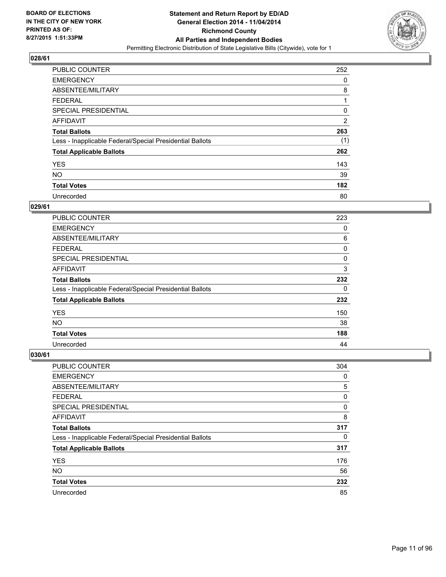

| <b>PUBLIC COUNTER</b>                                    | 252 |
|----------------------------------------------------------|-----|
| <b>EMERGENCY</b>                                         | 0   |
| ABSENTEE/MILITARY                                        | 8   |
| <b>FEDERAL</b>                                           |     |
| <b>SPECIAL PRESIDENTIAL</b>                              | 0   |
| <b>AFFIDAVIT</b>                                         | 2   |
| <b>Total Ballots</b>                                     | 263 |
| Less - Inapplicable Federal/Special Presidential Ballots | (1) |
| <b>Total Applicable Ballots</b>                          | 262 |
| <b>YES</b>                                               | 143 |
| <b>NO</b>                                                | 39  |
| <b>Total Votes</b>                                       | 182 |
| Unrecorded                                               | 80  |

## **029/61**

| <b>PUBLIC COUNTER</b>                                    | 223 |
|----------------------------------------------------------|-----|
| <b>EMERGENCY</b>                                         | 0   |
| ABSENTEE/MILITARY                                        | 6   |
| <b>FEDERAL</b>                                           | 0   |
| <b>SPECIAL PRESIDENTIAL</b>                              | 0   |
| <b>AFFIDAVIT</b>                                         | 3   |
| <b>Total Ballots</b>                                     | 232 |
| Less - Inapplicable Federal/Special Presidential Ballots | 0   |
| <b>Total Applicable Ballots</b>                          | 232 |
| <b>YES</b>                                               | 150 |
| <b>NO</b>                                                | 38  |
| <b>Total Votes</b>                                       | 188 |
| Unrecorded                                               | 44  |

| PUBLIC COUNTER                                           | 304 |
|----------------------------------------------------------|-----|
| <b>EMERGENCY</b>                                         | 0   |
| ABSENTEE/MILITARY                                        | 5   |
| <b>FEDERAL</b>                                           | 0   |
| <b>SPECIAL PRESIDENTIAL</b>                              | 0   |
| AFFIDAVIT                                                | 8   |
| <b>Total Ballots</b>                                     | 317 |
| Less - Inapplicable Federal/Special Presidential Ballots | 0   |
| <b>Total Applicable Ballots</b>                          | 317 |
| <b>YES</b>                                               | 176 |
| <b>NO</b>                                                | 56  |
| <b>Total Votes</b>                                       | 232 |
| Unrecorded                                               | 85  |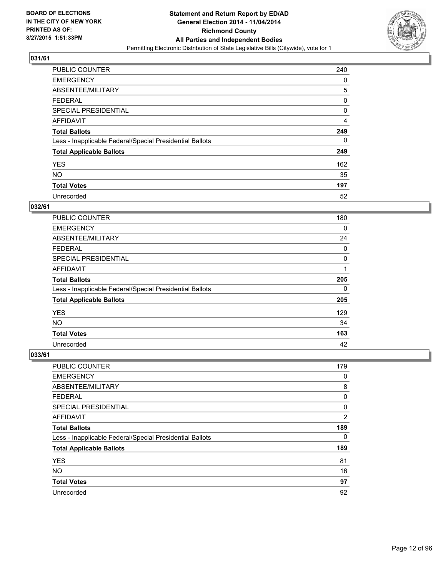

| <b>PUBLIC COUNTER</b>                                    | 240 |
|----------------------------------------------------------|-----|
| <b>EMERGENCY</b>                                         | 0   |
| ABSENTEE/MILITARY                                        | 5   |
| <b>FEDERAL</b>                                           | 0   |
| SPECIAL PRESIDENTIAL                                     | 0   |
| AFFIDAVIT                                                | 4   |
| <b>Total Ballots</b>                                     | 249 |
| Less - Inapplicable Federal/Special Presidential Ballots | 0   |
| <b>Total Applicable Ballots</b>                          | 249 |
| <b>YES</b>                                               | 162 |
| <b>NO</b>                                                | 35  |
| <b>Total Votes</b>                                       | 197 |
| Unrecorded                                               | 52  |

## **032/61**

| <b>PUBLIC COUNTER</b>                                    | 180 |
|----------------------------------------------------------|-----|
| <b>EMERGENCY</b>                                         | 0   |
| ABSENTEE/MILITARY                                        | 24  |
| FEDERAL                                                  | 0   |
| <b>SPECIAL PRESIDENTIAL</b>                              | 0   |
| <b>AFFIDAVIT</b>                                         |     |
| <b>Total Ballots</b>                                     | 205 |
| Less - Inapplicable Federal/Special Presidential Ballots | 0   |
| <b>Total Applicable Ballots</b>                          | 205 |
| <b>YES</b>                                               | 129 |
| <b>NO</b>                                                | 34  |
| <b>Total Votes</b>                                       | 163 |
| Unrecorded                                               | 42  |

| <b>PUBLIC COUNTER</b>                                    | 179 |
|----------------------------------------------------------|-----|
| <b>EMERGENCY</b>                                         | 0   |
| ABSENTEE/MILITARY                                        | 8   |
| <b>FEDERAL</b>                                           | 0   |
| SPECIAL PRESIDENTIAL                                     | 0   |
| AFFIDAVIT                                                | 2   |
| <b>Total Ballots</b>                                     | 189 |
| Less - Inapplicable Federal/Special Presidential Ballots | 0   |
| <b>Total Applicable Ballots</b>                          | 189 |
| <b>YES</b>                                               | 81  |
| <b>NO</b>                                                | 16  |
| <b>Total Votes</b>                                       | 97  |
| Unrecorded                                               | 92  |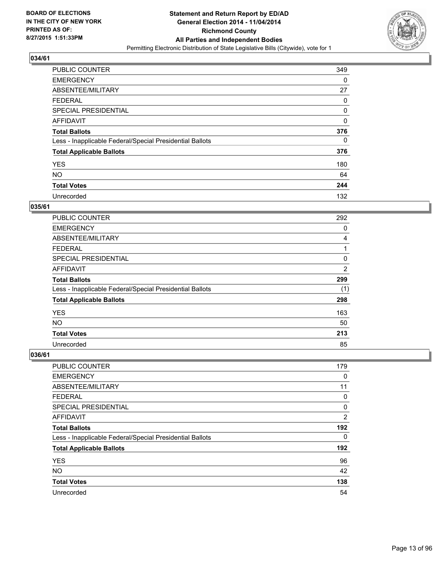

| <b>PUBLIC COUNTER</b>                                    | 349 |
|----------------------------------------------------------|-----|
| <b>EMERGENCY</b>                                         | 0   |
| ABSENTEE/MILITARY                                        | 27  |
| <b>FEDERAL</b>                                           | 0   |
| <b>SPECIAL PRESIDENTIAL</b>                              | 0   |
| AFFIDAVIT                                                | 0   |
| <b>Total Ballots</b>                                     | 376 |
| Less - Inapplicable Federal/Special Presidential Ballots | 0   |
| <b>Total Applicable Ballots</b>                          | 376 |
| <b>YES</b>                                               | 180 |
| <b>NO</b>                                                | 64  |
| <b>Total Votes</b>                                       | 244 |
| Unrecorded                                               | 132 |

## **035/61**

| <b>PUBLIC COUNTER</b>                                    | 292            |
|----------------------------------------------------------|----------------|
| <b>EMERGENCY</b>                                         | 0              |
| ABSENTEE/MILITARY                                        | 4              |
| <b>FEDERAL</b>                                           | 1              |
| <b>SPECIAL PRESIDENTIAL</b>                              | 0              |
| <b>AFFIDAVIT</b>                                         | $\overline{2}$ |
| <b>Total Ballots</b>                                     | 299            |
| Less - Inapplicable Federal/Special Presidential Ballots | (1)            |
| <b>Total Applicable Ballots</b>                          | 298            |
| <b>YES</b>                                               | 163            |
| <b>NO</b>                                                | 50             |
| <b>Total Votes</b>                                       | 213            |
| Unrecorded                                               | 85             |

| PUBLIC COUNTER                                           | 179            |
|----------------------------------------------------------|----------------|
| <b>EMERGENCY</b>                                         | 0              |
| ABSENTEE/MILITARY                                        | 11             |
| <b>FEDERAL</b>                                           | 0              |
| SPECIAL PRESIDENTIAL                                     | 0              |
| AFFIDAVIT                                                | $\overline{2}$ |
| <b>Total Ballots</b>                                     | 192            |
| Less - Inapplicable Federal/Special Presidential Ballots | 0              |
| <b>Total Applicable Ballots</b>                          | 192            |
| <b>YES</b>                                               | 96             |
| <b>NO</b>                                                | 42             |
| <b>Total Votes</b>                                       | 138            |
| Unrecorded                                               | 54             |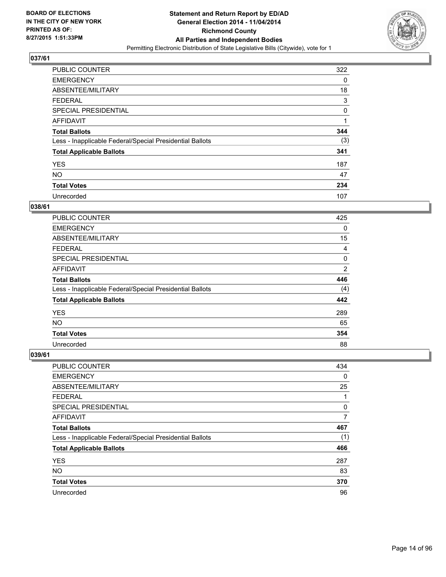

| <b>PUBLIC COUNTER</b>                                    | 322 |
|----------------------------------------------------------|-----|
| <b>EMERGENCY</b>                                         | 0   |
| ABSENTEE/MILITARY                                        | 18  |
| <b>FEDERAL</b>                                           | 3   |
| <b>SPECIAL PRESIDENTIAL</b>                              | 0   |
| <b>AFFIDAVIT</b>                                         | 1   |
| <b>Total Ballots</b>                                     | 344 |
| Less - Inapplicable Federal/Special Presidential Ballots | (3) |
| <b>Total Applicable Ballots</b>                          | 341 |
| <b>YES</b>                                               | 187 |
| <b>NO</b>                                                | 47  |
| <b>Total Votes</b>                                       | 234 |
| Unrecorded                                               | 107 |

#### **038/61**

| <b>PUBLIC COUNTER</b>                                    | 425 |
|----------------------------------------------------------|-----|
| <b>EMERGENCY</b>                                         | 0   |
| ABSENTEE/MILITARY                                        | 15  |
| <b>FEDERAL</b>                                           | 4   |
| SPECIAL PRESIDENTIAL                                     | 0   |
| <b>AFFIDAVIT</b>                                         | 2   |
| <b>Total Ballots</b>                                     | 446 |
| Less - Inapplicable Federal/Special Presidential Ballots | (4) |
| <b>Total Applicable Ballots</b>                          | 442 |
| <b>YES</b>                                               | 289 |
| <b>NO</b>                                                | 65  |
| <b>Total Votes</b>                                       | 354 |
| Unrecorded                                               | 88  |

| PUBLIC COUNTER                                           | 434      |
|----------------------------------------------------------|----------|
| <b>EMERGENCY</b>                                         | $\Omega$ |
| ABSENTEE/MILITARY                                        | 25       |
| <b>FEDERAL</b>                                           | 1        |
| <b>SPECIAL PRESIDENTIAL</b>                              | 0        |
| AFFIDAVIT                                                | 7        |
| <b>Total Ballots</b>                                     | 467      |
| Less - Inapplicable Federal/Special Presidential Ballots | (1)      |
| <b>Total Applicable Ballots</b>                          | 466      |
| <b>YES</b>                                               | 287      |
| <b>NO</b>                                                | 83       |
| <b>Total Votes</b>                                       | 370      |
| Unrecorded                                               | 96       |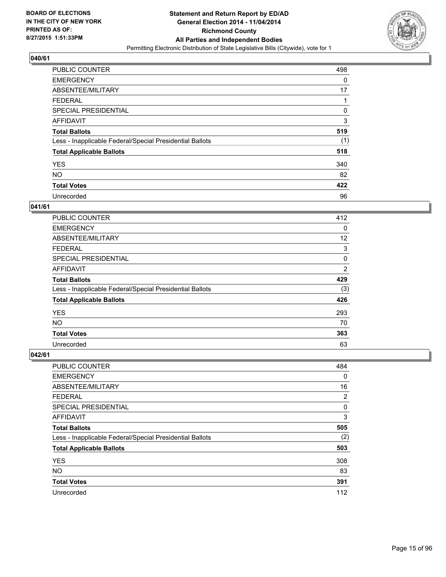

| <b>PUBLIC COUNTER</b>                                    | 498 |
|----------------------------------------------------------|-----|
| <b>EMERGENCY</b>                                         | 0   |
| ABSENTEE/MILITARY                                        | 17  |
| <b>FEDERAL</b>                                           |     |
| <b>SPECIAL PRESIDENTIAL</b>                              | 0   |
| <b>AFFIDAVIT</b>                                         | 3   |
| <b>Total Ballots</b>                                     | 519 |
| Less - Inapplicable Federal/Special Presidential Ballots | (1) |
| <b>Total Applicable Ballots</b>                          | 518 |
| <b>YES</b>                                               | 340 |
| <b>NO</b>                                                | 82  |
| <b>Total Votes</b>                                       | 422 |
| Unrecorded                                               | 96  |

#### **041/61**

| <b>PUBLIC COUNTER</b>                                    | 412 |
|----------------------------------------------------------|-----|
| <b>EMERGENCY</b>                                         | 0   |
| ABSENTEE/MILITARY                                        | 12  |
| <b>FEDERAL</b>                                           | 3   |
| SPECIAL PRESIDENTIAL                                     | 0   |
| <b>AFFIDAVIT</b>                                         | 2   |
| <b>Total Ballots</b>                                     | 429 |
| Less - Inapplicable Federal/Special Presidential Ballots | (3) |
| <b>Total Applicable Ballots</b>                          | 426 |
| <b>YES</b>                                               | 293 |
| <b>NO</b>                                                | 70  |
| <b>Total Votes</b>                                       | 363 |
| Unrecorded                                               | 63  |

| PUBLIC COUNTER                                           | 484         |
|----------------------------------------------------------|-------------|
| <b>EMERGENCY</b>                                         | $\mathbf 0$ |
| ABSENTEE/MILITARY                                        | 16          |
| <b>FEDERAL</b>                                           | 2           |
| SPECIAL PRESIDENTIAL                                     | 0           |
| AFFIDAVIT                                                | 3           |
| <b>Total Ballots</b>                                     | 505         |
| Less - Inapplicable Federal/Special Presidential Ballots | (2)         |
| <b>Total Applicable Ballots</b>                          | 503         |
| <b>YES</b>                                               | 308         |
| <b>NO</b>                                                | 83          |
| <b>Total Votes</b>                                       | 391         |
| Unrecorded                                               | 112         |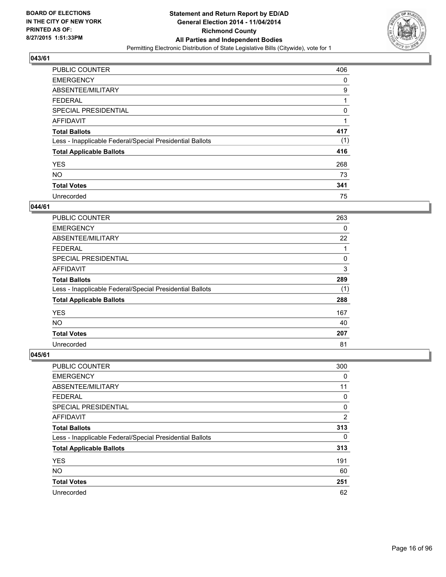

| <b>PUBLIC COUNTER</b>                                    | 406 |
|----------------------------------------------------------|-----|
| <b>EMERGENCY</b>                                         | 0   |
| ABSENTEE/MILITARY                                        | 9   |
| <b>FEDERAL</b>                                           |     |
| <b>SPECIAL PRESIDENTIAL</b>                              | 0   |
| AFFIDAVIT                                                |     |
| <b>Total Ballots</b>                                     | 417 |
| Less - Inapplicable Federal/Special Presidential Ballots | (1) |
| <b>Total Applicable Ballots</b>                          | 416 |
| <b>YES</b>                                               | 268 |
| <b>NO</b>                                                | 73  |
| <b>Total Votes</b>                                       | 341 |
| Unrecorded                                               | 75  |

## **044/61**

| PUBLIC COUNTER                                           | 263 |
|----------------------------------------------------------|-----|
| <b>EMERGENCY</b>                                         | 0   |
| ABSENTEE/MILITARY                                        | 22  |
| FEDERAL                                                  | 1   |
| SPECIAL PRESIDENTIAL                                     | 0   |
| <b>AFFIDAVIT</b>                                         | 3   |
| <b>Total Ballots</b>                                     | 289 |
| Less - Inapplicable Federal/Special Presidential Ballots | (1) |
| <b>Total Applicable Ballots</b>                          | 288 |
| <b>YES</b>                                               | 167 |
| <b>NO</b>                                                | 40  |
| <b>Total Votes</b>                                       | 207 |
| Unrecorded                                               | 81  |

| PUBLIC COUNTER                                           | 300            |
|----------------------------------------------------------|----------------|
| <b>EMERGENCY</b>                                         | 0              |
| ABSENTEE/MILITARY                                        | 11             |
| <b>FEDERAL</b>                                           | 0              |
| <b>SPECIAL PRESIDENTIAL</b>                              | 0              |
| AFFIDAVIT                                                | $\overline{2}$ |
| <b>Total Ballots</b>                                     | 313            |
| Less - Inapplicable Federal/Special Presidential Ballots | 0              |
| <b>Total Applicable Ballots</b>                          | 313            |
| <b>YES</b>                                               | 191            |
| <b>NO</b>                                                | 60             |
| <b>Total Votes</b>                                       | 251            |
| Unrecorded                                               | 62             |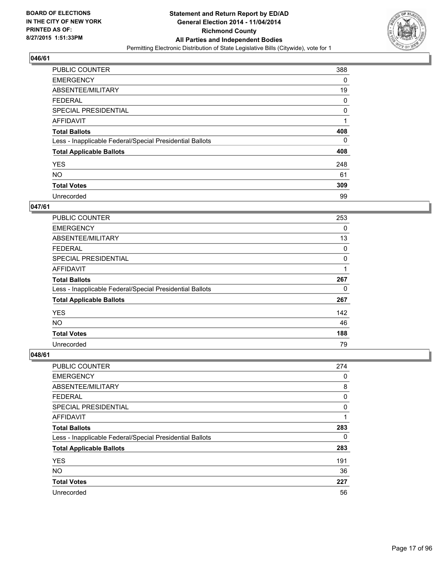

| <b>PUBLIC COUNTER</b>                                    | 388 |
|----------------------------------------------------------|-----|
| <b>EMERGENCY</b>                                         | 0   |
| ABSENTEE/MILITARY                                        | 19  |
| <b>FEDERAL</b>                                           | 0   |
| <b>SPECIAL PRESIDENTIAL</b>                              | 0   |
| AFFIDAVIT                                                | 1   |
| <b>Total Ballots</b>                                     | 408 |
| Less - Inapplicable Federal/Special Presidential Ballots | 0   |
| <b>Total Applicable Ballots</b>                          | 408 |
| <b>YES</b>                                               | 248 |
| <b>NO</b>                                                | 61  |
| <b>Total Votes</b>                                       | 309 |
| Unrecorded                                               | 99  |

#### **047/61**

| <b>PUBLIC COUNTER</b>                                    | 253 |
|----------------------------------------------------------|-----|
| <b>EMERGENCY</b>                                         | 0   |
| ABSENTEE/MILITARY                                        | 13  |
| <b>FEDERAL</b>                                           | 0   |
| <b>SPECIAL PRESIDENTIAL</b>                              | 0   |
| <b>AFFIDAVIT</b>                                         | 1   |
| <b>Total Ballots</b>                                     | 267 |
| Less - Inapplicable Federal/Special Presidential Ballots | 0   |
| <b>Total Applicable Ballots</b>                          | 267 |
| <b>YES</b>                                               | 142 |
| <b>NO</b>                                                | 46  |
| <b>Total Votes</b>                                       | 188 |
| Unrecorded                                               | 79  |

| <b>PUBLIC COUNTER</b>                                    | 274 |
|----------------------------------------------------------|-----|
| <b>EMERGENCY</b>                                         | 0   |
| ABSENTEE/MILITARY                                        | 8   |
| <b>FEDERAL</b>                                           | 0   |
| SPECIAL PRESIDENTIAL                                     | 0   |
| AFFIDAVIT                                                | 1   |
| <b>Total Ballots</b>                                     | 283 |
| Less - Inapplicable Federal/Special Presidential Ballots | 0   |
| <b>Total Applicable Ballots</b>                          | 283 |
| <b>YES</b>                                               | 191 |
| <b>NO</b>                                                | 36  |
| <b>Total Votes</b>                                       | 227 |
| Unrecorded                                               | 56  |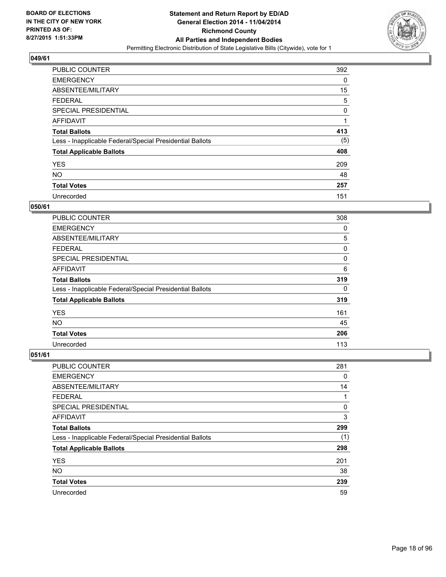

| <b>PUBLIC COUNTER</b>                                    | 392 |
|----------------------------------------------------------|-----|
| <b>EMERGENCY</b>                                         | 0   |
| ABSENTEE/MILITARY                                        | 15  |
| <b>FEDERAL</b>                                           | 5   |
| <b>SPECIAL PRESIDENTIAL</b>                              | 0   |
| <b>AFFIDAVIT</b>                                         | 1   |
| <b>Total Ballots</b>                                     | 413 |
| Less - Inapplicable Federal/Special Presidential Ballots | (5) |
| <b>Total Applicable Ballots</b>                          | 408 |
| <b>YES</b>                                               | 209 |
| <b>NO</b>                                                | 48  |
| <b>Total Votes</b>                                       | 257 |
| Unrecorded                                               | 151 |

#### **050/61**

| PUBLIC COUNTER                                           | 308 |
|----------------------------------------------------------|-----|
| <b>EMERGENCY</b>                                         | 0   |
| ABSENTEE/MILITARY                                        | 5   |
| <b>FEDERAL</b>                                           | 0   |
| <b>SPECIAL PRESIDENTIAL</b>                              | 0   |
| <b>AFFIDAVIT</b>                                         | 6   |
| <b>Total Ballots</b>                                     | 319 |
| Less - Inapplicable Federal/Special Presidential Ballots | 0   |
| <b>Total Applicable Ballots</b>                          | 319 |
| <b>YES</b>                                               | 161 |
| <b>NO</b>                                                | 45  |
| <b>Total Votes</b>                                       | 206 |
| Unrecorded                                               | 113 |

| PUBLIC COUNTER                                           | 281 |
|----------------------------------------------------------|-----|
| <b>EMERGENCY</b>                                         | 0   |
| ABSENTEE/MILITARY                                        | 14  |
| <b>FEDERAL</b>                                           | 1   |
| SPECIAL PRESIDENTIAL                                     | 0   |
| AFFIDAVIT                                                | 3   |
| <b>Total Ballots</b>                                     | 299 |
| Less - Inapplicable Federal/Special Presidential Ballots | (1) |
| <b>Total Applicable Ballots</b>                          | 298 |
| <b>YES</b>                                               | 201 |
| <b>NO</b>                                                | 38  |
| <b>Total Votes</b>                                       | 239 |
| Unrecorded                                               | 59  |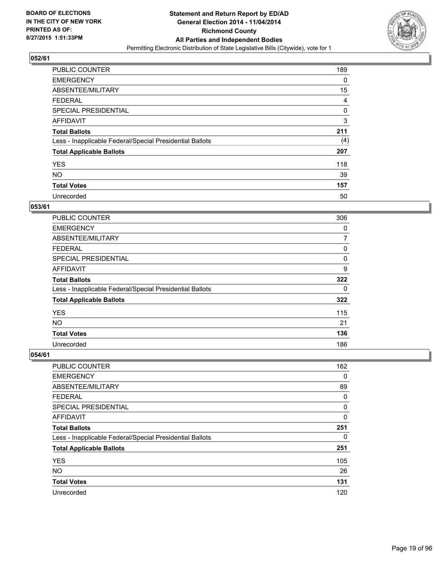

| <b>PUBLIC COUNTER</b>                                    | 189 |
|----------------------------------------------------------|-----|
| <b>EMERGENCY</b>                                         | 0   |
| ABSENTEE/MILITARY                                        | 15  |
| <b>FEDERAL</b>                                           | 4   |
| <b>SPECIAL PRESIDENTIAL</b>                              | 0   |
| <b>AFFIDAVIT</b>                                         | 3   |
| <b>Total Ballots</b>                                     | 211 |
| Less - Inapplicable Federal/Special Presidential Ballots | (4) |
| <b>Total Applicable Ballots</b>                          | 207 |
| <b>YES</b>                                               | 118 |
| <b>NO</b>                                                | 39  |
| <b>Total Votes</b>                                       | 157 |
| Unrecorded                                               | 50  |

#### **053/61**

| <b>PUBLIC COUNTER</b>                                    | 306 |
|----------------------------------------------------------|-----|
| <b>EMERGENCY</b>                                         | 0   |
| ABSENTEE/MILITARY                                        | 7   |
| <b>FEDERAL</b>                                           | 0   |
| <b>SPECIAL PRESIDENTIAL</b>                              | 0   |
| <b>AFFIDAVIT</b>                                         | 9   |
| <b>Total Ballots</b>                                     | 322 |
| Less - Inapplicable Federal/Special Presidential Ballots | 0   |
| <b>Total Applicable Ballots</b>                          | 322 |
| <b>YES</b>                                               | 115 |
| <b>NO</b>                                                | 21  |
| <b>Total Votes</b>                                       | 136 |
| Unrecorded                                               | 186 |

| <b>PUBLIC COUNTER</b>                                    | 162 |
|----------------------------------------------------------|-----|
| <b>EMERGENCY</b>                                         | 0   |
| ABSENTEE/MILITARY                                        | 89  |
| <b>FEDERAL</b>                                           | 0   |
| SPECIAL PRESIDENTIAL                                     | 0   |
| AFFIDAVIT                                                | 0   |
| <b>Total Ballots</b>                                     | 251 |
| Less - Inapplicable Federal/Special Presidential Ballots | 0   |
| <b>Total Applicable Ballots</b>                          | 251 |
| <b>YES</b>                                               | 105 |
| <b>NO</b>                                                | 26  |
| <b>Total Votes</b>                                       | 131 |
| Unrecorded                                               | 120 |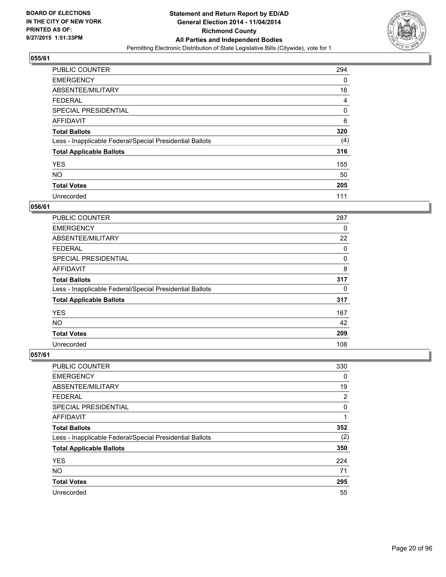

| <b>PUBLIC COUNTER</b>                                    | 294 |
|----------------------------------------------------------|-----|
| <b>EMERGENCY</b>                                         | 0   |
| ABSENTEE/MILITARY                                        | 16  |
| <b>FEDERAL</b>                                           | 4   |
| <b>SPECIAL PRESIDENTIAL</b>                              | 0   |
| AFFIDAVIT                                                | 6   |
| <b>Total Ballots</b>                                     | 320 |
| Less - Inapplicable Federal/Special Presidential Ballots | (4) |
| <b>Total Applicable Ballots</b>                          | 316 |
| <b>YES</b>                                               | 155 |
| <b>NO</b>                                                | 50  |
| <b>Total Votes</b>                                       | 205 |
| Unrecorded                                               | 111 |

#### **056/61**

| <b>PUBLIC COUNTER</b>                                    | 287 |
|----------------------------------------------------------|-----|
| <b>EMERGENCY</b>                                         | 0   |
| ABSENTEE/MILITARY                                        | 22  |
| <b>FEDERAL</b>                                           | 0   |
| SPECIAL PRESIDENTIAL                                     | 0   |
| <b>AFFIDAVIT</b>                                         | 8   |
| <b>Total Ballots</b>                                     | 317 |
| Less - Inapplicable Federal/Special Presidential Ballots | 0   |
| <b>Total Applicable Ballots</b>                          | 317 |
| <b>YES</b>                                               | 167 |
| <b>NO</b>                                                | 42  |
| <b>Total Votes</b>                                       | 209 |
| Unrecorded                                               | 108 |

| PUBLIC COUNTER                                           | 330 |
|----------------------------------------------------------|-----|
| <b>EMERGENCY</b>                                         | 0   |
| ABSENTEE/MILITARY                                        | 19  |
| <b>FEDERAL</b>                                           | 2   |
| <b>SPECIAL PRESIDENTIAL</b>                              | 0   |
| AFFIDAVIT                                                | 1   |
| <b>Total Ballots</b>                                     | 352 |
| Less - Inapplicable Federal/Special Presidential Ballots | (2) |
| <b>Total Applicable Ballots</b>                          | 350 |
| <b>YES</b>                                               | 224 |
| <b>NO</b>                                                | 71  |
| <b>Total Votes</b>                                       | 295 |
| Unrecorded                                               | 55  |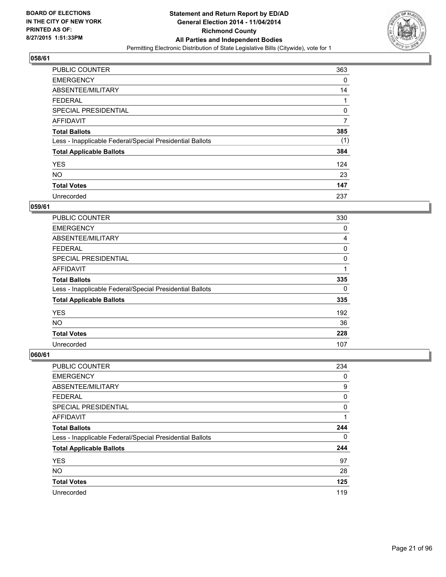

| <b>PUBLIC COUNTER</b>                                    | 363 |
|----------------------------------------------------------|-----|
| <b>EMERGENCY</b>                                         | 0   |
| ABSENTEE/MILITARY                                        | 14  |
| <b>FEDERAL</b>                                           |     |
| <b>SPECIAL PRESIDENTIAL</b>                              | 0   |
| AFFIDAVIT                                                | 7   |
| <b>Total Ballots</b>                                     | 385 |
| Less - Inapplicable Federal/Special Presidential Ballots | (1) |
| <b>Total Applicable Ballots</b>                          | 384 |
| <b>YES</b>                                               | 124 |
| <b>NO</b>                                                | 23  |
| <b>Total Votes</b>                                       | 147 |
| Unrecorded                                               | 237 |

#### **059/61**

| <b>PUBLIC COUNTER</b>                                    | 330 |
|----------------------------------------------------------|-----|
| <b>EMERGENCY</b>                                         | 0   |
| ABSENTEE/MILITARY                                        | 4   |
| <b>FEDERAL</b>                                           | 0   |
| <b>SPECIAL PRESIDENTIAL</b>                              | 0   |
| <b>AFFIDAVIT</b>                                         |     |
| <b>Total Ballots</b>                                     | 335 |
| Less - Inapplicable Federal/Special Presidential Ballots | 0   |
| <b>Total Applicable Ballots</b>                          | 335 |
| <b>YES</b>                                               | 192 |
| <b>NO</b>                                                | 36  |
| <b>Total Votes</b>                                       | 228 |
| Unrecorded                                               | 107 |

| PUBLIC COUNTER                                           | 234 |
|----------------------------------------------------------|-----|
| <b>EMERGENCY</b>                                         | 0   |
| ABSENTEE/MILITARY                                        | 9   |
| <b>FEDERAL</b>                                           | 0   |
| <b>SPECIAL PRESIDENTIAL</b>                              | 0   |
| AFFIDAVIT                                                | 1   |
| <b>Total Ballots</b>                                     | 244 |
| Less - Inapplicable Federal/Special Presidential Ballots | 0   |
| <b>Total Applicable Ballots</b>                          | 244 |
| <b>YES</b>                                               | 97  |
| <b>NO</b>                                                | 28  |
| <b>Total Votes</b>                                       | 125 |
| Unrecorded                                               | 119 |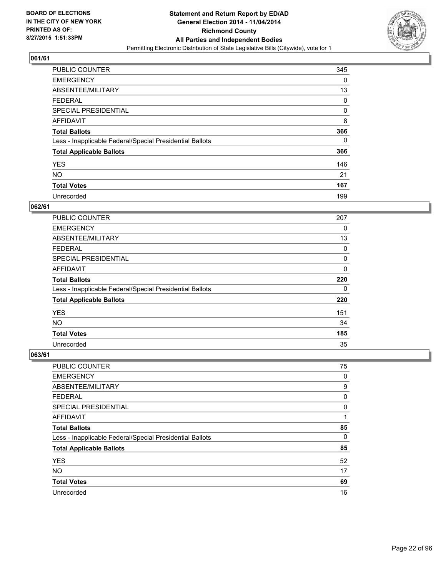

| <b>PUBLIC COUNTER</b>                                    | 345 |
|----------------------------------------------------------|-----|
| <b>EMERGENCY</b>                                         | 0   |
| ABSENTEE/MILITARY                                        | 13  |
| <b>FEDERAL</b>                                           | 0   |
| SPECIAL PRESIDENTIAL                                     | 0   |
| AFFIDAVIT                                                | 8   |
| <b>Total Ballots</b>                                     | 366 |
| Less - Inapplicable Federal/Special Presidential Ballots | 0   |
| <b>Total Applicable Ballots</b>                          | 366 |
| <b>YES</b>                                               | 146 |
| <b>NO</b>                                                | 21  |
| <b>Total Votes</b>                                       | 167 |
| Unrecorded                                               | 199 |

#### **062/61**

| PUBLIC COUNTER                                           | 207         |
|----------------------------------------------------------|-------------|
| <b>EMERGENCY</b>                                         | 0           |
| ABSENTEE/MILITARY                                        | 13          |
| FEDERAL                                                  | 0           |
| <b>SPECIAL PRESIDENTIAL</b>                              | 0           |
| <b>AFFIDAVIT</b>                                         | $\mathbf 0$ |
| <b>Total Ballots</b>                                     | 220         |
| Less - Inapplicable Federal/Special Presidential Ballots | 0           |
| <b>Total Applicable Ballots</b>                          | 220         |
| <b>YES</b>                                               | 151         |
| <b>NO</b>                                                | 34          |
| <b>Total Votes</b>                                       | 185         |
| Unrecorded                                               | 35          |

| PUBLIC COUNTER                                           | 75 |
|----------------------------------------------------------|----|
| <b>EMERGENCY</b>                                         | 0  |
| ABSENTEE/MILITARY                                        | 9  |
| <b>FEDERAL</b>                                           | 0  |
| <b>SPECIAL PRESIDENTIAL</b>                              | 0  |
| AFFIDAVIT                                                | 1  |
| <b>Total Ballots</b>                                     | 85 |
| Less - Inapplicable Federal/Special Presidential Ballots | 0  |
| <b>Total Applicable Ballots</b>                          | 85 |
| <b>YES</b>                                               | 52 |
| <b>NO</b>                                                | 17 |
| <b>Total Votes</b>                                       | 69 |
| Unrecorded                                               | 16 |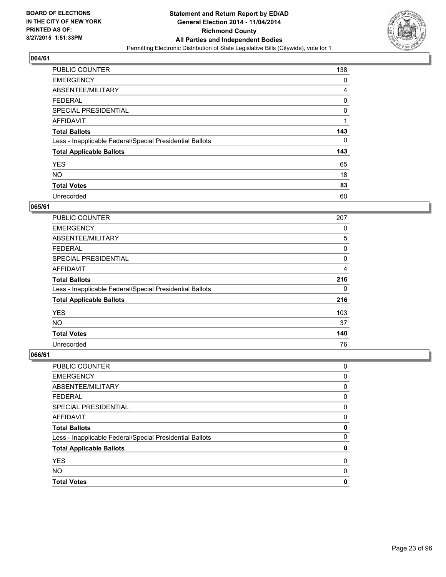

| <b>PUBLIC COUNTER</b>                                    | 138 |
|----------------------------------------------------------|-----|
| <b>EMERGENCY</b>                                         | 0   |
| ABSENTEE/MILITARY                                        | 4   |
| <b>FEDERAL</b>                                           | 0   |
| <b>SPECIAL PRESIDENTIAL</b>                              | 0   |
| AFFIDAVIT                                                | 1   |
| <b>Total Ballots</b>                                     | 143 |
| Less - Inapplicable Federal/Special Presidential Ballots | 0   |
| <b>Total Applicable Ballots</b>                          | 143 |
| <b>YES</b>                                               | 65  |
| <b>NO</b>                                                | 18  |
| <b>Total Votes</b>                                       | 83  |
| Unrecorded                                               | 60  |

#### **065/61**

| PUBLIC COUNTER                                           | 207 |
|----------------------------------------------------------|-----|
| <b>EMERGENCY</b>                                         | 0   |
| ABSENTEE/MILITARY                                        | 5   |
| <b>FEDERAL</b>                                           | 0   |
| <b>SPECIAL PRESIDENTIAL</b>                              | 0   |
| <b>AFFIDAVIT</b>                                         | 4   |
| <b>Total Ballots</b>                                     | 216 |
| Less - Inapplicable Federal/Special Presidential Ballots | 0   |
| <b>Total Applicable Ballots</b>                          | 216 |
| <b>YES</b>                                               | 103 |
| <b>NO</b>                                                | 37  |
| <b>Total Votes</b>                                       | 140 |
| Unrecorded                                               | 76  |

| PUBLIC COUNTER                                           | 0 |
|----------------------------------------------------------|---|
| <b>EMERGENCY</b>                                         | 0 |
| ABSENTEE/MILITARY                                        | 0 |
| <b>FEDERAL</b>                                           | 0 |
| SPECIAL PRESIDENTIAL                                     | 0 |
| <b>AFFIDAVIT</b>                                         | 0 |
| <b>Total Ballots</b>                                     | 0 |
| Less - Inapplicable Federal/Special Presidential Ballots | 0 |
| <b>Total Applicable Ballots</b>                          | 0 |
| <b>YES</b>                                               | 0 |
| <b>NO</b>                                                | 0 |
| <b>Total Votes</b>                                       | 0 |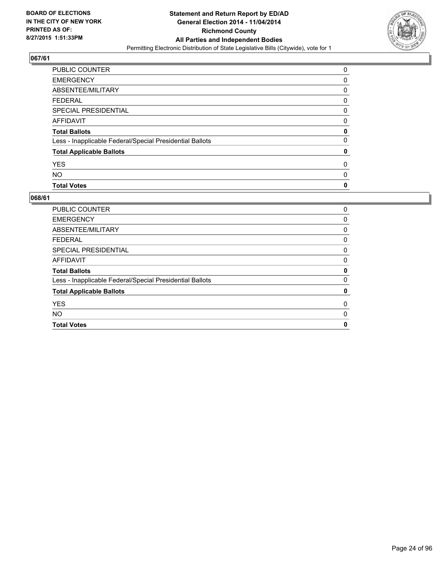

| PUBLIC COUNTER                                           | 0        |
|----------------------------------------------------------|----------|
| <b>EMERGENCY</b>                                         | 0        |
| ABSENTEE/MILITARY                                        | 0        |
| <b>FEDERAL</b>                                           | 0        |
| <b>SPECIAL PRESIDENTIAL</b>                              | 0        |
| <b>AFFIDAVIT</b>                                         | 0        |
| <b>Total Ballots</b>                                     | 0        |
| Less - Inapplicable Federal/Special Presidential Ballots | $\Omega$ |
| <b>Total Applicable Ballots</b>                          | 0        |
| <b>YES</b>                                               | 0        |
| <b>NO</b>                                                | 0        |
| <b>Total Votes</b>                                       | 0        |

| PUBLIC COUNTER                                           | 0 |
|----------------------------------------------------------|---|
| <b>EMERGENCY</b>                                         | 0 |
| ABSENTEE/MILITARY                                        | 0 |
| <b>FEDERAL</b>                                           | 0 |
| SPECIAL PRESIDENTIAL                                     | 0 |
| AFFIDAVIT                                                | 0 |
| <b>Total Ballots</b>                                     | 0 |
| Less - Inapplicable Federal/Special Presidential Ballots | 0 |
| <b>Total Applicable Ballots</b>                          | 0 |
| <b>YES</b>                                               | 0 |
| <b>NO</b>                                                | 0 |
| <b>Total Votes</b>                                       | 0 |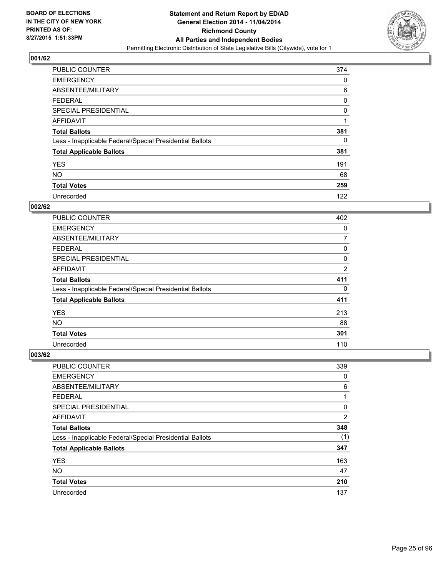

| <b>PUBLIC COUNTER</b>                                    | 374 |
|----------------------------------------------------------|-----|
| <b>EMERGENCY</b>                                         | 0   |
| ABSENTEE/MILITARY                                        | 6   |
| <b>FEDERAL</b>                                           | 0   |
| SPECIAL PRESIDENTIAL                                     | 0   |
| AFFIDAVIT                                                | 1   |
| <b>Total Ballots</b>                                     | 381 |
| Less - Inapplicable Federal/Special Presidential Ballots | 0   |
| <b>Total Applicable Ballots</b>                          | 381 |
| <b>YES</b>                                               | 191 |
| <b>NO</b>                                                | 68  |
| <b>Total Votes</b>                                       | 259 |
| Unrecorded                                               | 122 |

#### **002/62**

| PUBLIC COUNTER                                           | 402            |
|----------------------------------------------------------|----------------|
| <b>EMERGENCY</b>                                         | 0              |
| ABSENTEE/MILITARY                                        | 7              |
| <b>FEDERAL</b>                                           | 0              |
| <b>SPECIAL PRESIDENTIAL</b>                              | 0              |
| <b>AFFIDAVIT</b>                                         | $\overline{2}$ |
| <b>Total Ballots</b>                                     | 411            |
| Less - Inapplicable Federal/Special Presidential Ballots | 0              |
| <b>Total Applicable Ballots</b>                          | 411            |
| <b>YES</b>                                               | 213            |
| <b>NO</b>                                                | 88             |
| <b>Total Votes</b>                                       | 301            |
| Unrecorded                                               | 110            |

| PUBLIC COUNTER                                           | 339            |
|----------------------------------------------------------|----------------|
| <b>EMERGENCY</b>                                         | 0              |
| ABSENTEE/MILITARY                                        | 6              |
| <b>FEDERAL</b>                                           | 1              |
| <b>SPECIAL PRESIDENTIAL</b>                              | 0              |
| AFFIDAVIT                                                | $\overline{2}$ |
| <b>Total Ballots</b>                                     | 348            |
| Less - Inapplicable Federal/Special Presidential Ballots | (1)            |
| <b>Total Applicable Ballots</b>                          | 347            |
| <b>YES</b>                                               | 163            |
| <b>NO</b>                                                | 47             |
| <b>Total Votes</b>                                       | 210            |
| Unrecorded                                               | 137            |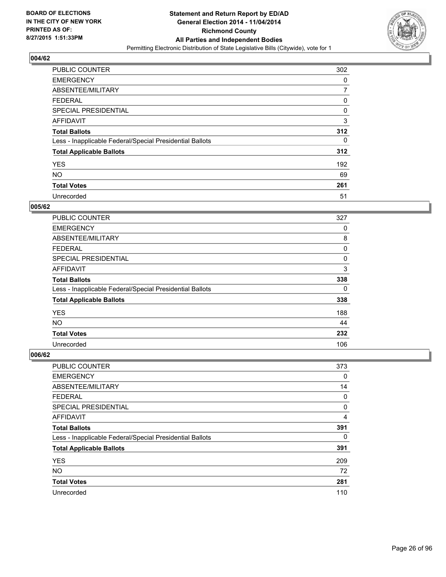

| <b>PUBLIC COUNTER</b>                                    | 302 |
|----------------------------------------------------------|-----|
| <b>EMERGENCY</b>                                         | 0   |
| ABSENTEE/MILITARY                                        | 7   |
| <b>FEDERAL</b>                                           | 0   |
| <b>SPECIAL PRESIDENTIAL</b>                              | 0   |
| AFFIDAVIT                                                | 3   |
| <b>Total Ballots</b>                                     | 312 |
| Less - Inapplicable Federal/Special Presidential Ballots | 0   |
| <b>Total Applicable Ballots</b>                          | 312 |
| <b>YES</b>                                               | 192 |
| <b>NO</b>                                                | 69  |
| <b>Total Votes</b>                                       | 261 |
| Unrecorded                                               | 51  |

#### **005/62**

| PUBLIC COUNTER                                           | 327 |
|----------------------------------------------------------|-----|
| <b>EMERGENCY</b>                                         | 0   |
| ABSENTEE/MILITARY                                        | 8   |
| <b>FEDERAL</b>                                           | 0   |
| <b>SPECIAL PRESIDENTIAL</b>                              | 0   |
| <b>AFFIDAVIT</b>                                         | 3   |
| <b>Total Ballots</b>                                     | 338 |
| Less - Inapplicable Federal/Special Presidential Ballots | 0   |
| <b>Total Applicable Ballots</b>                          | 338 |
| <b>YES</b>                                               | 188 |
| <b>NO</b>                                                | 44  |
| <b>Total Votes</b>                                       | 232 |
| Unrecorded                                               | 106 |

| <b>PUBLIC COUNTER</b>                                    | 373 |
|----------------------------------------------------------|-----|
| <b>EMERGENCY</b>                                         | 0   |
| ABSENTEE/MILITARY                                        | 14  |
| <b>FEDERAL</b>                                           | 0   |
| <b>SPECIAL PRESIDENTIAL</b>                              | 0   |
| AFFIDAVIT                                                | 4   |
| <b>Total Ballots</b>                                     | 391 |
| Less - Inapplicable Federal/Special Presidential Ballots | 0   |
| <b>Total Applicable Ballots</b>                          | 391 |
| <b>YES</b>                                               | 209 |
| <b>NO</b>                                                | 72  |
| <b>Total Votes</b>                                       | 281 |
| Unrecorded                                               | 110 |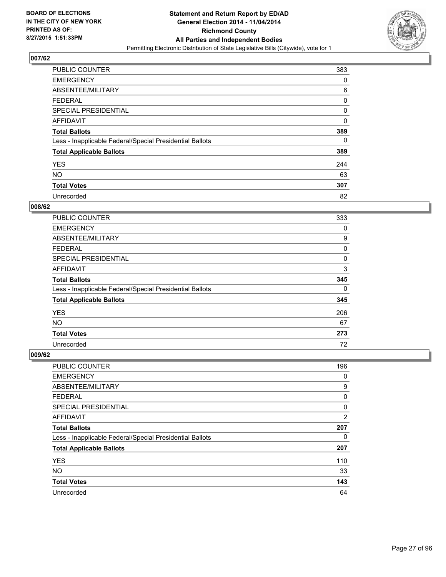

| <b>PUBLIC COUNTER</b>                                    | 383 |
|----------------------------------------------------------|-----|
| <b>EMERGENCY</b>                                         | 0   |
| ABSENTEE/MILITARY                                        | 6   |
| <b>FEDERAL</b>                                           | 0   |
| <b>SPECIAL PRESIDENTIAL</b>                              | 0   |
| AFFIDAVIT                                                | 0   |
| <b>Total Ballots</b>                                     | 389 |
| Less - Inapplicable Federal/Special Presidential Ballots | 0   |
| <b>Total Applicable Ballots</b>                          | 389 |
| <b>YES</b>                                               | 244 |
| <b>NO</b>                                                | 63  |
| <b>Total Votes</b>                                       | 307 |
| Unrecorded                                               | 82  |

#### **008/62**

| PUBLIC COUNTER                                           | 333 |
|----------------------------------------------------------|-----|
| <b>EMERGENCY</b>                                         | 0   |
| ABSENTEE/MILITARY                                        | 9   |
| <b>FEDERAL</b>                                           | 0   |
| <b>SPECIAL PRESIDENTIAL</b>                              | 0   |
| <b>AFFIDAVIT</b>                                         | 3   |
| <b>Total Ballots</b>                                     | 345 |
| Less - Inapplicable Federal/Special Presidential Ballots | 0   |
| <b>Total Applicable Ballots</b>                          | 345 |
| <b>YES</b>                                               | 206 |
| <b>NO</b>                                                | 67  |
| <b>Total Votes</b>                                       | 273 |
| Unrecorded                                               | 72  |

| PUBLIC COUNTER                                           | 196            |
|----------------------------------------------------------|----------------|
| <b>EMERGENCY</b>                                         | 0              |
| ABSENTEE/MILITARY                                        | 9              |
| <b>FEDERAL</b>                                           | 0              |
| <b>SPECIAL PRESIDENTIAL</b>                              | 0              |
| AFFIDAVIT                                                | $\overline{2}$ |
| <b>Total Ballots</b>                                     | 207            |
| Less - Inapplicable Federal/Special Presidential Ballots | 0              |
| <b>Total Applicable Ballots</b>                          | 207            |
| <b>YES</b>                                               | 110            |
| <b>NO</b>                                                | 33             |
| <b>Total Votes</b>                                       | 143            |
| Unrecorded                                               | 64             |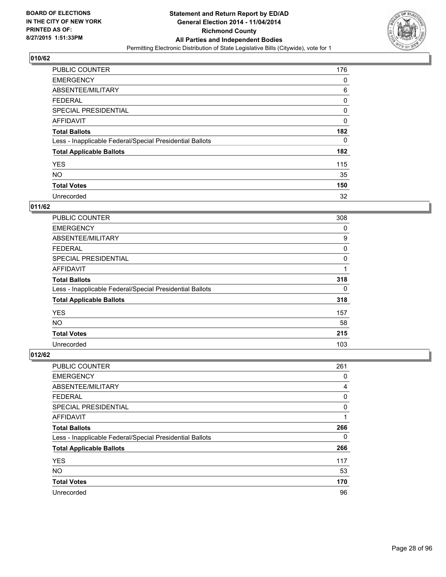

| PUBLIC COUNTER                                           | 176 |
|----------------------------------------------------------|-----|
| <b>EMERGENCY</b>                                         | 0   |
| ABSENTEE/MILITARY                                        | 6   |
| <b>FEDERAL</b>                                           | 0   |
| SPECIAL PRESIDENTIAL                                     | 0   |
| AFFIDAVIT                                                | 0   |
| <b>Total Ballots</b>                                     | 182 |
| Less - Inapplicable Federal/Special Presidential Ballots | 0   |
| <b>Total Applicable Ballots</b>                          | 182 |
| <b>YES</b>                                               | 115 |
| <b>NO</b>                                                | 35  |
| <b>Total Votes</b>                                       | 150 |
| Unrecorded                                               | 32  |

#### **011/62**

| PUBLIC COUNTER                                           | 308 |
|----------------------------------------------------------|-----|
| <b>EMERGENCY</b>                                         | 0   |
| ABSENTEE/MILITARY                                        | 9   |
| <b>FEDERAL</b>                                           | 0   |
| <b>SPECIAL PRESIDENTIAL</b>                              | 0   |
| <b>AFFIDAVIT</b>                                         |     |
| <b>Total Ballots</b>                                     | 318 |
| Less - Inapplicable Federal/Special Presidential Ballots | 0   |
| <b>Total Applicable Ballots</b>                          | 318 |
| <b>YES</b>                                               | 157 |
| <b>NO</b>                                                | 58  |
| <b>Total Votes</b>                                       | 215 |
| Unrecorded                                               | 103 |

| <b>PUBLIC COUNTER</b>                                    | 261 |
|----------------------------------------------------------|-----|
| <b>EMERGENCY</b>                                         | 0   |
| ABSENTEE/MILITARY                                        | 4   |
| <b>FEDERAL</b>                                           | 0   |
| <b>SPECIAL PRESIDENTIAL</b>                              | 0   |
| AFFIDAVIT                                                | 1   |
| <b>Total Ballots</b>                                     | 266 |
| Less - Inapplicable Federal/Special Presidential Ballots | 0   |
| <b>Total Applicable Ballots</b>                          | 266 |
| <b>YES</b>                                               | 117 |
| <b>NO</b>                                                | 53  |
| <b>Total Votes</b>                                       | 170 |
| Unrecorded                                               | 96  |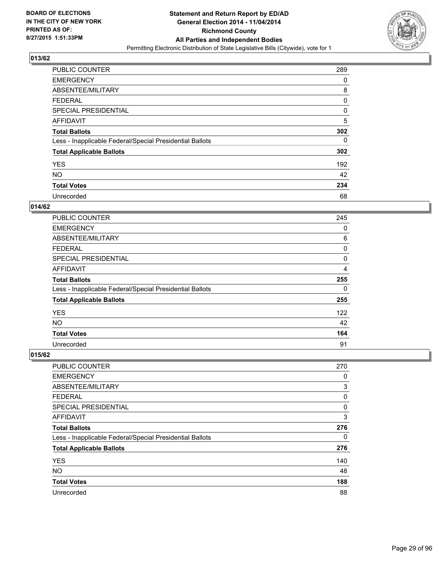

| <b>PUBLIC COUNTER</b>                                    | 289 |
|----------------------------------------------------------|-----|
| <b>EMERGENCY</b>                                         | 0   |
| ABSENTEE/MILITARY                                        | 8   |
| <b>FEDERAL</b>                                           | 0   |
| SPECIAL PRESIDENTIAL                                     | 0   |
| AFFIDAVIT                                                | 5   |
| <b>Total Ballots</b>                                     | 302 |
| Less - Inapplicable Federal/Special Presidential Ballots | 0   |
| <b>Total Applicable Ballots</b>                          | 302 |
| <b>YES</b>                                               | 192 |
| <b>NO</b>                                                | 42  |
| <b>Total Votes</b>                                       | 234 |
| Unrecorded                                               | 68  |

#### **014/62**

| <b>PUBLIC COUNTER</b>                                    | 245 |
|----------------------------------------------------------|-----|
| <b>EMERGENCY</b>                                         | 0   |
| ABSENTEE/MILITARY                                        | 6   |
| <b>FEDERAL</b>                                           | 0   |
| <b>SPECIAL PRESIDENTIAL</b>                              | 0   |
| <b>AFFIDAVIT</b>                                         | 4   |
| <b>Total Ballots</b>                                     | 255 |
| Less - Inapplicable Federal/Special Presidential Ballots | 0   |
| <b>Total Applicable Ballots</b>                          | 255 |
| <b>YES</b>                                               | 122 |
| <b>NO</b>                                                | 42  |
| <b>Total Votes</b>                                       | 164 |
| Unrecorded                                               | 91  |

| PUBLIC COUNTER                                           | 270 |
|----------------------------------------------------------|-----|
| <b>EMERGENCY</b>                                         | 0   |
| ABSENTEE/MILITARY                                        | 3   |
| <b>FEDERAL</b>                                           | 0   |
| <b>SPECIAL PRESIDENTIAL</b>                              | 0   |
| AFFIDAVIT                                                | 3   |
| <b>Total Ballots</b>                                     | 276 |
| Less - Inapplicable Federal/Special Presidential Ballots | 0   |
| <b>Total Applicable Ballots</b>                          | 276 |
| <b>YES</b>                                               | 140 |
| <b>NO</b>                                                | 48  |
| <b>Total Votes</b>                                       | 188 |
| Unrecorded                                               | 88  |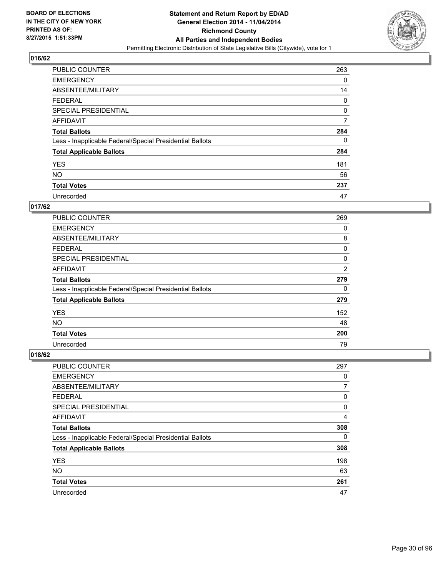

| <b>PUBLIC COUNTER</b>                                    | 263 |
|----------------------------------------------------------|-----|
| <b>EMERGENCY</b>                                         | 0   |
| ABSENTEE/MILITARY                                        | 14  |
| <b>FEDERAL</b>                                           | 0   |
| SPECIAL PRESIDENTIAL                                     | 0   |
| AFFIDAVIT                                                | 7   |
| <b>Total Ballots</b>                                     | 284 |
| Less - Inapplicable Federal/Special Presidential Ballots | 0   |
| <b>Total Applicable Ballots</b>                          | 284 |
| <b>YES</b>                                               | 181 |
| <b>NO</b>                                                | 56  |
| <b>Total Votes</b>                                       | 237 |
| Unrecorded                                               | 47  |

#### **017/62**

| PUBLIC COUNTER                                           | 269 |
|----------------------------------------------------------|-----|
| <b>EMERGENCY</b>                                         | 0   |
| ABSENTEE/MILITARY                                        | 8   |
| <b>FEDERAL</b>                                           | 0   |
| <b>SPECIAL PRESIDENTIAL</b>                              | 0   |
| <b>AFFIDAVIT</b>                                         | 2   |
| <b>Total Ballots</b>                                     | 279 |
| Less - Inapplicable Federal/Special Presidential Ballots | 0   |
| <b>Total Applicable Ballots</b>                          | 279 |
| <b>YES</b>                                               | 152 |
| NO.                                                      | 48  |
| <b>Total Votes</b>                                       | 200 |
| Unrecorded                                               | 79  |

| PUBLIC COUNTER                                           | 297 |
|----------------------------------------------------------|-----|
| <b>EMERGENCY</b>                                         | 0   |
| ABSENTEE/MILITARY                                        | 7   |
| <b>FEDERAL</b>                                           | 0   |
| <b>SPECIAL PRESIDENTIAL</b>                              | 0   |
| AFFIDAVIT                                                | 4   |
| <b>Total Ballots</b>                                     | 308 |
| Less - Inapplicable Federal/Special Presidential Ballots | 0   |
| <b>Total Applicable Ballots</b>                          | 308 |
| <b>YES</b>                                               | 198 |
| <b>NO</b>                                                | 63  |
| <b>Total Votes</b>                                       | 261 |
| Unrecorded                                               | 47  |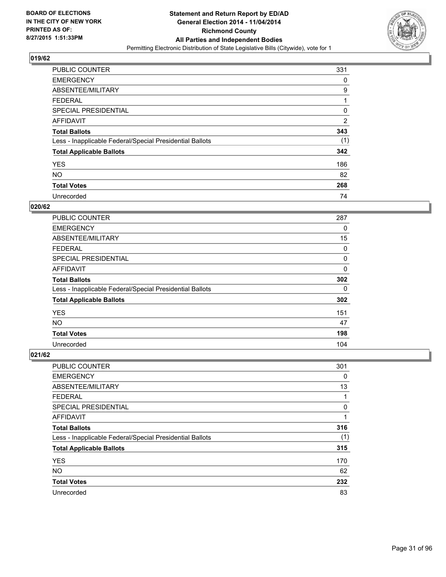

| <b>PUBLIC COUNTER</b>                                    | 331            |
|----------------------------------------------------------|----------------|
| <b>EMERGENCY</b>                                         | 0              |
| ABSENTEE/MILITARY                                        | 9              |
| <b>FEDERAL</b>                                           | 1              |
| <b>SPECIAL PRESIDENTIAL</b>                              | 0              |
| AFFIDAVIT                                                | $\overline{2}$ |
| <b>Total Ballots</b>                                     | 343            |
| Less - Inapplicable Federal/Special Presidential Ballots | (1)            |
| <b>Total Applicable Ballots</b>                          | 342            |
| <b>YES</b>                                               | 186            |
| <b>NO</b>                                                | 82             |
| <b>Total Votes</b>                                       | 268            |
| Unrecorded                                               | 74             |

#### **020/62**

| PUBLIC COUNTER                                           | 287 |
|----------------------------------------------------------|-----|
| <b>EMERGENCY</b>                                         | 0   |
| ABSENTEE/MILITARY                                        | 15  |
| <b>FEDERAL</b>                                           | 0   |
| <b>SPECIAL PRESIDENTIAL</b>                              | 0   |
| <b>AFFIDAVIT</b>                                         | 0   |
| <b>Total Ballots</b>                                     | 302 |
| Less - Inapplicable Federal/Special Presidential Ballots | 0   |
| <b>Total Applicable Ballots</b>                          | 302 |
| <b>YES</b>                                               | 151 |
| NO.                                                      | 47  |
| <b>Total Votes</b>                                       | 198 |
| Unrecorded                                               | 104 |

| <b>PUBLIC COUNTER</b>                                    | 301 |
|----------------------------------------------------------|-----|
| <b>EMERGENCY</b>                                         | 0   |
| ABSENTEE/MILITARY                                        | 13  |
| <b>FEDERAL</b>                                           | 1   |
| <b>SPECIAL PRESIDENTIAL</b>                              | 0   |
| AFFIDAVIT                                                | 1   |
| <b>Total Ballots</b>                                     | 316 |
| Less - Inapplicable Federal/Special Presidential Ballots | (1) |
| <b>Total Applicable Ballots</b>                          | 315 |
| <b>YES</b>                                               | 170 |
| <b>NO</b>                                                | 62  |
| <b>Total Votes</b>                                       | 232 |
| Unrecorded                                               | 83  |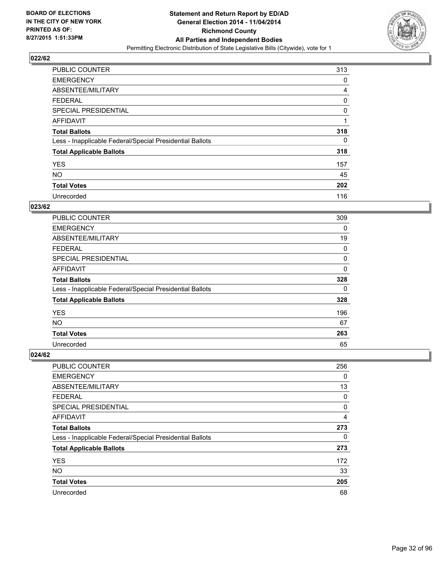

| <b>PUBLIC COUNTER</b>                                    | 313            |
|----------------------------------------------------------|----------------|
| <b>EMERGENCY</b>                                         | 0              |
| ABSENTEE/MILITARY                                        | $\overline{4}$ |
| <b>FEDERAL</b>                                           | 0              |
| SPECIAL PRESIDENTIAL                                     | 0              |
| AFFIDAVIT                                                |                |
| <b>Total Ballots</b>                                     | 318            |
| Less - Inapplicable Federal/Special Presidential Ballots | 0              |
| <b>Total Applicable Ballots</b>                          | 318            |
| <b>YES</b>                                               | 157            |
| <b>NO</b>                                                | 45             |
| <b>Total Votes</b>                                       | 202            |
| Unrecorded                                               | 116            |

#### **023/62**

| <b>PUBLIC COUNTER</b>                                    | 309 |
|----------------------------------------------------------|-----|
| <b>EMERGENCY</b>                                         | 0   |
| ABSENTEE/MILITARY                                        | 19  |
| <b>FEDERAL</b>                                           | 0   |
| <b>SPECIAL PRESIDENTIAL</b>                              | 0   |
| <b>AFFIDAVIT</b>                                         | 0   |
| <b>Total Ballots</b>                                     | 328 |
| Less - Inapplicable Federal/Special Presidential Ballots | 0   |
| <b>Total Applicable Ballots</b>                          | 328 |
| <b>YES</b>                                               | 196 |
| <b>NO</b>                                                | 67  |
| <b>Total Votes</b>                                       | 263 |
| Unrecorded                                               | 65  |

| PUBLIC COUNTER                                           | 256 |
|----------------------------------------------------------|-----|
| <b>EMERGENCY</b>                                         | 0   |
| ABSENTEE/MILITARY                                        | 13  |
| <b>FEDERAL</b>                                           | 0   |
| <b>SPECIAL PRESIDENTIAL</b>                              | 0   |
| AFFIDAVIT                                                | 4   |
| <b>Total Ballots</b>                                     | 273 |
| Less - Inapplicable Federal/Special Presidential Ballots | 0   |
| <b>Total Applicable Ballots</b>                          | 273 |
| <b>YES</b>                                               | 172 |
| <b>NO</b>                                                | 33  |
| <b>Total Votes</b>                                       | 205 |
| Unrecorded                                               | 68  |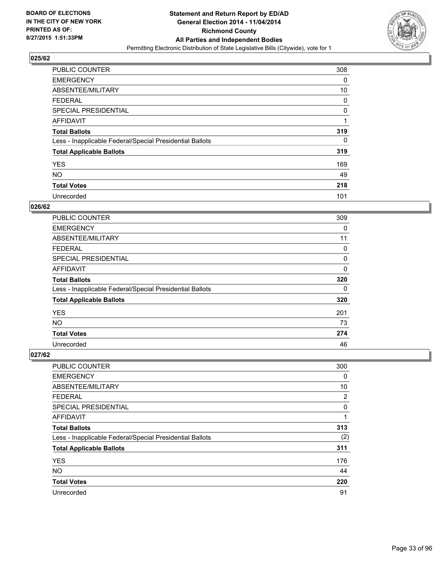

| <b>PUBLIC COUNTER</b>                                    | 308 |
|----------------------------------------------------------|-----|
| <b>EMERGENCY</b>                                         | 0   |
| ABSENTEE/MILITARY                                        | 10  |
| <b>FEDERAL</b>                                           | 0   |
| SPECIAL PRESIDENTIAL                                     | 0   |
| AFFIDAVIT                                                |     |
| <b>Total Ballots</b>                                     | 319 |
| Less - Inapplicable Federal/Special Presidential Ballots | 0   |
| <b>Total Applicable Ballots</b>                          | 319 |
| <b>YES</b>                                               | 169 |
| <b>NO</b>                                                | 49  |
| <b>Total Votes</b>                                       | 218 |
| Unrecorded                                               | 101 |

#### **026/62**

| PUBLIC COUNTER                                           | 309         |
|----------------------------------------------------------|-------------|
| <b>EMERGENCY</b>                                         | 0           |
| ABSENTEE/MILITARY                                        | 11          |
| <b>FEDERAL</b>                                           | 0           |
| <b>SPECIAL PRESIDENTIAL</b>                              | 0           |
| <b>AFFIDAVIT</b>                                         | $\mathbf 0$ |
| <b>Total Ballots</b>                                     | 320         |
| Less - Inapplicable Federal/Special Presidential Ballots | 0           |
| <b>Total Applicable Ballots</b>                          | 320         |
| <b>YES</b>                                               | 201         |
| NO.                                                      | 73          |
| <b>Total Votes</b>                                       | 274         |
| Unrecorded                                               | 46          |

| PUBLIC COUNTER                                           | 300 |
|----------------------------------------------------------|-----|
| <b>EMERGENCY</b>                                         | 0   |
| ABSENTEE/MILITARY                                        | 10  |
| <b>FEDERAL</b>                                           | 2   |
| <b>SPECIAL PRESIDENTIAL</b>                              | 0   |
| AFFIDAVIT                                                | 1   |
| <b>Total Ballots</b>                                     | 313 |
| Less - Inapplicable Federal/Special Presidential Ballots | (2) |
| <b>Total Applicable Ballots</b>                          | 311 |
| <b>YES</b>                                               | 176 |
| <b>NO</b>                                                | 44  |
| <b>Total Votes</b>                                       | 220 |
| Unrecorded                                               | 91  |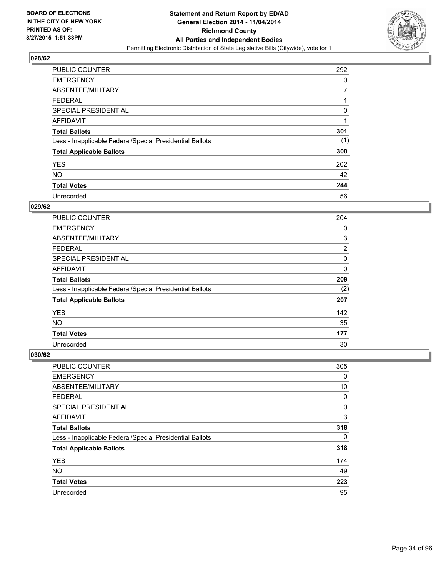

| <b>PUBLIC COUNTER</b>                                    | 292 |
|----------------------------------------------------------|-----|
| <b>EMERGENCY</b>                                         | 0   |
| ABSENTEE/MILITARY                                        |     |
| <b>FEDERAL</b>                                           |     |
| SPECIAL PRESIDENTIAL                                     | 0   |
| AFFIDAVIT                                                |     |
| <b>Total Ballots</b>                                     | 301 |
| Less - Inapplicable Federal/Special Presidential Ballots | (1) |
| <b>Total Applicable Ballots</b>                          | 300 |
| <b>YES</b>                                               | 202 |
| <b>NO</b>                                                | 42  |
| <b>Total Votes</b>                                       | 244 |
| Unrecorded                                               | 56  |

#### **029/62**

| PUBLIC COUNTER                                           | 204         |
|----------------------------------------------------------|-------------|
| <b>EMERGENCY</b>                                         | 0           |
| ABSENTEE/MILITARY                                        | 3           |
| <b>FEDERAL</b>                                           | 2           |
| <b>SPECIAL PRESIDENTIAL</b>                              | 0           |
| <b>AFFIDAVIT</b>                                         | $\mathbf 0$ |
| <b>Total Ballots</b>                                     | 209         |
| Less - Inapplicable Federal/Special Presidential Ballots | (2)         |
| <b>Total Applicable Ballots</b>                          | 207         |
| <b>YES</b>                                               | 142         |
| <b>NO</b>                                                | 35          |
| <b>Total Votes</b>                                       | 177         |
| Unrecorded                                               | 30          |

| PUBLIC COUNTER                                           | 305 |
|----------------------------------------------------------|-----|
| <b>EMERGENCY</b>                                         | 0   |
| ABSENTEE/MILITARY                                        | 10  |
| <b>FEDERAL</b>                                           | 0   |
| <b>SPECIAL PRESIDENTIAL</b>                              | 0   |
| AFFIDAVIT                                                | 3   |
| <b>Total Ballots</b>                                     | 318 |
| Less - Inapplicable Federal/Special Presidential Ballots | 0   |
| <b>Total Applicable Ballots</b>                          | 318 |
| <b>YES</b>                                               | 174 |
| <b>NO</b>                                                | 49  |
| <b>Total Votes</b>                                       | 223 |
| Unrecorded                                               | 95  |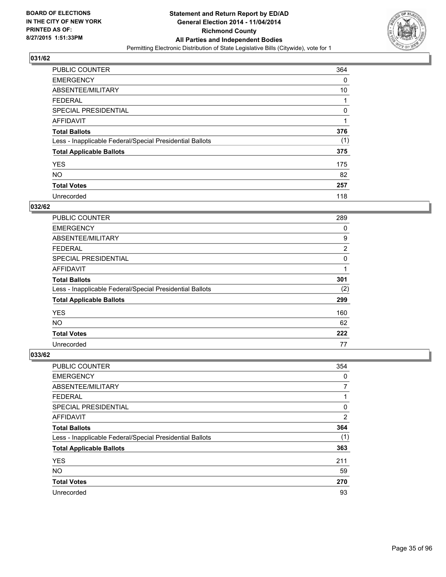

| <b>PUBLIC COUNTER</b>                                    | 364 |
|----------------------------------------------------------|-----|
| <b>EMERGENCY</b>                                         | 0   |
| ABSENTEE/MILITARY                                        | 10  |
| <b>FEDERAL</b>                                           |     |
| SPECIAL PRESIDENTIAL                                     | 0   |
| AFFIDAVIT                                                | 1   |
| <b>Total Ballots</b>                                     | 376 |
| Less - Inapplicable Federal/Special Presidential Ballots | (1) |
| <b>Total Applicable Ballots</b>                          | 375 |
| <b>YES</b>                                               | 175 |
| <b>NO</b>                                                | 82  |
| <b>Total Votes</b>                                       | 257 |
| Unrecorded                                               | 118 |

### **032/62**

| PUBLIC COUNTER                                           | 289 |
|----------------------------------------------------------|-----|
| <b>EMERGENCY</b>                                         | 0   |
| ABSENTEE/MILITARY                                        | 9   |
| <b>FEDERAL</b>                                           | 2   |
| <b>SPECIAL PRESIDENTIAL</b>                              | 0   |
| <b>AFFIDAVIT</b>                                         | 1   |
| <b>Total Ballots</b>                                     | 301 |
| Less - Inapplicable Federal/Special Presidential Ballots | (2) |
| <b>Total Applicable Ballots</b>                          | 299 |
| <b>YES</b>                                               | 160 |
| <b>NO</b>                                                | 62  |
| <b>Total Votes</b>                                       | 222 |
| Unrecorded                                               | 77  |

| PUBLIC COUNTER                                           | 354 |
|----------------------------------------------------------|-----|
| <b>EMERGENCY</b>                                         | 0   |
| ABSENTEE/MILITARY                                        | 7   |
| <b>FEDERAL</b>                                           |     |
| <b>SPECIAL PRESIDENTIAL</b>                              | 0   |
| AFFIDAVIT                                                | 2   |
| <b>Total Ballots</b>                                     | 364 |
| Less - Inapplicable Federal/Special Presidential Ballots | (1) |
| <b>Total Applicable Ballots</b>                          | 363 |
| <b>YES</b>                                               | 211 |
| <b>NO</b>                                                | 59  |
| <b>Total Votes</b>                                       | 270 |
| Unrecorded                                               | 93  |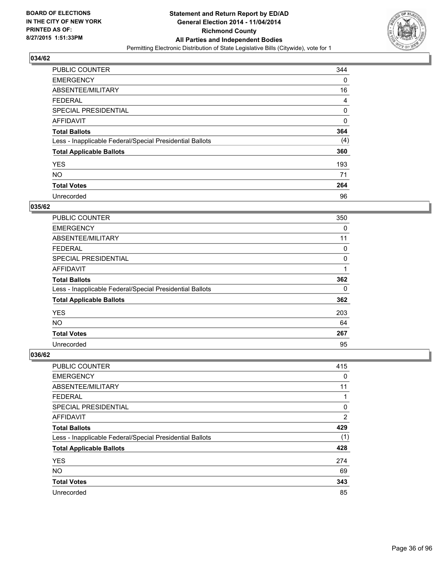

| <b>PUBLIC COUNTER</b>                                    | 344            |
|----------------------------------------------------------|----------------|
| <b>EMERGENCY</b>                                         | 0              |
| ABSENTEE/MILITARY                                        | 16             |
| <b>FEDERAL</b>                                           | $\overline{4}$ |
| <b>SPECIAL PRESIDENTIAL</b>                              | 0              |
| AFFIDAVIT                                                | 0              |
| <b>Total Ballots</b>                                     | 364            |
| Less - Inapplicable Federal/Special Presidential Ballots | (4)            |
| <b>Total Applicable Ballots</b>                          | 360            |
| <b>YES</b>                                               | 193            |
| <b>NO</b>                                                | 71             |
| <b>Total Votes</b>                                       | 264            |
| Unrecorded                                               | 96             |

#### **035/62**

| PUBLIC COUNTER                                           | 350 |
|----------------------------------------------------------|-----|
| <b>EMERGENCY</b>                                         | 0   |
| ABSENTEE/MILITARY                                        | 11  |
| <b>FEDERAL</b>                                           | 0   |
| <b>SPECIAL PRESIDENTIAL</b>                              | 0   |
| <b>AFFIDAVIT</b>                                         | 1   |
| <b>Total Ballots</b>                                     | 362 |
| Less - Inapplicable Federal/Special Presidential Ballots | 0   |
| <b>Total Applicable Ballots</b>                          | 362 |
| <b>YES</b>                                               | 203 |
| <b>NO</b>                                                | 64  |
| <b>Total Votes</b>                                       | 267 |
| Unrecorded                                               | 95  |

| PUBLIC COUNTER                                           | 415 |
|----------------------------------------------------------|-----|
| <b>EMERGENCY</b>                                         | 0   |
| ABSENTEE/MILITARY                                        | 11  |
| FEDERAL                                                  |     |
| <b>SPECIAL PRESIDENTIAL</b>                              | 0   |
| AFFIDAVIT                                                | 2   |
| <b>Total Ballots</b>                                     | 429 |
| Less - Inapplicable Federal/Special Presidential Ballots | (1) |
| <b>Total Applicable Ballots</b>                          | 428 |
| <b>YES</b>                                               | 274 |
| <b>NO</b>                                                | 69  |
| <b>Total Votes</b>                                       | 343 |
| Unrecorded                                               | 85  |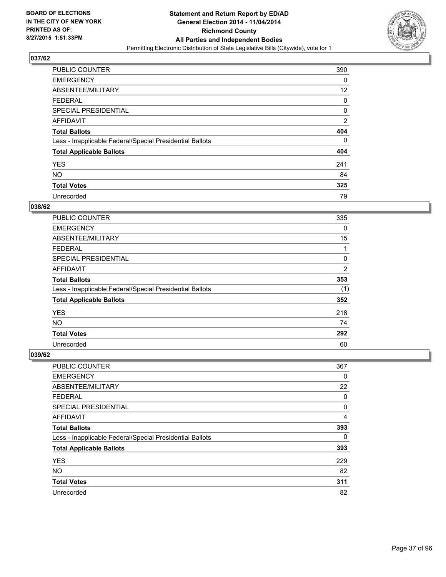

| <b>PUBLIC COUNTER</b>                                    | 390            |
|----------------------------------------------------------|----------------|
| <b>EMERGENCY</b>                                         | 0              |
| ABSENTEE/MILITARY                                        | 12             |
| <b>FEDERAL</b>                                           | 0              |
| SPECIAL PRESIDENTIAL                                     | 0              |
| AFFIDAVIT                                                | $\overline{2}$ |
| <b>Total Ballots</b>                                     | 404            |
| Less - Inapplicable Federal/Special Presidential Ballots | 0              |
| <b>Total Applicable Ballots</b>                          | 404            |
| <b>YES</b>                                               | 241            |
| <b>NO</b>                                                | 84             |
| <b>Total Votes</b>                                       | 325            |
| Unrecorded                                               | 79             |

### **038/62**

| <b>PUBLIC COUNTER</b>                                    | 335            |
|----------------------------------------------------------|----------------|
| <b>EMERGENCY</b>                                         | 0              |
| ABSENTEE/MILITARY                                        | 15             |
| <b>FEDERAL</b>                                           | 1              |
| <b>SPECIAL PRESIDENTIAL</b>                              | 0              |
| <b>AFFIDAVIT</b>                                         | $\overline{2}$ |
| <b>Total Ballots</b>                                     | 353            |
| Less - Inapplicable Federal/Special Presidential Ballots | (1)            |
| <b>Total Applicable Ballots</b>                          | 352            |
| <b>YES</b>                                               | 218            |
| <b>NO</b>                                                | 74             |
| <b>Total Votes</b>                                       | 292            |
| Unrecorded                                               | 60             |

| PUBLIC COUNTER                                           | 367 |
|----------------------------------------------------------|-----|
| <b>EMERGENCY</b>                                         | 0   |
| ABSENTEE/MILITARY                                        | 22  |
| <b>FEDERAL</b>                                           | 0   |
| <b>SPECIAL PRESIDENTIAL</b>                              | 0   |
| AFFIDAVIT                                                | 4   |
| <b>Total Ballots</b>                                     | 393 |
| Less - Inapplicable Federal/Special Presidential Ballots | 0   |
| <b>Total Applicable Ballots</b>                          | 393 |
| <b>YES</b>                                               | 229 |
| <b>NO</b>                                                | 82  |
| <b>Total Votes</b>                                       | 311 |
| Unrecorded                                               | 82  |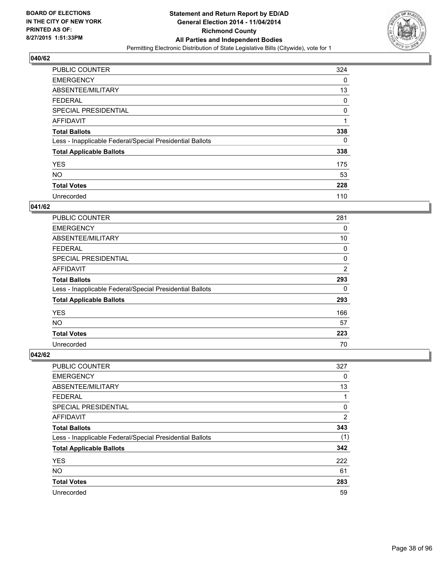

| <b>PUBLIC COUNTER</b>                                    | 324 |
|----------------------------------------------------------|-----|
| <b>EMERGENCY</b>                                         | 0   |
| ABSENTEE/MILITARY                                        | 13  |
| <b>FEDERAL</b>                                           | 0   |
| <b>SPECIAL PRESIDENTIAL</b>                              | 0   |
| AFFIDAVIT                                                | 1   |
| <b>Total Ballots</b>                                     | 338 |
| Less - Inapplicable Federal/Special Presidential Ballots | 0   |
| <b>Total Applicable Ballots</b>                          | 338 |
| <b>YES</b>                                               | 175 |
| <b>NO</b>                                                | 53  |
| <b>Total Votes</b>                                       | 228 |
| Unrecorded                                               | 110 |

### **041/62**

| PUBLIC COUNTER                                           | 281            |
|----------------------------------------------------------|----------------|
| <b>EMERGENCY</b>                                         | 0              |
| ABSENTEE/MILITARY                                        | 10             |
| FEDERAL                                                  | 0              |
| <b>SPECIAL PRESIDENTIAL</b>                              | 0              |
| <b>AFFIDAVIT</b>                                         | $\overline{2}$ |
| <b>Total Ballots</b>                                     | 293            |
| Less - Inapplicable Federal/Special Presidential Ballots | 0              |
| <b>Total Applicable Ballots</b>                          | 293            |
| <b>YES</b>                                               | 166            |
| <b>NO</b>                                                | 57             |
| <b>Total Votes</b>                                       | 223            |
| Unrecorded                                               | 70             |

| PUBLIC COUNTER                                           | 327            |
|----------------------------------------------------------|----------------|
| <b>EMERGENCY</b>                                         | 0              |
| ABSENTEE/MILITARY                                        | 13             |
| <b>FEDERAL</b>                                           | 1              |
| <b>SPECIAL PRESIDENTIAL</b>                              | 0              |
| AFFIDAVIT                                                | $\overline{2}$ |
| <b>Total Ballots</b>                                     | 343            |
| Less - Inapplicable Federal/Special Presidential Ballots | (1)            |
| <b>Total Applicable Ballots</b>                          | 342            |
| <b>YES</b>                                               | 222            |
| <b>NO</b>                                                | 61             |
| <b>Total Votes</b>                                       | 283            |
| Unrecorded                                               | 59             |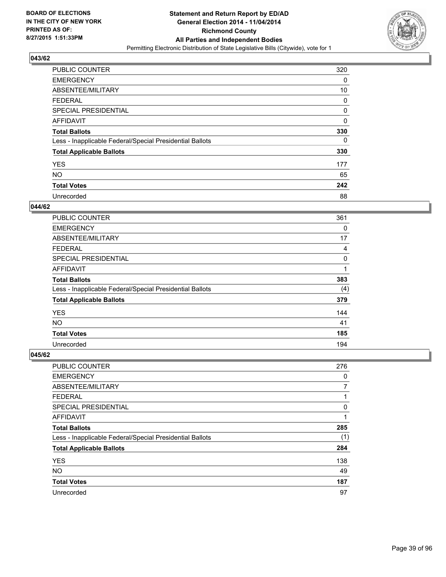

| <b>PUBLIC COUNTER</b>                                    | 320 |
|----------------------------------------------------------|-----|
| <b>EMERGENCY</b>                                         | 0   |
| ABSENTEE/MILITARY                                        | 10  |
| <b>FEDERAL</b>                                           | 0   |
| <b>SPECIAL PRESIDENTIAL</b>                              | 0   |
| AFFIDAVIT                                                | 0   |
| <b>Total Ballots</b>                                     | 330 |
| Less - Inapplicable Federal/Special Presidential Ballots | 0   |
| <b>Total Applicable Ballots</b>                          | 330 |
| <b>YES</b>                                               | 177 |
| <b>NO</b>                                                | 65  |
| <b>Total Votes</b>                                       | 242 |
| Unrecorded                                               | 88  |

#### **044/62**

| <b>PUBLIC COUNTER</b>                                    | 361 |
|----------------------------------------------------------|-----|
| <b>EMERGENCY</b>                                         | 0   |
| ABSENTEE/MILITARY                                        | 17  |
| <b>FEDERAL</b>                                           | 4   |
| <b>SPECIAL PRESIDENTIAL</b>                              | 0   |
| <b>AFFIDAVIT</b>                                         | 1   |
| <b>Total Ballots</b>                                     | 383 |
| Less - Inapplicable Federal/Special Presidential Ballots | (4) |
| <b>Total Applicable Ballots</b>                          | 379 |
| <b>YES</b>                                               | 144 |
| <b>NO</b>                                                | 41  |
| <b>Total Votes</b>                                       | 185 |
| Unrecorded                                               | 194 |

| PUBLIC COUNTER                                           | 276 |
|----------------------------------------------------------|-----|
| <b>EMERGENCY</b>                                         | 0   |
| ABSENTEE/MILITARY                                        | 7   |
| <b>FEDERAL</b>                                           |     |
| <b>SPECIAL PRESIDENTIAL</b>                              | 0   |
| AFFIDAVIT                                                |     |
| <b>Total Ballots</b>                                     | 285 |
| Less - Inapplicable Federal/Special Presidential Ballots | (1) |
| <b>Total Applicable Ballots</b>                          | 284 |
| <b>YES</b>                                               | 138 |
| <b>NO</b>                                                | 49  |
| <b>Total Votes</b>                                       | 187 |
| Unrecorded                                               | 97  |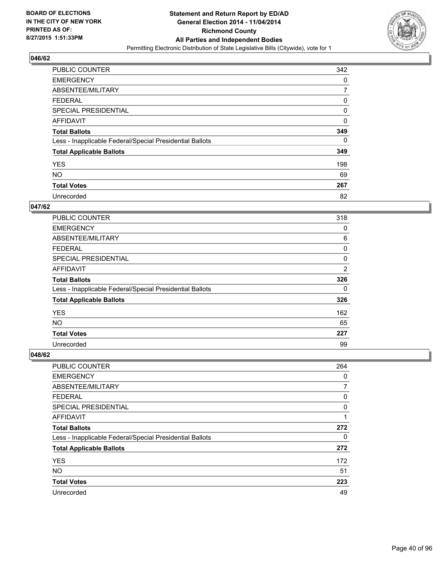

| <b>PUBLIC COUNTER</b>                                    | 342 |
|----------------------------------------------------------|-----|
| <b>EMERGENCY</b>                                         | 0   |
| ABSENTEE/MILITARY                                        | 7   |
| <b>FEDERAL</b>                                           | 0   |
| <b>SPECIAL PRESIDENTIAL</b>                              | 0   |
| AFFIDAVIT                                                | 0   |
| <b>Total Ballots</b>                                     | 349 |
| Less - Inapplicable Federal/Special Presidential Ballots | 0   |
| <b>Total Applicable Ballots</b>                          | 349 |
| <b>YES</b>                                               | 198 |
| <b>NO</b>                                                | 69  |
| <b>Total Votes</b>                                       | 267 |
| Unrecorded                                               | 82  |

### **047/62**

| PUBLIC COUNTER                                           | 318            |
|----------------------------------------------------------|----------------|
| <b>EMERGENCY</b>                                         | 0              |
| ABSENTEE/MILITARY                                        | 6              |
| FEDERAL                                                  | 0              |
| <b>SPECIAL PRESIDENTIAL</b>                              | 0              |
| <b>AFFIDAVIT</b>                                         | $\overline{2}$ |
| <b>Total Ballots</b>                                     | 326            |
| Less - Inapplicable Federal/Special Presidential Ballots | 0              |
| <b>Total Applicable Ballots</b>                          | 326            |
| <b>YES</b>                                               | 162            |
| <b>NO</b>                                                | 65             |
| <b>Total Votes</b>                                       | 227            |
| Unrecorded                                               | 99             |

| PUBLIC COUNTER                                           | 264 |
|----------------------------------------------------------|-----|
| <b>EMERGENCY</b>                                         | 0   |
| ABSENTEE/MILITARY                                        | 7   |
| FEDERAL                                                  | 0   |
| <b>SPECIAL PRESIDENTIAL</b>                              | 0   |
| AFFIDAVIT                                                |     |
| <b>Total Ballots</b>                                     | 272 |
| Less - Inapplicable Federal/Special Presidential Ballots | 0   |
| <b>Total Applicable Ballots</b>                          | 272 |
| <b>YES</b>                                               | 172 |
| <b>NO</b>                                                | 51  |
| <b>Total Votes</b>                                       | 223 |
| Unrecorded                                               | 49  |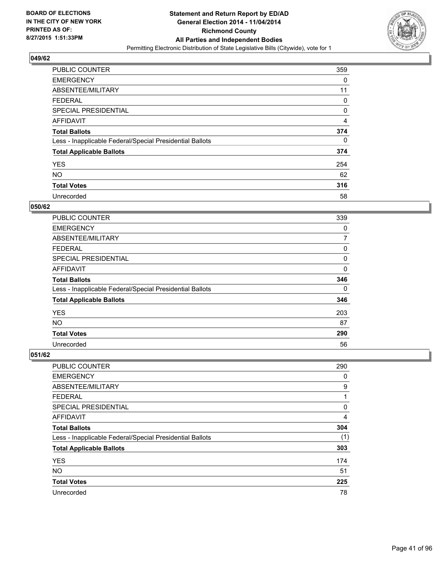

| <b>PUBLIC COUNTER</b>                                    | 359 |
|----------------------------------------------------------|-----|
| <b>EMERGENCY</b>                                         | 0   |
| ABSENTEE/MILITARY                                        | 11  |
| <b>FEDERAL</b>                                           | 0   |
| <b>SPECIAL PRESIDENTIAL</b>                              | 0   |
| AFFIDAVIT                                                | 4   |
| <b>Total Ballots</b>                                     | 374 |
| Less - Inapplicable Federal/Special Presidential Ballots | 0   |
| <b>Total Applicable Ballots</b>                          | 374 |
| <b>YES</b>                                               | 254 |
| <b>NO</b>                                                | 62  |
| <b>Total Votes</b>                                       | 316 |
| Unrecorded                                               | 58  |

#### **050/62**

| PUBLIC COUNTER                                           | 339         |
|----------------------------------------------------------|-------------|
| <b>EMERGENCY</b>                                         | 0           |
| ABSENTEE/MILITARY                                        | 7           |
| <b>FEDERAL</b>                                           | 0           |
| <b>SPECIAL PRESIDENTIAL</b>                              | 0           |
| <b>AFFIDAVIT</b>                                         | $\mathbf 0$ |
| <b>Total Ballots</b>                                     | 346         |
| Less - Inapplicable Federal/Special Presidential Ballots | 0           |
| <b>Total Applicable Ballots</b>                          | 346         |
| <b>YES</b>                                               | 203         |
| NO.                                                      | 87          |
| <b>Total Votes</b>                                       | 290         |
| Unrecorded                                               | 56          |

| PUBLIC COUNTER                                           | 290 |
|----------------------------------------------------------|-----|
| <b>EMERGENCY</b>                                         | 0   |
| ABSENTEE/MILITARY                                        | 9   |
| <b>FEDERAL</b>                                           | 1   |
| <b>SPECIAL PRESIDENTIAL</b>                              | 0   |
| AFFIDAVIT                                                | 4   |
| <b>Total Ballots</b>                                     | 304 |
| Less - Inapplicable Federal/Special Presidential Ballots | (1) |
| <b>Total Applicable Ballots</b>                          | 303 |
| <b>YES</b>                                               | 174 |
| <b>NO</b>                                                | 51  |
| <b>Total Votes</b>                                       | 225 |
| Unrecorded                                               | 78  |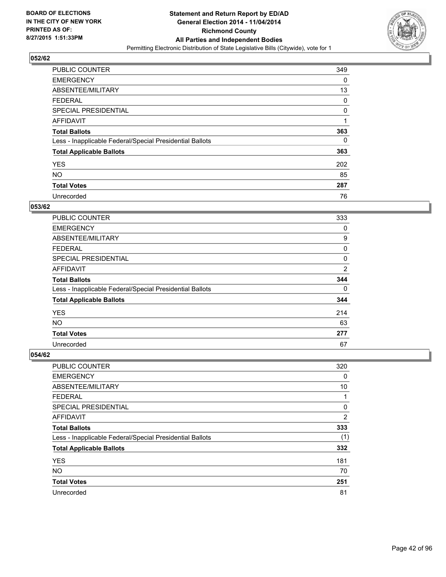

| <b>PUBLIC COUNTER</b>                                    | 349 |
|----------------------------------------------------------|-----|
| <b>EMERGENCY</b>                                         | 0   |
| ABSENTEE/MILITARY                                        | 13  |
| <b>FEDERAL</b>                                           | 0   |
| SPECIAL PRESIDENTIAL                                     | 0   |
| AFFIDAVIT                                                | 1   |
| <b>Total Ballots</b>                                     | 363 |
| Less - Inapplicable Federal/Special Presidential Ballots | 0   |
| <b>Total Applicable Ballots</b>                          | 363 |
| <b>YES</b>                                               | 202 |
| <b>NO</b>                                                | 85  |
| <b>Total Votes</b>                                       | 287 |
| Unrecorded                                               | 76  |

### **053/62**

| PUBLIC COUNTER                                           | 333            |
|----------------------------------------------------------|----------------|
| <b>EMERGENCY</b>                                         | 0              |
| ABSENTEE/MILITARY                                        | 9              |
| FEDERAL                                                  | 0              |
| <b>SPECIAL PRESIDENTIAL</b>                              | 0              |
| <b>AFFIDAVIT</b>                                         | $\overline{2}$ |
| <b>Total Ballots</b>                                     | 344            |
| Less - Inapplicable Federal/Special Presidential Ballots | 0              |
| <b>Total Applicable Ballots</b>                          | 344            |
| <b>YES</b>                                               | 214            |
| <b>NO</b>                                                | 63             |
| <b>Total Votes</b>                                       | 277            |
| Unrecorded                                               | 67             |

| PUBLIC COUNTER                                           | 320            |
|----------------------------------------------------------|----------------|
| <b>EMERGENCY</b>                                         | 0              |
| ABSENTEE/MILITARY                                        | 10             |
| <b>FEDERAL</b>                                           | 1              |
| <b>SPECIAL PRESIDENTIAL</b>                              | 0              |
| AFFIDAVIT                                                | $\overline{2}$ |
| <b>Total Ballots</b>                                     | 333            |
| Less - Inapplicable Federal/Special Presidential Ballots | (1)            |
| <b>Total Applicable Ballots</b>                          | 332            |
| <b>YES</b>                                               | 181            |
| <b>NO</b>                                                | 70             |
| <b>Total Votes</b>                                       | 251            |
| Unrecorded                                               | 81             |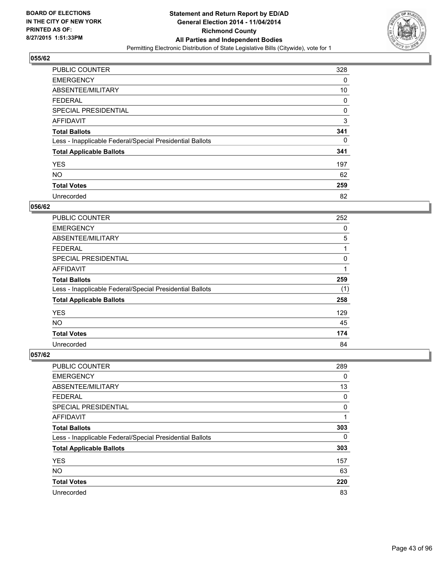

| <b>PUBLIC COUNTER</b>                                    | 328 |
|----------------------------------------------------------|-----|
| <b>EMERGENCY</b>                                         | 0   |
| ABSENTEE/MILITARY                                        | 10  |
| <b>FEDERAL</b>                                           | 0   |
| <b>SPECIAL PRESIDENTIAL</b>                              | 0   |
| AFFIDAVIT                                                | 3   |
| <b>Total Ballots</b>                                     | 341 |
| Less - Inapplicable Federal/Special Presidential Ballots | 0   |
| <b>Total Applicable Ballots</b>                          | 341 |
| <b>YES</b>                                               | 197 |
| <b>NO</b>                                                | 62  |
| <b>Total Votes</b>                                       | 259 |
| Unrecorded                                               | 82  |

#### **056/62**

| <b>PUBLIC COUNTER</b>                                    | 252 |
|----------------------------------------------------------|-----|
| <b>EMERGENCY</b>                                         | 0   |
| ABSENTEE/MILITARY                                        | 5   |
| <b>FEDERAL</b>                                           | 1   |
| <b>SPECIAL PRESIDENTIAL</b>                              | 0   |
| <b>AFFIDAVIT</b>                                         | 1   |
| <b>Total Ballots</b>                                     | 259 |
| Less - Inapplicable Federal/Special Presidential Ballots | (1) |
| <b>Total Applicable Ballots</b>                          | 258 |
| <b>YES</b>                                               | 129 |
| <b>NO</b>                                                | 45  |
| <b>Total Votes</b>                                       | 174 |
| Unrecorded                                               | 84  |

| PUBLIC COUNTER                                           | 289 |
|----------------------------------------------------------|-----|
| <b>EMERGENCY</b>                                         | 0   |
| ABSENTEE/MILITARY                                        | 13  |
| <b>FEDERAL</b>                                           | 0   |
| <b>SPECIAL PRESIDENTIAL</b>                              | 0   |
| AFFIDAVIT                                                | 1   |
| <b>Total Ballots</b>                                     | 303 |
| Less - Inapplicable Federal/Special Presidential Ballots | 0   |
| <b>Total Applicable Ballots</b>                          | 303 |
| <b>YES</b>                                               | 157 |
| <b>NO</b>                                                | 63  |
| <b>Total Votes</b>                                       | 220 |
| Unrecorded                                               | 83  |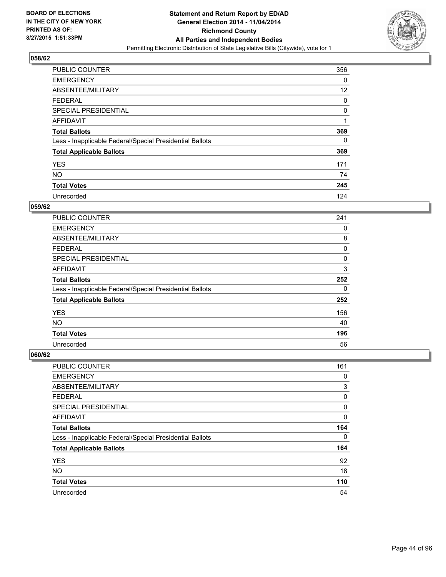

| <b>PUBLIC COUNTER</b>                                    | 356 |
|----------------------------------------------------------|-----|
| <b>EMERGENCY</b>                                         | 0   |
| ABSENTEE/MILITARY                                        | 12  |
| <b>FEDERAL</b>                                           | 0   |
| <b>SPECIAL PRESIDENTIAL</b>                              | 0   |
| AFFIDAVIT                                                | 1   |
| <b>Total Ballots</b>                                     | 369 |
| Less - Inapplicable Federal/Special Presidential Ballots | 0   |
| <b>Total Applicable Ballots</b>                          | 369 |
| <b>YES</b>                                               | 171 |
| <b>NO</b>                                                | 74  |
| <b>Total Votes</b>                                       | 245 |
| Unrecorded                                               | 124 |

#### **059/62**

| PUBLIC COUNTER                                           | 241 |
|----------------------------------------------------------|-----|
| <b>EMERGENCY</b>                                         | 0   |
| ABSENTEE/MILITARY                                        | 8   |
| <b>FEDERAL</b>                                           | 0   |
| <b>SPECIAL PRESIDENTIAL</b>                              | 0   |
| <b>AFFIDAVIT</b>                                         | 3   |
| <b>Total Ballots</b>                                     | 252 |
| Less - Inapplicable Federal/Special Presidential Ballots | 0   |
| <b>Total Applicable Ballots</b>                          | 252 |
| <b>YES</b>                                               | 156 |
| <b>NO</b>                                                | 40  |
| <b>Total Votes</b>                                       | 196 |
| Unrecorded                                               | 56  |

| PUBLIC COUNTER                                           | 161 |
|----------------------------------------------------------|-----|
| <b>EMERGENCY</b>                                         | 0   |
| ABSENTEE/MILITARY                                        | 3   |
| <b>FEDERAL</b>                                           | 0   |
| <b>SPECIAL PRESIDENTIAL</b>                              | 0   |
| AFFIDAVIT                                                | 0   |
| <b>Total Ballots</b>                                     | 164 |
| Less - Inapplicable Federal/Special Presidential Ballots | 0   |
| <b>Total Applicable Ballots</b>                          | 164 |
| <b>YES</b>                                               | 92  |
| <b>NO</b>                                                | 18  |
| <b>Total Votes</b>                                       | 110 |
| Unrecorded                                               | 54  |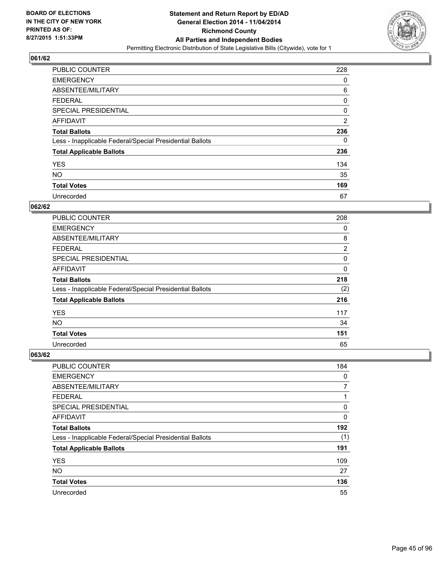

| <b>PUBLIC COUNTER</b>                                    | 228            |
|----------------------------------------------------------|----------------|
| <b>EMERGENCY</b>                                         | 0              |
| ABSENTEE/MILITARY                                        | 6              |
| <b>FEDERAL</b>                                           | 0              |
| SPECIAL PRESIDENTIAL                                     | 0              |
| AFFIDAVIT                                                | $\overline{2}$ |
| <b>Total Ballots</b>                                     | 236            |
| Less - Inapplicable Federal/Special Presidential Ballots | 0              |
| <b>Total Applicable Ballots</b>                          | 236            |
| <b>YES</b>                                               | 134            |
| <b>NO</b>                                                | 35             |
| <b>Total Votes</b>                                       | 169            |
| Unrecorded                                               | 67             |

### **062/62**

| PUBLIC COUNTER                                           | 208            |
|----------------------------------------------------------|----------------|
| <b>EMERGENCY</b>                                         | 0              |
| ABSENTEE/MILITARY                                        | 8              |
| <b>FEDERAL</b>                                           | $\overline{2}$ |
| <b>SPECIAL PRESIDENTIAL</b>                              | 0              |
| <b>AFFIDAVIT</b>                                         | 0              |
| <b>Total Ballots</b>                                     | 218            |
| Less - Inapplicable Federal/Special Presidential Ballots | (2)            |
| <b>Total Applicable Ballots</b>                          | 216            |
| <b>YES</b>                                               | 117            |
| <b>NO</b>                                                | 34             |
| <b>Total Votes</b>                                       | 151            |
| Unrecorded                                               | 65             |

| PUBLIC COUNTER                                           | 184 |
|----------------------------------------------------------|-----|
| <b>EMERGENCY</b>                                         | 0   |
| ABSENTEE/MILITARY                                        | 7   |
| <b>FEDERAL</b>                                           | 1   |
| <b>SPECIAL PRESIDENTIAL</b>                              | 0   |
| AFFIDAVIT                                                | 0   |
| <b>Total Ballots</b>                                     | 192 |
| Less - Inapplicable Federal/Special Presidential Ballots | (1) |
| <b>Total Applicable Ballots</b>                          | 191 |
| <b>YES</b>                                               | 109 |
| <b>NO</b>                                                | 27  |
| <b>Total Votes</b>                                       | 136 |
| Unrecorded                                               | 55  |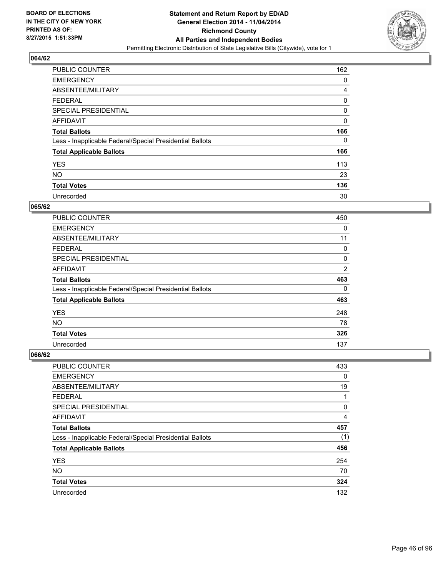

| <b>PUBLIC COUNTER</b>                                    | 162 |
|----------------------------------------------------------|-----|
| <b>EMERGENCY</b>                                         | 0   |
| ABSENTEE/MILITARY                                        | 4   |
| <b>FEDERAL</b>                                           | 0   |
| <b>SPECIAL PRESIDENTIAL</b>                              | 0   |
| AFFIDAVIT                                                | 0   |
| <b>Total Ballots</b>                                     | 166 |
| Less - Inapplicable Federal/Special Presidential Ballots | 0   |
| <b>Total Applicable Ballots</b>                          | 166 |
| <b>YES</b>                                               | 113 |
| <b>NO</b>                                                | 23  |
| <b>Total Votes</b>                                       | 136 |
| Unrecorded                                               | 30  |

#### **065/62**

| PUBLIC COUNTER                                           | 450            |
|----------------------------------------------------------|----------------|
| <b>EMERGENCY</b>                                         | 0              |
| ABSENTEE/MILITARY                                        | 11             |
| <b>FEDERAL</b>                                           | 0              |
| <b>SPECIAL PRESIDENTIAL</b>                              | 0              |
| <b>AFFIDAVIT</b>                                         | $\overline{2}$ |
| <b>Total Ballots</b>                                     | 463            |
| Less - Inapplicable Federal/Special Presidential Ballots | 0              |
| <b>Total Applicable Ballots</b>                          | 463            |
| <b>YES</b>                                               | 248            |
| NO.                                                      | 78             |
| <b>Total Votes</b>                                       | 326            |
| Unrecorded                                               | 137            |

| PUBLIC COUNTER                                           | 433 |
|----------------------------------------------------------|-----|
| <b>EMERGENCY</b>                                         | 0   |
| ABSENTEE/MILITARY                                        | 19  |
| <b>FEDERAL</b>                                           | 1   |
| <b>SPECIAL PRESIDENTIAL</b>                              | 0   |
| AFFIDAVIT                                                | 4   |
| <b>Total Ballots</b>                                     | 457 |
| Less - Inapplicable Federal/Special Presidential Ballots | (1) |
| <b>Total Applicable Ballots</b>                          | 456 |
| <b>YES</b>                                               | 254 |
| <b>NO</b>                                                | 70  |
| <b>Total Votes</b>                                       | 324 |
| Unrecorded                                               | 132 |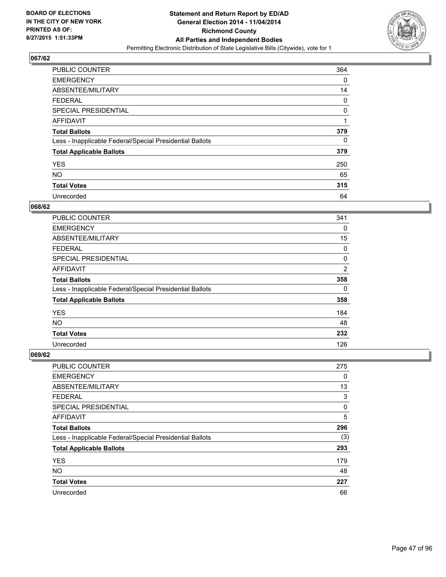

| PUBLIC COUNTER                                           | 364 |
|----------------------------------------------------------|-----|
| <b>EMERGENCY</b>                                         | 0   |
| ABSENTEE/MILITARY                                        | 14  |
| <b>FEDERAL</b>                                           | 0   |
| <b>SPECIAL PRESIDENTIAL</b>                              | 0   |
| AFFIDAVIT                                                | 1   |
| <b>Total Ballots</b>                                     | 379 |
| Less - Inapplicable Federal/Special Presidential Ballots | 0   |
| <b>Total Applicable Ballots</b>                          | 379 |
| <b>YES</b>                                               | 250 |
| <b>NO</b>                                                | 65  |
| <b>Total Votes</b>                                       | 315 |
| Unrecorded                                               | 64  |

#### **068/62**

| PUBLIC COUNTER                                           | 341            |
|----------------------------------------------------------|----------------|
| <b>EMERGENCY</b>                                         | 0              |
| ABSENTEE/MILITARY                                        | 15             |
| <b>FEDERAL</b>                                           | 0              |
| <b>SPECIAL PRESIDENTIAL</b>                              | 0              |
| <b>AFFIDAVIT</b>                                         | $\overline{2}$ |
| <b>Total Ballots</b>                                     | 358            |
| Less - Inapplicable Federal/Special Presidential Ballots | 0              |
| <b>Total Applicable Ballots</b>                          | 358            |
| <b>YES</b>                                               | 184            |
| <b>NO</b>                                                | 48             |
| <b>Total Votes</b>                                       | 232            |
| Unrecorded                                               | 126            |

| PUBLIC COUNTER                                           | 275 |
|----------------------------------------------------------|-----|
| <b>EMERGENCY</b>                                         | 0   |
| ABSENTEE/MILITARY                                        | 13  |
| <b>FEDERAL</b>                                           | 3   |
| <b>SPECIAL PRESIDENTIAL</b>                              | 0   |
| AFFIDAVIT                                                | 5   |
| <b>Total Ballots</b>                                     | 296 |
| Less - Inapplicable Federal/Special Presidential Ballots | (3) |
| <b>Total Applicable Ballots</b>                          | 293 |
| <b>YES</b>                                               | 179 |
| <b>NO</b>                                                | 48  |
| <b>Total Votes</b>                                       | 227 |
| Unrecorded                                               | 66  |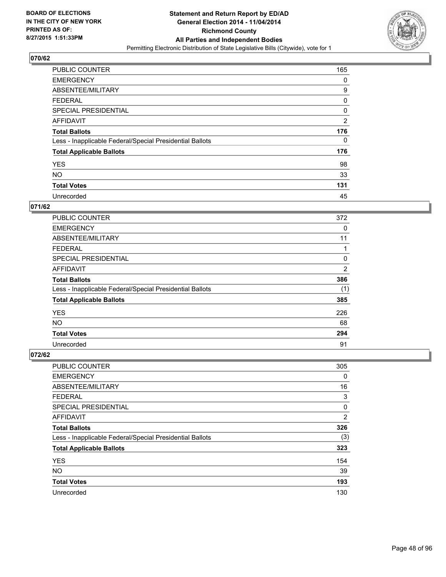

| <b>PUBLIC COUNTER</b>                                    | 165            |
|----------------------------------------------------------|----------------|
| <b>EMERGENCY</b>                                         | 0              |
| ABSENTEE/MILITARY                                        | 9              |
| <b>FEDERAL</b>                                           | 0              |
| SPECIAL PRESIDENTIAL                                     | 0              |
| AFFIDAVIT                                                | $\overline{2}$ |
| <b>Total Ballots</b>                                     | 176            |
| Less - Inapplicable Federal/Special Presidential Ballots | 0              |
| <b>Total Applicable Ballots</b>                          | 176            |
| <b>YES</b>                                               | 98             |
| <b>NO</b>                                                | 33             |
| <b>Total Votes</b>                                       | 131            |
| Unrecorded                                               | 45             |

### **071/62**

| PUBLIC COUNTER                                           | 372            |
|----------------------------------------------------------|----------------|
| <b>EMERGENCY</b>                                         | 0              |
| ABSENTEE/MILITARY                                        | 11             |
| <b>FEDERAL</b>                                           |                |
| <b>SPECIAL PRESIDENTIAL</b>                              | 0              |
| <b>AFFIDAVIT</b>                                         | $\overline{2}$ |
| <b>Total Ballots</b>                                     | 386            |
| Less - Inapplicable Federal/Special Presidential Ballots | (1)            |
| <b>Total Applicable Ballots</b>                          | 385            |
| <b>YES</b>                                               | 226            |
| <b>NO</b>                                                | 68             |
| <b>Total Votes</b>                                       | 294            |
| Unrecorded                                               | 91             |

| <b>PUBLIC COUNTER</b>                                    | 305            |
|----------------------------------------------------------|----------------|
| <b>EMERGENCY</b>                                         | 0              |
| ABSENTEE/MILITARY                                        | 16             |
| <b>FEDERAL</b>                                           | 3              |
| SPECIAL PRESIDENTIAL                                     | 0              |
| AFFIDAVIT                                                | $\overline{2}$ |
| <b>Total Ballots</b>                                     | 326            |
| Less - Inapplicable Federal/Special Presidential Ballots | (3)            |
| <b>Total Applicable Ballots</b>                          | 323            |
| <b>YES</b>                                               | 154            |
| <b>NO</b>                                                | 39             |
| <b>Total Votes</b>                                       | 193            |
| Unrecorded                                               | 130            |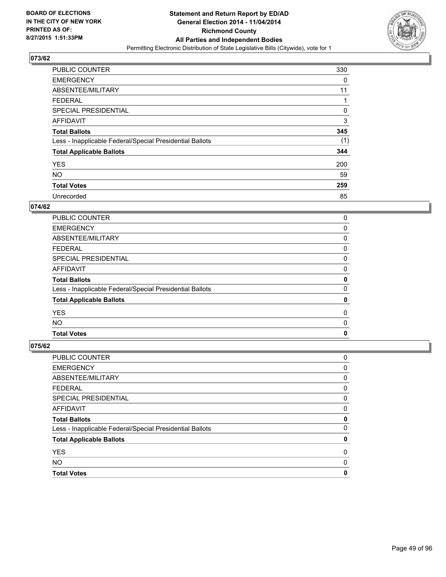

| <b>PUBLIC COUNTER</b>                                    | 330 |
|----------------------------------------------------------|-----|
| <b>EMERGENCY</b>                                         | 0   |
| ABSENTEE/MILITARY                                        | 11  |
| <b>FEDERAL</b>                                           |     |
| <b>SPECIAL PRESIDENTIAL</b>                              | 0   |
| AFFIDAVIT                                                | 3   |
| <b>Total Ballots</b>                                     | 345 |
| Less - Inapplicable Federal/Special Presidential Ballots | (1) |
| <b>Total Applicable Ballots</b>                          | 344 |
| <b>YES</b>                                               | 200 |
| <b>NO</b>                                                | 59  |
| <b>Total Votes</b>                                       | 259 |
| Unrecorded                                               | 85  |

### **074/62**

| <b>PUBLIC COUNTER</b>                                    | 0           |
|----------------------------------------------------------|-------------|
| <b>EMERGENCY</b>                                         | 0           |
| ABSENTEE/MILITARY                                        | 0           |
| <b>FEDERAL</b>                                           | 0           |
| SPECIAL PRESIDENTIAL                                     | 0           |
| AFFIDAVIT                                                | 0           |
| <b>Total Ballots</b>                                     | 0           |
| Less - Inapplicable Federal/Special Presidential Ballots | 0           |
| <b>Total Applicable Ballots</b>                          | 0           |
| <b>YES</b>                                               | 0           |
| <b>NO</b>                                                | 0           |
| <b>Total Votes</b>                                       | $\mathbf 0$ |

| <b>PUBLIC COUNTER</b>                                    | 0 |
|----------------------------------------------------------|---|
| <b>EMERGENCY</b>                                         | 0 |
| ABSENTEE/MILITARY                                        | 0 |
| <b>FEDERAL</b>                                           | 0 |
| SPECIAL PRESIDENTIAL                                     | 0 |
| <b>AFFIDAVIT</b>                                         | 0 |
|                                                          |   |
| <b>Total Ballots</b>                                     | 0 |
| Less - Inapplicable Federal/Special Presidential Ballots | 0 |
| <b>Total Applicable Ballots</b>                          | 0 |
| <b>YES</b>                                               | 0 |
| <b>NO</b>                                                | 0 |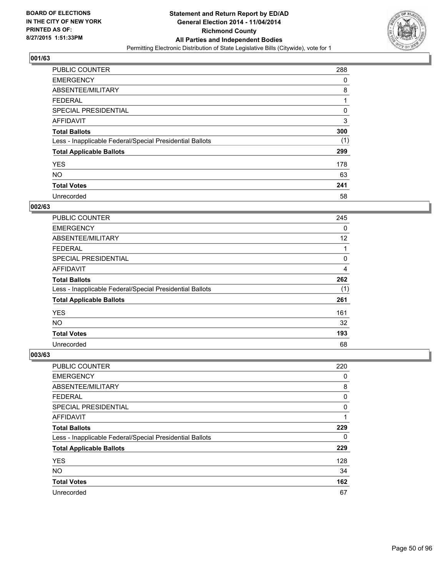

| <b>PUBLIC COUNTER</b>                                    | 288 |
|----------------------------------------------------------|-----|
| <b>EMERGENCY</b>                                         | 0   |
| ABSENTEE/MILITARY                                        | 8   |
| <b>FEDERAL</b>                                           | 1   |
| SPECIAL PRESIDENTIAL                                     | 0   |
| AFFIDAVIT                                                | 3   |
| <b>Total Ballots</b>                                     | 300 |
| Less - Inapplicable Federal/Special Presidential Ballots | (1) |
| <b>Total Applicable Ballots</b>                          | 299 |
| <b>YES</b>                                               | 178 |
| <b>NO</b>                                                | 63  |
| <b>Total Votes</b>                                       | 241 |
| Unrecorded                                               | 58  |

### **002/63**

| <b>PUBLIC COUNTER</b>                                    | 245 |
|----------------------------------------------------------|-----|
| <b>EMERGENCY</b>                                         | 0   |
| ABSENTEE/MILITARY                                        | 12  |
| <b>FEDERAL</b>                                           | 1   |
| <b>SPECIAL PRESIDENTIAL</b>                              | 0   |
| <b>AFFIDAVIT</b>                                         | 4   |
| <b>Total Ballots</b>                                     | 262 |
| Less - Inapplicable Federal/Special Presidential Ballots | (1) |
| <b>Total Applicable Ballots</b>                          | 261 |
| <b>YES</b>                                               | 161 |
| <b>NO</b>                                                | 32  |
| <b>Total Votes</b>                                       | 193 |
| Unrecorded                                               | 68  |

| PUBLIC COUNTER                                           | 220 |
|----------------------------------------------------------|-----|
| <b>EMERGENCY</b>                                         | 0   |
| ABSENTEE/MILITARY                                        | 8   |
| <b>FEDERAL</b>                                           | 0   |
| SPECIAL PRESIDENTIAL                                     | 0   |
| AFFIDAVIT                                                | 1   |
| <b>Total Ballots</b>                                     | 229 |
| Less - Inapplicable Federal/Special Presidential Ballots | 0   |
| <b>Total Applicable Ballots</b>                          | 229 |
| <b>YES</b>                                               | 128 |
| <b>NO</b>                                                | 34  |
| <b>Total Votes</b>                                       | 162 |
| Unrecorded                                               | 67  |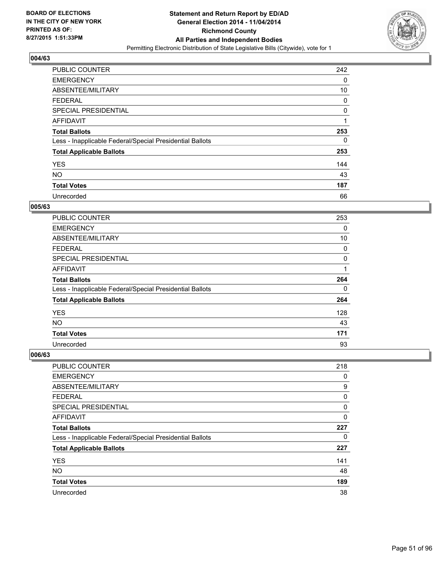

| <b>PUBLIC COUNTER</b>                                    | 242 |
|----------------------------------------------------------|-----|
| <b>EMERGENCY</b>                                         | 0   |
| ABSENTEE/MILITARY                                        | 10  |
| <b>FEDERAL</b>                                           | 0   |
| <b>SPECIAL PRESIDENTIAL</b>                              | 0   |
| <b>AFFIDAVIT</b>                                         | 4   |
| <b>Total Ballots</b>                                     | 253 |
| Less - Inapplicable Federal/Special Presidential Ballots | 0   |
| <b>Total Applicable Ballots</b>                          | 253 |
| <b>YES</b>                                               | 144 |
| <b>NO</b>                                                | 43  |
| <b>Total Votes</b>                                       | 187 |
| Unrecorded                                               | 66  |

#### **005/63**

| PUBLIC COUNTER                                           | 253 |
|----------------------------------------------------------|-----|
| <b>EMERGENCY</b>                                         | 0   |
| ABSENTEE/MILITARY                                        | 10  |
| FEDERAL                                                  | 0   |
| <b>SPECIAL PRESIDENTIAL</b>                              | 0   |
| <b>AFFIDAVIT</b>                                         | 1   |
| <b>Total Ballots</b>                                     | 264 |
| Less - Inapplicable Federal/Special Presidential Ballots | 0   |
| <b>Total Applicable Ballots</b>                          | 264 |
| <b>YES</b>                                               | 128 |
| <b>NO</b>                                                | 43  |
| <b>Total Votes</b>                                       | 171 |
| Unrecorded                                               | 93  |

| PUBLIC COUNTER                                           | 218 |
|----------------------------------------------------------|-----|
| <b>EMERGENCY</b>                                         | 0   |
| ABSENTEE/MILITARY                                        | 9   |
| <b>FEDERAL</b>                                           | 0   |
| <b>SPECIAL PRESIDENTIAL</b>                              | 0   |
| AFFIDAVIT                                                | 0   |
| <b>Total Ballots</b>                                     | 227 |
| Less - Inapplicable Federal/Special Presidential Ballots | 0   |
| <b>Total Applicable Ballots</b>                          | 227 |
| <b>YES</b>                                               | 141 |
| <b>NO</b>                                                | 48  |
| <b>Total Votes</b>                                       | 189 |
| Unrecorded                                               | 38  |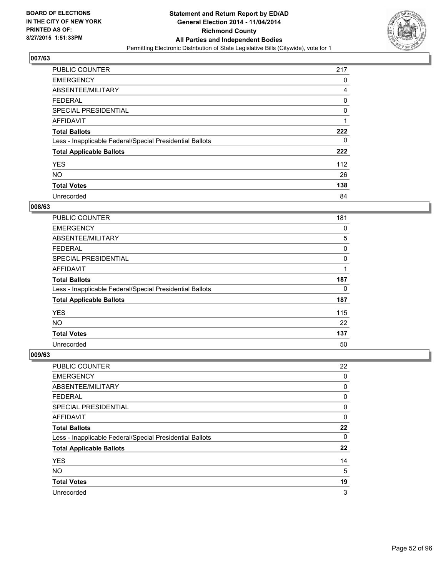

| <b>PUBLIC COUNTER</b>                                    | 217 |
|----------------------------------------------------------|-----|
| <b>EMERGENCY</b>                                         | 0   |
| ABSENTEE/MILITARY                                        | 4   |
| <b>FEDERAL</b>                                           | 0   |
| SPECIAL PRESIDENTIAL                                     | 0   |
| AFFIDAVIT                                                | 1   |
| <b>Total Ballots</b>                                     | 222 |
| Less - Inapplicable Federal/Special Presidential Ballots | 0   |
| <b>Total Applicable Ballots</b>                          | 222 |
| <b>YES</b>                                               | 112 |
| <b>NO</b>                                                | 26  |
| <b>Total Votes</b>                                       | 138 |
| Unrecorded                                               | 84  |

### **008/63**

| PUBLIC COUNTER                                           | 181 |
|----------------------------------------------------------|-----|
| <b>EMERGENCY</b>                                         | 0   |
| ABSENTEE/MILITARY                                        | 5   |
| FEDERAL                                                  | 0   |
| <b>SPECIAL PRESIDENTIAL</b>                              | 0   |
| <b>AFFIDAVIT</b>                                         |     |
| <b>Total Ballots</b>                                     | 187 |
| Less - Inapplicable Federal/Special Presidential Ballots | 0   |
| <b>Total Applicable Ballots</b>                          | 187 |
| <b>YES</b>                                               | 115 |
| <b>NO</b>                                                | 22  |
| <b>Total Votes</b>                                       | 137 |
| Unrecorded                                               | 50  |

| PUBLIC COUNTER                                           | 22 |
|----------------------------------------------------------|----|
| <b>EMERGENCY</b>                                         | 0  |
| ABSENTEE/MILITARY                                        | 0  |
| <b>FEDERAL</b>                                           | 0  |
| <b>SPECIAL PRESIDENTIAL</b>                              | 0  |
| AFFIDAVIT                                                | 0  |
| <b>Total Ballots</b>                                     | 22 |
| Less - Inapplicable Federal/Special Presidential Ballots | 0  |
| <b>Total Applicable Ballots</b>                          | 22 |
| <b>YES</b>                                               | 14 |
| <b>NO</b>                                                | 5  |
| <b>Total Votes</b>                                       | 19 |
| Unrecorded                                               | 3  |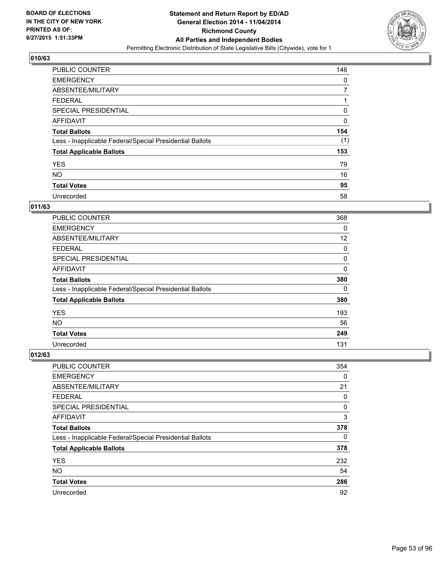

| PUBLIC COUNTER                                           | 146 |
|----------------------------------------------------------|-----|
| <b>EMERGENCY</b>                                         | 0   |
| ABSENTEE/MILITARY                                        | 7   |
| <b>FEDERAL</b>                                           | 1   |
| SPECIAL PRESIDENTIAL                                     | 0   |
| AFFIDAVIT                                                | 0   |
| <b>Total Ballots</b>                                     | 154 |
| Less - Inapplicable Federal/Special Presidential Ballots | (1) |
| <b>Total Applicable Ballots</b>                          | 153 |
| <b>YES</b>                                               | 79  |
| <b>NO</b>                                                | 16  |
| <b>Total Votes</b>                                       | 95  |
| Unrecorded                                               | 58  |

# **011/63**

| PUBLIC COUNTER                                           | 368      |
|----------------------------------------------------------|----------|
| <b>EMERGENCY</b>                                         | $\Omega$ |
| ABSENTEE/MILITARY                                        | 12       |
| FEDERAL                                                  | 0        |
| <b>SPECIAL PRESIDENTIAL</b>                              | 0        |
| <b>AFFIDAVIT</b>                                         | 0        |
| <b>Total Ballots</b>                                     | 380      |
| Less - Inapplicable Federal/Special Presidential Ballots | 0        |
| <b>Total Applicable Ballots</b>                          | 380      |
| <b>YES</b>                                               | 193      |
| <b>NO</b>                                                | 56       |
| <b>Total Votes</b>                                       | 249      |
| Unrecorded                                               | 131      |

| PUBLIC COUNTER                                           | 354 |
|----------------------------------------------------------|-----|
| <b>EMERGENCY</b>                                         | 0   |
| ABSENTEE/MILITARY                                        | 21  |
| <b>FEDERAL</b>                                           | 0   |
| <b>SPECIAL PRESIDENTIAL</b>                              | 0   |
| AFFIDAVIT                                                | 3   |
| <b>Total Ballots</b>                                     | 378 |
| Less - Inapplicable Federal/Special Presidential Ballots | 0   |
| <b>Total Applicable Ballots</b>                          | 378 |
| <b>YES</b>                                               | 232 |
| <b>NO</b>                                                | 54  |
| <b>Total Votes</b>                                       | 286 |
| Unrecorded                                               | 92  |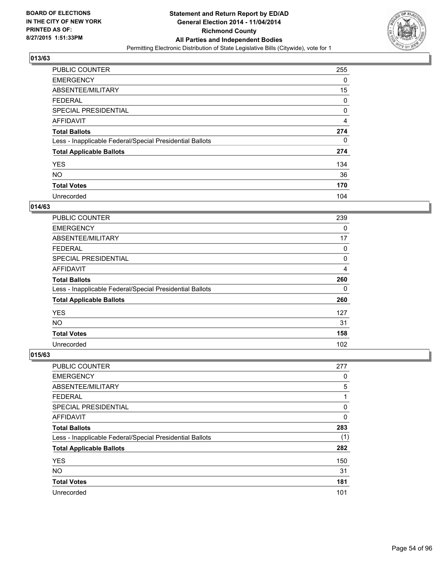

| <b>PUBLIC COUNTER</b>                                    | 255 |
|----------------------------------------------------------|-----|
| <b>EMERGENCY</b>                                         | 0   |
| ABSENTEE/MILITARY                                        | 15  |
| <b>FEDERAL</b>                                           | 0   |
| SPECIAL PRESIDENTIAL                                     | 0   |
| AFFIDAVIT                                                | 4   |
| <b>Total Ballots</b>                                     | 274 |
| Less - Inapplicable Federal/Special Presidential Ballots | 0   |
| <b>Total Applicable Ballots</b>                          | 274 |
| <b>YES</b>                                               | 134 |
| <b>NO</b>                                                | 36  |
| <b>Total Votes</b>                                       | 170 |
| Unrecorded                                               | 104 |

# **014/63**

| PUBLIC COUNTER                                           | 239 |
|----------------------------------------------------------|-----|
| <b>EMERGENCY</b>                                         | 0   |
| ABSENTEE/MILITARY                                        | 17  |
| FEDERAL                                                  | 0   |
| <b>SPECIAL PRESIDENTIAL</b>                              | 0   |
| <b>AFFIDAVIT</b>                                         | 4   |
| <b>Total Ballots</b>                                     | 260 |
| Less - Inapplicable Federal/Special Presidential Ballots | 0   |
| <b>Total Applicable Ballots</b>                          | 260 |
| <b>YES</b>                                               | 127 |
| <b>NO</b>                                                | 31  |
| <b>Total Votes</b>                                       | 158 |
| Unrecorded                                               | 102 |

| PUBLIC COUNTER                                           | 277 |
|----------------------------------------------------------|-----|
| <b>EMERGENCY</b>                                         | 0   |
| ABSENTEE/MILITARY                                        | 5   |
| <b>FEDERAL</b>                                           | 1   |
| <b>SPECIAL PRESIDENTIAL</b>                              | 0   |
| AFFIDAVIT                                                | 0   |
| <b>Total Ballots</b>                                     | 283 |
| Less - Inapplicable Federal/Special Presidential Ballots | (1) |
| <b>Total Applicable Ballots</b>                          | 282 |
| <b>YES</b>                                               | 150 |
| <b>NO</b>                                                | 31  |
| <b>Total Votes</b>                                       | 181 |
| Unrecorded                                               | 101 |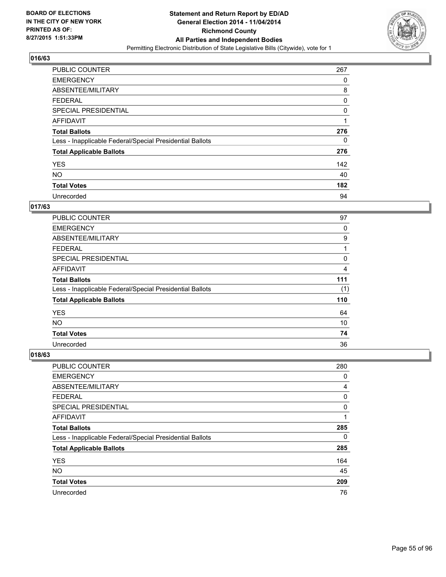

| <b>PUBLIC COUNTER</b>                                    | 267 |
|----------------------------------------------------------|-----|
| <b>EMERGENCY</b>                                         | 0   |
| ABSENTEE/MILITARY                                        | 8   |
| <b>FEDERAL</b>                                           | 0   |
| SPECIAL PRESIDENTIAL                                     | 0   |
| AFFIDAVIT                                                | 1   |
| <b>Total Ballots</b>                                     | 276 |
| Less - Inapplicable Federal/Special Presidential Ballots | 0   |
| <b>Total Applicable Ballots</b>                          | 276 |
| <b>YES</b>                                               | 142 |
| <b>NO</b>                                                | 40  |
| <b>Total Votes</b>                                       | 182 |
| Unrecorded                                               | 94  |

## **017/63**

| <b>PUBLIC COUNTER</b>                                    | 97  |
|----------------------------------------------------------|-----|
| <b>EMERGENCY</b>                                         | 0   |
| ABSENTEE/MILITARY                                        | 9   |
| FEDERAL                                                  | 1   |
| <b>SPECIAL PRESIDENTIAL</b>                              | 0   |
| <b>AFFIDAVIT</b>                                         | 4   |
| <b>Total Ballots</b>                                     | 111 |
| Less - Inapplicable Federal/Special Presidential Ballots | (1) |
| <b>Total Applicable Ballots</b>                          | 110 |
| <b>YES</b>                                               | 64  |
| <b>NO</b>                                                | 10  |
| <b>Total Votes</b>                                       | 74  |
| Unrecorded                                               | 36  |

| PUBLIC COUNTER                                           | 280 |
|----------------------------------------------------------|-----|
| <b>EMERGENCY</b>                                         | 0   |
| ABSENTEE/MILITARY                                        | 4   |
| <b>FEDERAL</b>                                           | 0   |
| <b>SPECIAL PRESIDENTIAL</b>                              | 0   |
| AFFIDAVIT                                                | 1   |
| <b>Total Ballots</b>                                     | 285 |
| Less - Inapplicable Federal/Special Presidential Ballots | 0   |
| <b>Total Applicable Ballots</b>                          | 285 |
| <b>YES</b>                                               | 164 |
| <b>NO</b>                                                | 45  |
| <b>Total Votes</b>                                       | 209 |
| Unrecorded                                               | 76  |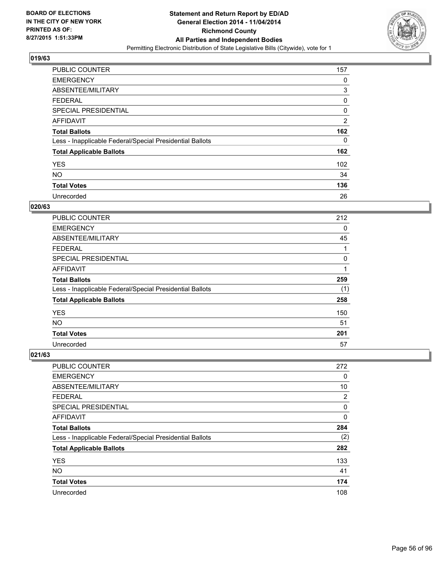

| <b>PUBLIC COUNTER</b>                                    | 157            |
|----------------------------------------------------------|----------------|
| <b>EMERGENCY</b>                                         | 0              |
| ABSENTEE/MILITARY                                        | 3              |
| <b>FEDERAL</b>                                           | 0              |
| SPECIAL PRESIDENTIAL                                     | 0              |
| AFFIDAVIT                                                | $\overline{2}$ |
| <b>Total Ballots</b>                                     | 162            |
| Less - Inapplicable Federal/Special Presidential Ballots | 0              |
| <b>Total Applicable Ballots</b>                          | 162            |
| <b>YES</b>                                               | 102            |
| <b>NO</b>                                                | 34             |
| <b>Total Votes</b>                                       | 136            |
| Unrecorded                                               | 26             |

# **020/63**

| <b>PUBLIC COUNTER</b>                                    | 212 |
|----------------------------------------------------------|-----|
| <b>EMERGENCY</b>                                         | 0   |
| ABSENTEE/MILITARY                                        | 45  |
| <b>FEDERAL</b>                                           |     |
| <b>SPECIAL PRESIDENTIAL</b>                              | 0   |
| <b>AFFIDAVIT</b>                                         |     |
| <b>Total Ballots</b>                                     | 259 |
| Less - Inapplicable Federal/Special Presidential Ballots | (1) |
| <b>Total Applicable Ballots</b>                          | 258 |
| <b>YES</b>                                               | 150 |
| <b>NO</b>                                                | 51  |
| <b>Total Votes</b>                                       | 201 |
| Unrecorded                                               | 57  |

| PUBLIC COUNTER                                           | 272 |
|----------------------------------------------------------|-----|
| <b>EMERGENCY</b>                                         | 0   |
| ABSENTEE/MILITARY                                        | 10  |
| <b>FEDERAL</b>                                           | 2   |
| <b>SPECIAL PRESIDENTIAL</b>                              | 0   |
| AFFIDAVIT                                                | 0   |
| <b>Total Ballots</b>                                     | 284 |
| Less - Inapplicable Federal/Special Presidential Ballots | (2) |
| <b>Total Applicable Ballots</b>                          | 282 |
| <b>YES</b>                                               | 133 |
| <b>NO</b>                                                | 41  |
| <b>Total Votes</b>                                       | 174 |
| Unrecorded                                               | 108 |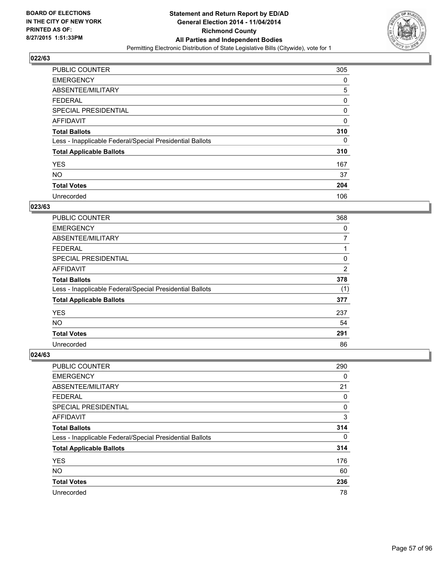

| PUBLIC COUNTER                                           | 305 |
|----------------------------------------------------------|-----|
| <b>EMERGENCY</b>                                         | 0   |
| ABSENTEE/MILITARY                                        | 5   |
| <b>FEDERAL</b>                                           | 0   |
| SPECIAL PRESIDENTIAL                                     | 0   |
| AFFIDAVIT                                                | 0   |
| <b>Total Ballots</b>                                     | 310 |
| Less - Inapplicable Federal/Special Presidential Ballots | 0   |
| <b>Total Applicable Ballots</b>                          | 310 |
| <b>YES</b>                                               | 167 |
| <b>NO</b>                                                | 37  |
| <b>Total Votes</b>                                       | 204 |
| Unrecorded                                               | 106 |

## **023/63**

| PUBLIC COUNTER                                           | 368            |
|----------------------------------------------------------|----------------|
| <b>EMERGENCY</b>                                         | 0              |
| ABSENTEE/MILITARY                                        | 7              |
| <b>FEDERAL</b>                                           |                |
| <b>SPECIAL PRESIDENTIAL</b>                              | 0              |
| <b>AFFIDAVIT</b>                                         | $\overline{2}$ |
| <b>Total Ballots</b>                                     | 378            |
| Less - Inapplicable Federal/Special Presidential Ballots | (1)            |
| <b>Total Applicable Ballots</b>                          | 377            |
| <b>YES</b>                                               | 237            |
| <b>NO</b>                                                | 54             |
| <b>Total Votes</b>                                       | 291            |
| Unrecorded                                               | 86             |

| PUBLIC COUNTER                                           | 290 |
|----------------------------------------------------------|-----|
| <b>EMERGENCY</b>                                         | 0   |
| ABSENTEE/MILITARY                                        | 21  |
| <b>FEDERAL</b>                                           | 0   |
| <b>SPECIAL PRESIDENTIAL</b>                              | 0   |
| AFFIDAVIT                                                | 3   |
| <b>Total Ballots</b>                                     | 314 |
| Less - Inapplicable Federal/Special Presidential Ballots | 0   |
| <b>Total Applicable Ballots</b>                          | 314 |
| <b>YES</b>                                               | 176 |
| <b>NO</b>                                                | 60  |
| <b>Total Votes</b>                                       | 236 |
| Unrecorded                                               | 78  |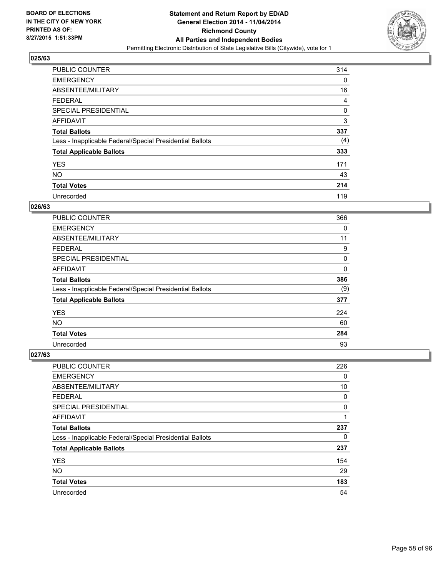

| <b>PUBLIC COUNTER</b>                                    | 314 |
|----------------------------------------------------------|-----|
| <b>EMERGENCY</b>                                         | 0   |
| ABSENTEE/MILITARY                                        | 16  |
| <b>FEDERAL</b>                                           | 4   |
| <b>SPECIAL PRESIDENTIAL</b>                              | 0   |
| AFFIDAVIT                                                | 3   |
| <b>Total Ballots</b>                                     | 337 |
| Less - Inapplicable Federal/Special Presidential Ballots | (4) |
| <b>Total Applicable Ballots</b>                          | 333 |
| <b>YES</b>                                               | 171 |
| <b>NO</b>                                                | 43  |
| <b>Total Votes</b>                                       | 214 |
| Unrecorded                                               | 119 |

### **026/63**

| PUBLIC COUNTER                                           | 366 |
|----------------------------------------------------------|-----|
| <b>EMERGENCY</b>                                         | 0   |
| ABSENTEE/MILITARY                                        | 11  |
| <b>FEDERAL</b>                                           | 9   |
| <b>SPECIAL PRESIDENTIAL</b>                              | 0   |
| <b>AFFIDAVIT</b>                                         | 0   |
| <b>Total Ballots</b>                                     | 386 |
| Less - Inapplicable Federal/Special Presidential Ballots | (9) |
| <b>Total Applicable Ballots</b>                          | 377 |
| <b>YES</b>                                               | 224 |
| <b>NO</b>                                                | 60  |
| <b>Total Votes</b>                                       | 284 |
| Unrecorded                                               | 93  |

| PUBLIC COUNTER                                           | 226 |
|----------------------------------------------------------|-----|
| <b>EMERGENCY</b>                                         | 0   |
| ABSENTEE/MILITARY                                        | 10  |
| <b>FEDERAL</b>                                           | 0   |
| <b>SPECIAL PRESIDENTIAL</b>                              | 0   |
| AFFIDAVIT                                                | 1   |
| <b>Total Ballots</b>                                     | 237 |
| Less - Inapplicable Federal/Special Presidential Ballots | 0   |
| <b>Total Applicable Ballots</b>                          | 237 |
| <b>YES</b>                                               | 154 |
| <b>NO</b>                                                | 29  |
| <b>Total Votes</b>                                       | 183 |
| Unrecorded                                               | 54  |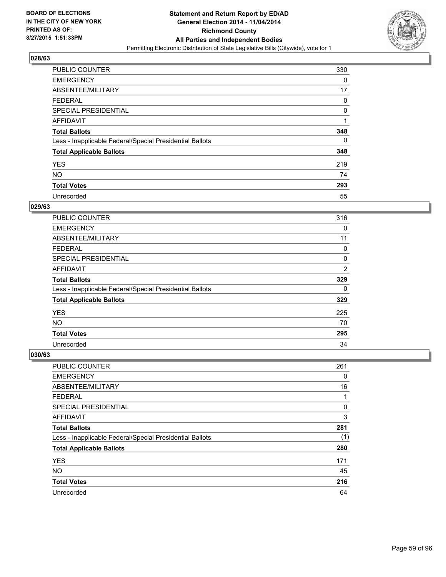

| <b>PUBLIC COUNTER</b>                                    | 330 |
|----------------------------------------------------------|-----|
| <b>EMERGENCY</b>                                         | 0   |
| ABSENTEE/MILITARY                                        | 17  |
| <b>FEDERAL</b>                                           | 0   |
| SPECIAL PRESIDENTIAL                                     | 0   |
| AFFIDAVIT                                                |     |
| <b>Total Ballots</b>                                     | 348 |
| Less - Inapplicable Federal/Special Presidential Ballots | 0   |
| <b>Total Applicable Ballots</b>                          | 348 |
| <b>YES</b>                                               | 219 |
| <b>NO</b>                                                | 74  |
| <b>Total Votes</b>                                       | 293 |
| Unrecorded                                               | 55  |

## **029/63**

| PUBLIC COUNTER                                           | 316            |
|----------------------------------------------------------|----------------|
| <b>EMERGENCY</b>                                         | 0              |
| ABSENTEE/MILITARY                                        | 11             |
| <b>FEDERAL</b>                                           | 0              |
| <b>SPECIAL PRESIDENTIAL</b>                              | 0              |
| <b>AFFIDAVIT</b>                                         | $\overline{2}$ |
| <b>Total Ballots</b>                                     | 329            |
| Less - Inapplicable Federal/Special Presidential Ballots | 0              |
| <b>Total Applicable Ballots</b>                          | 329            |
| <b>YES</b>                                               | 225            |
| <b>NO</b>                                                | 70             |
| <b>Total Votes</b>                                       | 295            |
| Unrecorded                                               | 34             |

| PUBLIC COUNTER                                           | 261 |
|----------------------------------------------------------|-----|
| <b>EMERGENCY</b>                                         | 0   |
| ABSENTEE/MILITARY                                        | 16  |
| <b>FEDERAL</b>                                           | 1   |
| SPECIAL PRESIDENTIAL                                     | 0   |
| AFFIDAVIT                                                | 3   |
| <b>Total Ballots</b>                                     | 281 |
| Less - Inapplicable Federal/Special Presidential Ballots | (1) |
| <b>Total Applicable Ballots</b>                          | 280 |
| <b>YES</b>                                               | 171 |
| <b>NO</b>                                                | 45  |
| <b>Total Votes</b>                                       | 216 |
| Unrecorded                                               | 64  |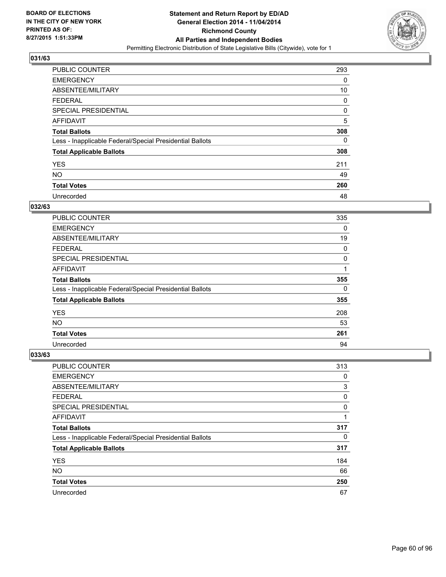

| <b>PUBLIC COUNTER</b>                                    | 293 |
|----------------------------------------------------------|-----|
| <b>EMERGENCY</b>                                         | 0   |
| ABSENTEE/MILITARY                                        | 10  |
| <b>FEDERAL</b>                                           | 0   |
| <b>SPECIAL PRESIDENTIAL</b>                              | 0   |
| AFFIDAVIT                                                | 5   |
| <b>Total Ballots</b>                                     | 308 |
| Less - Inapplicable Federal/Special Presidential Ballots | 0   |
| <b>Total Applicable Ballots</b>                          | 308 |
| <b>YES</b>                                               | 211 |
| <b>NO</b>                                                | 49  |
| <b>Total Votes</b>                                       | 260 |
| Unrecorded                                               | 48  |

# **032/63**

| PUBLIC COUNTER                                           | 335 |
|----------------------------------------------------------|-----|
| <b>EMERGENCY</b>                                         | 0   |
| ABSENTEE/MILITARY                                        | 19  |
| <b>FEDERAL</b>                                           | 0   |
| <b>SPECIAL PRESIDENTIAL</b>                              | 0   |
| <b>AFFIDAVIT</b>                                         |     |
| <b>Total Ballots</b>                                     | 355 |
| Less - Inapplicable Federal/Special Presidential Ballots | 0   |
| <b>Total Applicable Ballots</b>                          | 355 |
| <b>YES</b>                                               | 208 |
| NO.                                                      | 53  |
| <b>Total Votes</b>                                       | 261 |
| Unrecorded                                               | 94  |

| PUBLIC COUNTER                                           | 313 |
|----------------------------------------------------------|-----|
| <b>EMERGENCY</b>                                         | 0   |
| ABSENTEE/MILITARY                                        | 3   |
| <b>FEDERAL</b>                                           | 0   |
| <b>SPECIAL PRESIDENTIAL</b>                              | 0   |
| AFFIDAVIT                                                | 1   |
| <b>Total Ballots</b>                                     | 317 |
| Less - Inapplicable Federal/Special Presidential Ballots | 0   |
| <b>Total Applicable Ballots</b>                          | 317 |
| <b>YES</b>                                               | 184 |
| <b>NO</b>                                                | 66  |
| <b>Total Votes</b>                                       | 250 |
| Unrecorded                                               | 67  |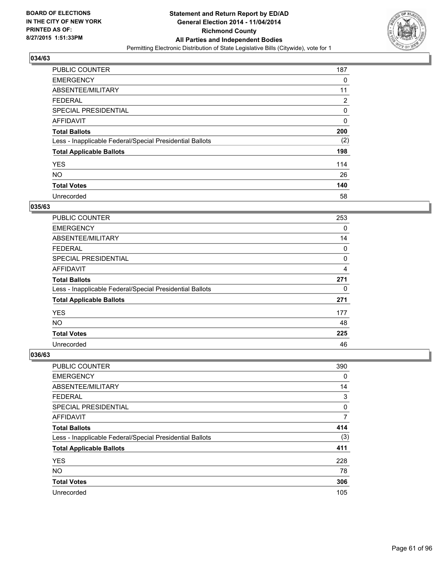

| <b>PUBLIC COUNTER</b>                                    | 187 |
|----------------------------------------------------------|-----|
| <b>EMERGENCY</b>                                         | 0   |
| ABSENTEE/MILITARY                                        | 11  |
| <b>FEDERAL</b>                                           | 2   |
| <b>SPECIAL PRESIDENTIAL</b>                              | 0   |
| AFFIDAVIT                                                | 0   |
| <b>Total Ballots</b>                                     | 200 |
| Less - Inapplicable Federal/Special Presidential Ballots | (2) |
| <b>Total Applicable Ballots</b>                          | 198 |
| <b>YES</b>                                               | 114 |
| <b>NO</b>                                                | 26  |
| <b>Total Votes</b>                                       | 140 |
| Unrecorded                                               | 58  |

## **035/63**

| <b>PUBLIC COUNTER</b>                                    | 253 |
|----------------------------------------------------------|-----|
| <b>EMERGENCY</b>                                         | 0   |
| ABSENTEE/MILITARY                                        | 14  |
| <b>FEDERAL</b>                                           | 0   |
| <b>SPECIAL PRESIDENTIAL</b>                              | 0   |
| <b>AFFIDAVIT</b>                                         | 4   |
| <b>Total Ballots</b>                                     | 271 |
| Less - Inapplicable Federal/Special Presidential Ballots | 0   |
| <b>Total Applicable Ballots</b>                          | 271 |
| <b>YES</b>                                               | 177 |
| <b>NO</b>                                                | 48  |
| <b>Total Votes</b>                                       | 225 |
| Unrecorded                                               | 46  |

| <b>PUBLIC COUNTER</b>                                    | 390 |
|----------------------------------------------------------|-----|
| <b>EMERGENCY</b>                                         | 0   |
| ABSENTEE/MILITARY                                        | 14  |
| <b>FEDERAL</b>                                           | 3   |
| <b>SPECIAL PRESIDENTIAL</b>                              | 0   |
| AFFIDAVIT                                                | 7   |
| <b>Total Ballots</b>                                     | 414 |
| Less - Inapplicable Federal/Special Presidential Ballots | (3) |
| <b>Total Applicable Ballots</b>                          | 411 |
| <b>YES</b>                                               | 228 |
| <b>NO</b>                                                | 78  |
| <b>Total Votes</b>                                       | 306 |
| Unrecorded                                               | 105 |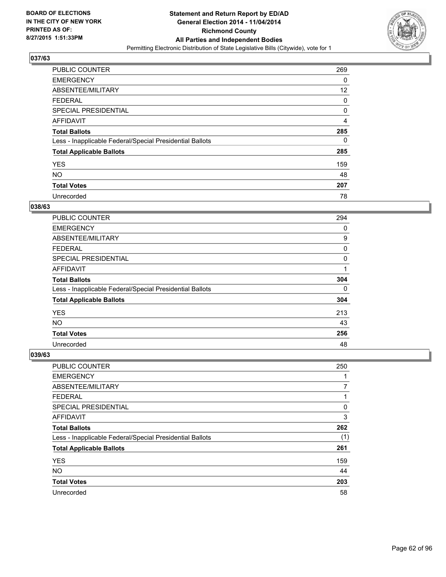

| <b>PUBLIC COUNTER</b>                                    | 269 |
|----------------------------------------------------------|-----|
| <b>EMERGENCY</b>                                         | 0   |
| ABSENTEE/MILITARY                                        | 12  |
| <b>FEDERAL</b>                                           | 0   |
| SPECIAL PRESIDENTIAL                                     | 0   |
| AFFIDAVIT                                                | 4   |
| <b>Total Ballots</b>                                     | 285 |
| Less - Inapplicable Federal/Special Presidential Ballots | 0   |
| <b>Total Applicable Ballots</b>                          | 285 |
| <b>YES</b>                                               | 159 |
| <b>NO</b>                                                | 48  |
| <b>Total Votes</b>                                       | 207 |
| Unrecorded                                               | 78  |

# **038/63**

| PUBLIC COUNTER                                           | 294 |
|----------------------------------------------------------|-----|
| <b>EMERGENCY</b>                                         | 0   |
| ABSENTEE/MILITARY                                        | 9   |
| FEDERAL                                                  | 0   |
| <b>SPECIAL PRESIDENTIAL</b>                              | 0   |
| <b>AFFIDAVIT</b>                                         | 1   |
| <b>Total Ballots</b>                                     | 304 |
| Less - Inapplicable Federal/Special Presidential Ballots | 0   |
| <b>Total Applicable Ballots</b>                          | 304 |
| <b>YES</b>                                               | 213 |
| <b>NO</b>                                                | 43  |
| <b>Total Votes</b>                                       | 256 |
| Unrecorded                                               | 48  |

| PUBLIC COUNTER                                           | 250 |
|----------------------------------------------------------|-----|
| <b>EMERGENCY</b>                                         |     |
| ABSENTEE/MILITARY                                        | 7   |
| <b>FEDERAL</b>                                           |     |
| <b>SPECIAL PRESIDENTIAL</b>                              | 0   |
| AFFIDAVIT                                                | 3   |
| <b>Total Ballots</b>                                     | 262 |
| Less - Inapplicable Federal/Special Presidential Ballots | (1) |
| <b>Total Applicable Ballots</b>                          | 261 |
| <b>YES</b>                                               | 159 |
| <b>NO</b>                                                | 44  |
| <b>Total Votes</b>                                       | 203 |
| Unrecorded                                               | 58  |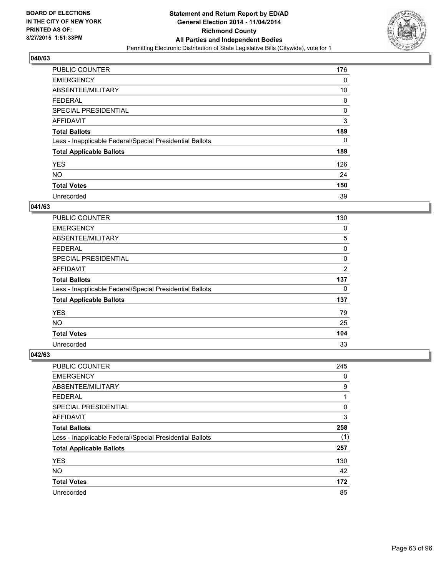

| <b>PUBLIC COUNTER</b>                                    | 176 |
|----------------------------------------------------------|-----|
| <b>EMERGENCY</b>                                         | 0   |
| ABSENTEE/MILITARY                                        | 10  |
| <b>FEDERAL</b>                                           | 0   |
| <b>SPECIAL PRESIDENTIAL</b>                              | 0   |
| AFFIDAVIT                                                | 3   |
| <b>Total Ballots</b>                                     | 189 |
| Less - Inapplicable Federal/Special Presidential Ballots | 0   |
| <b>Total Applicable Ballots</b>                          | 189 |
| <b>YES</b>                                               | 126 |
| <b>NO</b>                                                | 24  |
| <b>Total Votes</b>                                       | 150 |
| Unrecorded                                               | 39  |

### **041/63**

| PUBLIC COUNTER                                           | 130            |
|----------------------------------------------------------|----------------|
| <b>EMERGENCY</b>                                         | 0              |
| ABSENTEE/MILITARY                                        | 5              |
| FEDERAL                                                  | 0              |
| <b>SPECIAL PRESIDENTIAL</b>                              | 0              |
| <b>AFFIDAVIT</b>                                         | $\overline{2}$ |
| <b>Total Ballots</b>                                     | 137            |
| Less - Inapplicable Federal/Special Presidential Ballots | 0              |
| <b>Total Applicable Ballots</b>                          | 137            |
| <b>YES</b>                                               | 79             |
| <b>NO</b>                                                | 25             |
| <b>Total Votes</b>                                       | 104            |
| Unrecorded                                               | 33             |

| PUBLIC COUNTER                                           | 245 |
|----------------------------------------------------------|-----|
| <b>EMERGENCY</b>                                         | 0   |
| ABSENTEE/MILITARY                                        | 9   |
| <b>FEDERAL</b>                                           | 1   |
| <b>SPECIAL PRESIDENTIAL</b>                              | 0   |
| AFFIDAVIT                                                | 3   |
| <b>Total Ballots</b>                                     | 258 |
| Less - Inapplicable Federal/Special Presidential Ballots | (1) |
| <b>Total Applicable Ballots</b>                          | 257 |
| <b>YES</b>                                               | 130 |
| <b>NO</b>                                                | 42  |
| <b>Total Votes</b>                                       | 172 |
| Unrecorded                                               | 85  |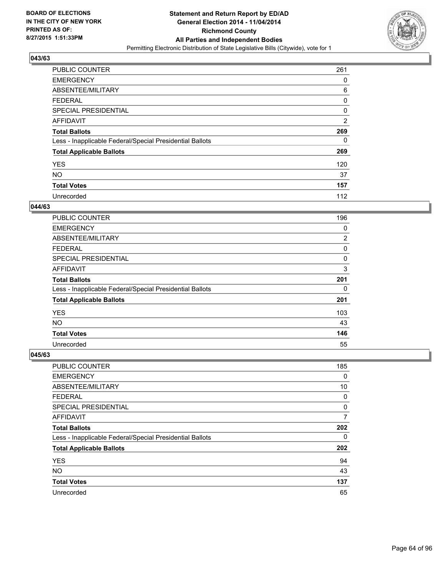

| <b>PUBLIC COUNTER</b>                                    | 261            |
|----------------------------------------------------------|----------------|
| <b>EMERGENCY</b>                                         | 0              |
| ABSENTEE/MILITARY                                        | 6              |
| <b>FEDERAL</b>                                           | 0              |
| <b>SPECIAL PRESIDENTIAL</b>                              | 0              |
| AFFIDAVIT                                                | $\overline{2}$ |
| <b>Total Ballots</b>                                     | 269            |
| Less - Inapplicable Federal/Special Presidential Ballots | 0              |
| <b>Total Applicable Ballots</b>                          | 269            |
| <b>YES</b>                                               | 120            |
| <b>NO</b>                                                | 37             |
| <b>Total Votes</b>                                       | 157            |
| Unrecorded                                               | 112            |

## **044/63**

| <b>PUBLIC COUNTER</b>                                    | 196            |
|----------------------------------------------------------|----------------|
| <b>EMERGENCY</b>                                         | 0              |
| ABSENTEE/MILITARY                                        | $\overline{2}$ |
| <b>FEDERAL</b>                                           | 0              |
| <b>SPECIAL PRESIDENTIAL</b>                              | 0              |
| <b>AFFIDAVIT</b>                                         | 3              |
| <b>Total Ballots</b>                                     | 201            |
| Less - Inapplicable Federal/Special Presidential Ballots | 0              |
| <b>Total Applicable Ballots</b>                          | 201            |
| <b>YES</b>                                               | 103            |
| <b>NO</b>                                                | 43             |
| <b>Total Votes</b>                                       | 146            |
| Unrecorded                                               | 55             |

| PUBLIC COUNTER                                           | 185 |
|----------------------------------------------------------|-----|
| <b>EMERGENCY</b>                                         | 0   |
| ABSENTEE/MILITARY                                        | 10  |
| <b>FEDERAL</b>                                           | 0   |
| <b>SPECIAL PRESIDENTIAL</b>                              | 0   |
| AFFIDAVIT                                                | 7   |
| <b>Total Ballots</b>                                     | 202 |
| Less - Inapplicable Federal/Special Presidential Ballots | 0   |
| <b>Total Applicable Ballots</b>                          | 202 |
| <b>YES</b>                                               | 94  |
| <b>NO</b>                                                | 43  |
| <b>Total Votes</b>                                       | 137 |
| Unrecorded                                               | 65  |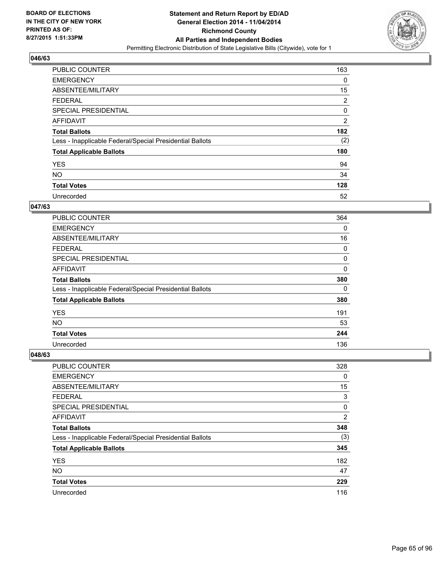

| <b>PUBLIC COUNTER</b>                                    | 163            |
|----------------------------------------------------------|----------------|
| <b>EMERGENCY</b>                                         | 0              |
| ABSENTEE/MILITARY                                        | 15             |
| <b>FEDERAL</b>                                           | $\overline{2}$ |
| SPECIAL PRESIDENTIAL                                     | 0              |
| AFFIDAVIT                                                | $\overline{2}$ |
| <b>Total Ballots</b>                                     | 182            |
| Less - Inapplicable Federal/Special Presidential Ballots | (2)            |
| <b>Total Applicable Ballots</b>                          | 180            |
| <b>YES</b>                                               | 94             |
| <b>NO</b>                                                | 34             |
| <b>Total Votes</b>                                       | 128            |
| Unrecorded                                               | 52             |

#### **047/63**

| PUBLIC COUNTER                                           | 364      |
|----------------------------------------------------------|----------|
| <b>EMERGENCY</b>                                         | $\Omega$ |
| ABSENTEE/MILITARY                                        | 16       |
| FEDERAL                                                  | 0        |
| <b>SPECIAL PRESIDENTIAL</b>                              | 0        |
| <b>AFFIDAVIT</b>                                         | 0        |
| <b>Total Ballots</b>                                     | 380      |
| Less - Inapplicable Federal/Special Presidential Ballots | 0        |
| <b>Total Applicable Ballots</b>                          | 380      |
| <b>YES</b>                                               | 191      |
| <b>NO</b>                                                | 53       |
| <b>Total Votes</b>                                       | 244      |
| Unrecorded                                               | 136      |

| <b>PUBLIC COUNTER</b>                                    | 328            |
|----------------------------------------------------------|----------------|
| <b>EMERGENCY</b>                                         | 0              |
| ABSENTEE/MILITARY                                        | 15             |
| <b>FEDERAL</b>                                           | 3              |
| <b>SPECIAL PRESIDENTIAL</b>                              | 0              |
| AFFIDAVIT                                                | $\overline{2}$ |
| <b>Total Ballots</b>                                     | 348            |
| Less - Inapplicable Federal/Special Presidential Ballots | (3)            |
| <b>Total Applicable Ballots</b>                          | 345            |
| <b>YES</b>                                               | 182            |
| <b>NO</b>                                                | 47             |
| <b>Total Votes</b>                                       | 229            |
| Unrecorded                                               | 116            |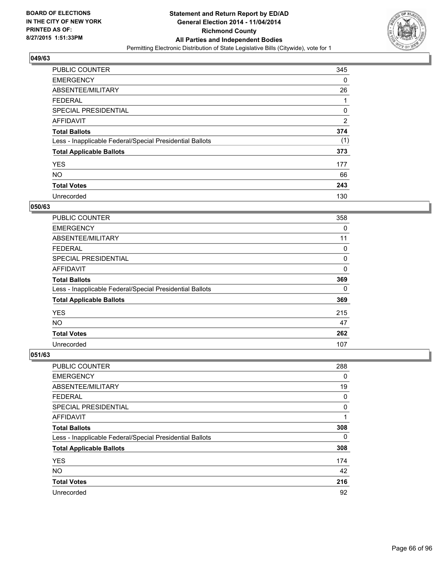

| <b>PUBLIC COUNTER</b>                                    | 345 |
|----------------------------------------------------------|-----|
| <b>EMERGENCY</b>                                         | 0   |
| ABSENTEE/MILITARY                                        | 26  |
| <b>FEDERAL</b>                                           |     |
| <b>SPECIAL PRESIDENTIAL</b>                              | 0   |
| AFFIDAVIT                                                | 2   |
| <b>Total Ballots</b>                                     | 374 |
| Less - Inapplicable Federal/Special Presidential Ballots | (1) |
| <b>Total Applicable Ballots</b>                          | 373 |
| <b>YES</b>                                               | 177 |
| <b>NO</b>                                                | 66  |
| <b>Total Votes</b>                                       | 243 |
| Unrecorded                                               | 130 |

#### **050/63**

| PUBLIC COUNTER                                           | 358      |
|----------------------------------------------------------|----------|
| <b>EMERGENCY</b>                                         | 0        |
| ABSENTEE/MILITARY                                        | 11       |
| FEDERAL                                                  | 0        |
| <b>SPECIAL PRESIDENTIAL</b>                              | 0        |
| <b>AFFIDAVIT</b>                                         | $\Omega$ |
| <b>Total Ballots</b>                                     | 369      |
| Less - Inapplicable Federal/Special Presidential Ballots | 0        |
| <b>Total Applicable Ballots</b>                          | 369      |
| <b>YES</b>                                               | 215      |
| <b>NO</b>                                                | 47       |
| <b>Total Votes</b>                                       | 262      |
| Unrecorded                                               | 107      |

| PUBLIC COUNTER                                           | 288 |
|----------------------------------------------------------|-----|
| <b>EMERGENCY</b>                                         | 0   |
| ABSENTEE/MILITARY                                        | 19  |
| <b>FEDERAL</b>                                           | 0   |
| <b>SPECIAL PRESIDENTIAL</b>                              | 0   |
| AFFIDAVIT                                                | 1   |
| <b>Total Ballots</b>                                     | 308 |
| Less - Inapplicable Federal/Special Presidential Ballots | 0   |
| <b>Total Applicable Ballots</b>                          | 308 |
| <b>YES</b>                                               | 174 |
| <b>NO</b>                                                | 42  |
| <b>Total Votes</b>                                       | 216 |
| Unrecorded                                               | 92  |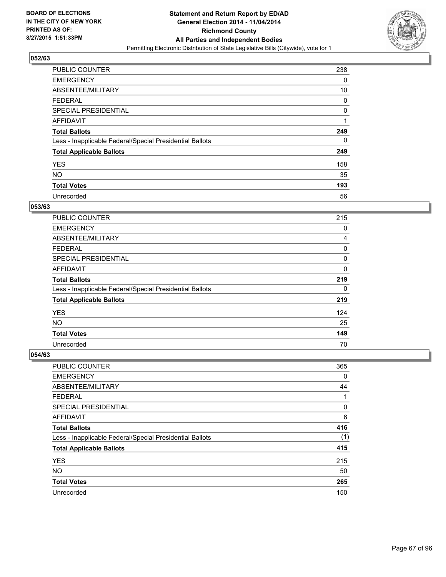

| <b>PUBLIC COUNTER</b>                                    | 238 |
|----------------------------------------------------------|-----|
| <b>EMERGENCY</b>                                         | 0   |
| ABSENTEE/MILITARY                                        | 10  |
| <b>FEDERAL</b>                                           | 0   |
| <b>SPECIAL PRESIDENTIAL</b>                              | 0   |
| AFFIDAVIT                                                | 1   |
| <b>Total Ballots</b>                                     | 249 |
| Less - Inapplicable Federal/Special Presidential Ballots | 0   |
| <b>Total Applicable Ballots</b>                          | 249 |
| <b>YES</b>                                               | 158 |
| <b>NO</b>                                                | 35  |
| <b>Total Votes</b>                                       | 193 |
| Unrecorded                                               | 56  |

# **053/63**

| PUBLIC COUNTER                                           | 215         |
|----------------------------------------------------------|-------------|
| <b>EMERGENCY</b>                                         | 0           |
| ABSENTEE/MILITARY                                        | 4           |
| <b>FEDERAL</b>                                           | 0           |
| <b>SPECIAL PRESIDENTIAL</b>                              | 0           |
| <b>AFFIDAVIT</b>                                         | $\mathbf 0$ |
| <b>Total Ballots</b>                                     | 219         |
| Less - Inapplicable Federal/Special Presidential Ballots | 0           |
| <b>Total Applicable Ballots</b>                          | 219         |
| <b>YES</b>                                               | 124         |
| NO.                                                      | 25          |
| <b>Total Votes</b>                                       | 149         |
| Unrecorded                                               | 70          |

| PUBLIC COUNTER                                           | 365 |
|----------------------------------------------------------|-----|
| <b>EMERGENCY</b>                                         | 0   |
| ABSENTEE/MILITARY                                        | 44  |
| <b>FEDERAL</b>                                           | 1   |
| <b>SPECIAL PRESIDENTIAL</b>                              | 0   |
| AFFIDAVIT                                                | 6   |
| <b>Total Ballots</b>                                     | 416 |
| Less - Inapplicable Federal/Special Presidential Ballots | (1) |
| <b>Total Applicable Ballots</b>                          | 415 |
| <b>YES</b>                                               | 215 |
| <b>NO</b>                                                | 50  |
| <b>Total Votes</b>                                       | 265 |
| Unrecorded                                               | 150 |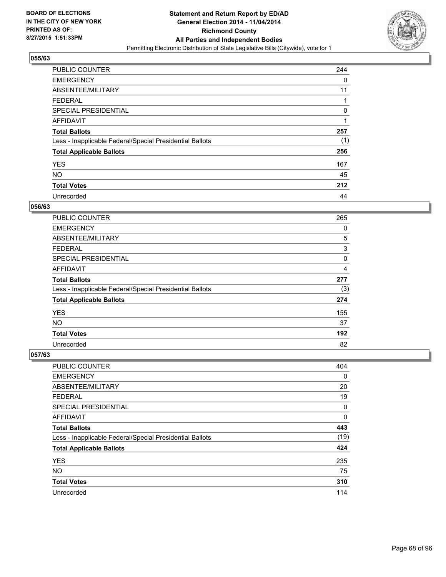

| <b>PUBLIC COUNTER</b>                                    | 244 |
|----------------------------------------------------------|-----|
| <b>EMERGENCY</b>                                         | 0   |
| ABSENTEE/MILITARY                                        | 11  |
| <b>FEDERAL</b>                                           |     |
| <b>SPECIAL PRESIDENTIAL</b>                              | 0   |
| AFFIDAVIT                                                |     |
| <b>Total Ballots</b>                                     | 257 |
| Less - Inapplicable Federal/Special Presidential Ballots | (1) |
| <b>Total Applicable Ballots</b>                          | 256 |
| <b>YES</b>                                               | 167 |
| <b>NO</b>                                                | 45  |
| <b>Total Votes</b>                                       | 212 |
| Unrecorded                                               | 44  |

#### **056/63**

| PUBLIC COUNTER                                           | 265 |
|----------------------------------------------------------|-----|
| <b>EMERGENCY</b>                                         | 0   |
| ABSENTEE/MILITARY                                        | 5   |
| FEDERAL                                                  | 3   |
| <b>SPECIAL PRESIDENTIAL</b>                              | 0   |
| <b>AFFIDAVIT</b>                                         | 4   |
| <b>Total Ballots</b>                                     | 277 |
| Less - Inapplicable Federal/Special Presidential Ballots | (3) |
| <b>Total Applicable Ballots</b>                          | 274 |
| <b>YES</b>                                               | 155 |
| <b>NO</b>                                                | 37  |
| <b>Total Votes</b>                                       | 192 |
| Unrecorded                                               | 82  |

| PUBLIC COUNTER                                           | 404  |
|----------------------------------------------------------|------|
| <b>EMERGENCY</b>                                         | 0    |
| ABSENTEE/MILITARY                                        | 20   |
| <b>FEDERAL</b>                                           | 19   |
| <b>SPECIAL PRESIDENTIAL</b>                              | 0    |
| AFFIDAVIT                                                | 0    |
| <b>Total Ballots</b>                                     | 443  |
| Less - Inapplicable Federal/Special Presidential Ballots | (19) |
| <b>Total Applicable Ballots</b>                          | 424  |
| <b>YES</b>                                               | 235  |
| <b>NO</b>                                                | 75   |
| <b>Total Votes</b>                                       | 310  |
| Unrecorded                                               | 114  |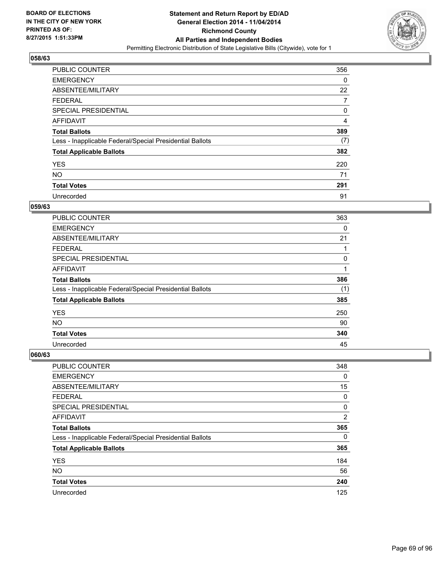

| <b>PUBLIC COUNTER</b>                                    | 356 |
|----------------------------------------------------------|-----|
| <b>EMERGENCY</b>                                         | 0   |
| ABSENTEE/MILITARY                                        | 22  |
| <b>FEDERAL</b>                                           | 7   |
| <b>SPECIAL PRESIDENTIAL</b>                              | 0   |
| AFFIDAVIT                                                | 4   |
| <b>Total Ballots</b>                                     | 389 |
| Less - Inapplicable Federal/Special Presidential Ballots | (7) |
| <b>Total Applicable Ballots</b>                          | 382 |
| <b>YES</b>                                               | 220 |
| <b>NO</b>                                                | 71  |
| <b>Total Votes</b>                                       | 291 |
| Unrecorded                                               | 91  |

#### **059/63**

| PUBLIC COUNTER                                           | 363 |
|----------------------------------------------------------|-----|
| <b>EMERGENCY</b>                                         | 0   |
| ABSENTEE/MILITARY                                        | 21  |
| <b>FEDERAL</b>                                           |     |
| <b>SPECIAL PRESIDENTIAL</b>                              | 0   |
| <b>AFFIDAVIT</b>                                         | 1   |
| <b>Total Ballots</b>                                     | 386 |
| Less - Inapplicable Federal/Special Presidential Ballots | (1) |
| <b>Total Applicable Ballots</b>                          | 385 |
| <b>YES</b>                                               | 250 |
| <b>NO</b>                                                | 90  |
| <b>Total Votes</b>                                       | 340 |
| Unrecorded                                               | 45  |

| <b>PUBLIC COUNTER</b>                                    | 348 |
|----------------------------------------------------------|-----|
| <b>EMERGENCY</b>                                         | 0   |
| ABSENTEE/MILITARY                                        | 15  |
| <b>FEDERAL</b>                                           | 0   |
| SPECIAL PRESIDENTIAL                                     | 0   |
| AFFIDAVIT                                                | 2   |
| <b>Total Ballots</b>                                     | 365 |
| Less - Inapplicable Federal/Special Presidential Ballots | 0   |
| <b>Total Applicable Ballots</b>                          | 365 |
| <b>YES</b>                                               | 184 |
| <b>NO</b>                                                | 56  |
| <b>Total Votes</b>                                       | 240 |
| Unrecorded                                               | 125 |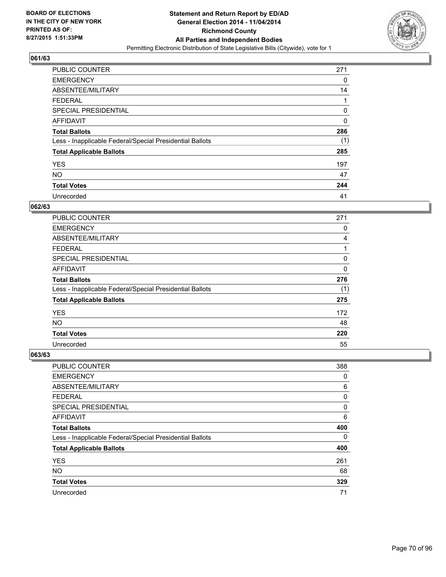

| <b>PUBLIC COUNTER</b>                                    | 271 |
|----------------------------------------------------------|-----|
| <b>EMERGENCY</b>                                         | 0   |
| ABSENTEE/MILITARY                                        | 14  |
| <b>FEDERAL</b>                                           |     |
| <b>SPECIAL PRESIDENTIAL</b>                              | 0   |
| AFFIDAVIT                                                | 0   |
| <b>Total Ballots</b>                                     | 286 |
| Less - Inapplicable Federal/Special Presidential Ballots | (1) |
| <b>Total Applicable Ballots</b>                          | 285 |
| <b>YES</b>                                               | 197 |
| <b>NO</b>                                                | 47  |
| <b>Total Votes</b>                                       | 244 |
| Unrecorded                                               | 41  |

### **062/63**

| PUBLIC COUNTER                                           | 271      |
|----------------------------------------------------------|----------|
| <b>EMERGENCY</b>                                         | 0        |
| ABSENTEE/MILITARY                                        | 4        |
| <b>FEDERAL</b>                                           | 1        |
| <b>SPECIAL PRESIDENTIAL</b>                              | 0        |
| <b>AFFIDAVIT</b>                                         | $\Omega$ |
| <b>Total Ballots</b>                                     | 276      |
| Less - Inapplicable Federal/Special Presidential Ballots | (1)      |
| <b>Total Applicable Ballots</b>                          | 275      |
| <b>YES</b>                                               | 172      |
| NO.                                                      | 48       |
| <b>Total Votes</b>                                       | 220      |
| Unrecorded                                               | 55       |

| PUBLIC COUNTER                                           | 388 |
|----------------------------------------------------------|-----|
| <b>EMERGENCY</b>                                         | 0   |
| ABSENTEE/MILITARY                                        | 6   |
| <b>FEDERAL</b>                                           | 0   |
| SPECIAL PRESIDENTIAL                                     | 0   |
| AFFIDAVIT                                                | 6   |
| <b>Total Ballots</b>                                     | 400 |
| Less - Inapplicable Federal/Special Presidential Ballots | 0   |
| <b>Total Applicable Ballots</b>                          | 400 |
| <b>YES</b>                                               | 261 |
| <b>NO</b>                                                | 68  |
| <b>Total Votes</b>                                       | 329 |
| Unrecorded                                               | 71  |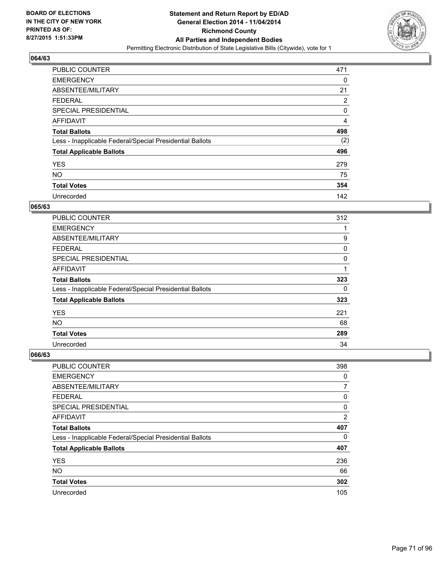

| <b>PUBLIC COUNTER</b>                                    | 471 |
|----------------------------------------------------------|-----|
| <b>EMERGENCY</b>                                         | 0   |
| ABSENTEE/MILITARY                                        | 21  |
| <b>FEDERAL</b>                                           | 2   |
| <b>SPECIAL PRESIDENTIAL</b>                              | 0   |
| <b>AFFIDAVIT</b>                                         | 4   |
| <b>Total Ballots</b>                                     | 498 |
| Less - Inapplicable Federal/Special Presidential Ballots | (2) |
| <b>Total Applicable Ballots</b>                          | 496 |
| <b>YES</b>                                               | 279 |
| <b>NO</b>                                                | 75  |
| <b>Total Votes</b>                                       | 354 |
| Unrecorded                                               | 142 |

#### **065/63**

| PUBLIC COUNTER                                           | 312 |
|----------------------------------------------------------|-----|
| <b>EMERGENCY</b>                                         |     |
| ABSENTEE/MILITARY                                        | 9   |
| FEDERAL                                                  | 0   |
| <b>SPECIAL PRESIDENTIAL</b>                              | 0   |
| <b>AFFIDAVIT</b>                                         |     |
| <b>Total Ballots</b>                                     | 323 |
| Less - Inapplicable Federal/Special Presidential Ballots | 0   |
| <b>Total Applicable Ballots</b>                          | 323 |
| <b>YES</b>                                               | 221 |
| <b>NO</b>                                                | 68  |
| <b>Total Votes</b>                                       | 289 |
| Unrecorded                                               | 34  |

| PUBLIC COUNTER                                           | 398            |
|----------------------------------------------------------|----------------|
| <b>EMERGENCY</b>                                         | 0              |
| ABSENTEE/MILITARY                                        | 7              |
| <b>FEDERAL</b>                                           | 0              |
| <b>SPECIAL PRESIDENTIAL</b>                              | 0              |
| AFFIDAVIT                                                | $\overline{2}$ |
| <b>Total Ballots</b>                                     | 407            |
| Less - Inapplicable Federal/Special Presidential Ballots | 0              |
| <b>Total Applicable Ballots</b>                          | 407            |
| <b>YES</b>                                               | 236            |
| <b>NO</b>                                                | 66             |
| <b>Total Votes</b>                                       | 302            |
| Unrecorded                                               | 105            |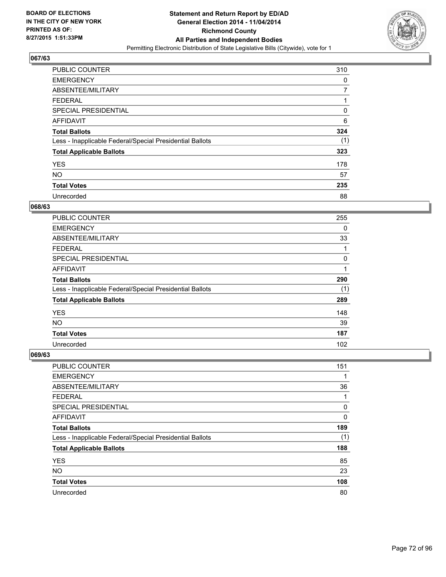

| <b>PUBLIC COUNTER</b>                                    | 310 |
|----------------------------------------------------------|-----|
| <b>EMERGENCY</b>                                         | 0   |
| ABSENTEE/MILITARY                                        | 7   |
| <b>FEDERAL</b>                                           | 1   |
| <b>SPECIAL PRESIDENTIAL</b>                              | 0   |
| AFFIDAVIT                                                | 6   |
| <b>Total Ballots</b>                                     | 324 |
| Less - Inapplicable Federal/Special Presidential Ballots | (1) |
| <b>Total Applicable Ballots</b>                          | 323 |
| <b>YES</b>                                               | 178 |
| <b>NO</b>                                                | 57  |
| <b>Total Votes</b>                                       | 235 |
| Unrecorded                                               | 88  |

#### **068/63**

| PUBLIC COUNTER                                           | 255 |
|----------------------------------------------------------|-----|
| <b>EMERGENCY</b>                                         | 0   |
| ABSENTEE/MILITARY                                        | 33  |
| <b>FEDERAL</b>                                           | 1   |
| <b>SPECIAL PRESIDENTIAL</b>                              | 0   |
| <b>AFFIDAVIT</b>                                         | 1   |
| <b>Total Ballots</b>                                     | 290 |
| Less - Inapplicable Federal/Special Presidential Ballots | (1) |
| <b>Total Applicable Ballots</b>                          | 289 |
| <b>YES</b>                                               | 148 |
| <b>NO</b>                                                | 39  |
| <b>Total Votes</b>                                       | 187 |
| Unrecorded                                               | 102 |

| <b>PUBLIC COUNTER</b>                                    | 151 |
|----------------------------------------------------------|-----|
| <b>EMERGENCY</b>                                         | 1   |
| ABSENTEE/MILITARY                                        | 36  |
| <b>FEDERAL</b>                                           | 1   |
| <b>SPECIAL PRESIDENTIAL</b>                              | 0   |
| AFFIDAVIT                                                | 0   |
| <b>Total Ballots</b>                                     | 189 |
| Less - Inapplicable Federal/Special Presidential Ballots | (1) |
| <b>Total Applicable Ballots</b>                          | 188 |
| <b>YES</b>                                               | 85  |
| <b>NO</b>                                                | 23  |
| <b>Total Votes</b>                                       | 108 |
| Unrecorded                                               | 80  |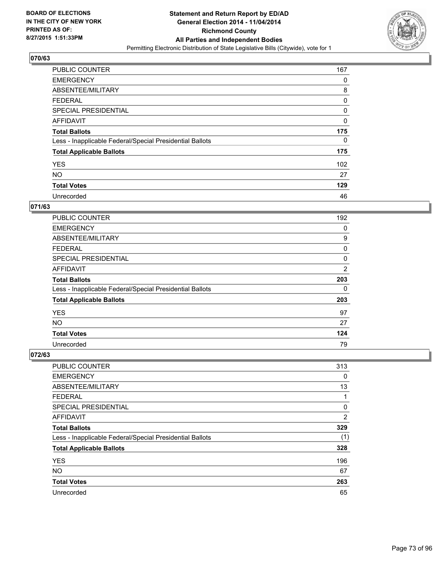

| <b>PUBLIC COUNTER</b>                                    | 167 |
|----------------------------------------------------------|-----|
| <b>EMERGENCY</b>                                         | 0   |
| ABSENTEE/MILITARY                                        | 8   |
| <b>FEDERAL</b>                                           | 0   |
| SPECIAL PRESIDENTIAL                                     | 0   |
| AFFIDAVIT                                                | 0   |
| <b>Total Ballots</b>                                     | 175 |
| Less - Inapplicable Federal/Special Presidential Ballots | 0   |
| <b>Total Applicable Ballots</b>                          | 175 |
| <b>YES</b>                                               | 102 |
| <b>NO</b>                                                | 27  |
| <b>Total Votes</b>                                       | 129 |
| Unrecorded                                               | 46  |

# **071/63**

| PUBLIC COUNTER                                           | 192            |
|----------------------------------------------------------|----------------|
| <b>EMERGENCY</b>                                         | 0              |
| ABSENTEE/MILITARY                                        | 9              |
| FEDERAL                                                  | 0              |
| <b>SPECIAL PRESIDENTIAL</b>                              | 0              |
| <b>AFFIDAVIT</b>                                         | $\overline{2}$ |
| <b>Total Ballots</b>                                     | 203            |
| Less - Inapplicable Federal/Special Presidential Ballots | 0              |
| <b>Total Applicable Ballots</b>                          | 203            |
| <b>YES</b>                                               | 97             |
| <b>NO</b>                                                | 27             |
| <b>Total Votes</b>                                       | 124            |
| Unrecorded                                               | 79             |

| PUBLIC COUNTER                                           | 313            |
|----------------------------------------------------------|----------------|
| <b>EMERGENCY</b>                                         | 0              |
| ABSENTEE/MILITARY                                        | 13             |
| <b>FEDERAL</b>                                           | 1              |
| <b>SPECIAL PRESIDENTIAL</b>                              | 0              |
| AFFIDAVIT                                                | $\overline{2}$ |
| <b>Total Ballots</b>                                     | 329            |
| Less - Inapplicable Federal/Special Presidential Ballots | (1)            |
| <b>Total Applicable Ballots</b>                          | 328            |
| <b>YES</b>                                               | 196            |
| <b>NO</b>                                                | 67             |
| <b>Total Votes</b>                                       | 263            |
| Unrecorded                                               | 65             |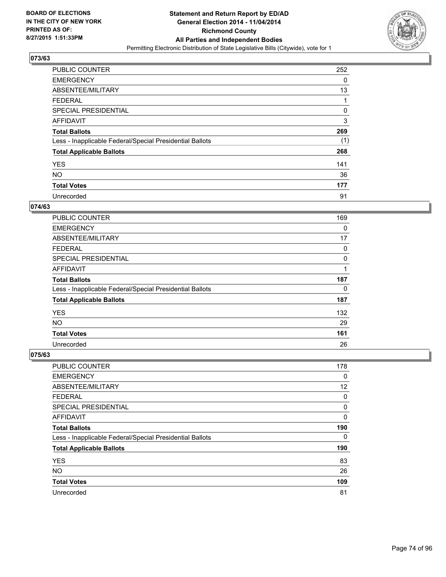

| <b>PUBLIC COUNTER</b>                                    | 252 |
|----------------------------------------------------------|-----|
| <b>EMERGENCY</b>                                         | 0   |
| ABSENTEE/MILITARY                                        | 13  |
| <b>FEDERAL</b>                                           |     |
| <b>SPECIAL PRESIDENTIAL</b>                              | 0   |
| AFFIDAVIT                                                | 3   |
| <b>Total Ballots</b>                                     | 269 |
| Less - Inapplicable Federal/Special Presidential Ballots | (1) |
| <b>Total Applicable Ballots</b>                          | 268 |
| <b>YES</b>                                               | 141 |
| <b>NO</b>                                                | 36  |
| <b>Total Votes</b>                                       | 177 |
| Unrecorded                                               | 91  |

## **074/63**

| PUBLIC COUNTER                                           | 169 |
|----------------------------------------------------------|-----|
| <b>EMERGENCY</b>                                         | 0   |
| ABSENTEE/MILITARY                                        | 17  |
| <b>FEDERAL</b>                                           | 0   |
| <b>SPECIAL PRESIDENTIAL</b>                              | 0   |
| <b>AFFIDAVIT</b>                                         |     |
| <b>Total Ballots</b>                                     | 187 |
| Less - Inapplicable Federal/Special Presidential Ballots | 0   |
| <b>Total Applicable Ballots</b>                          | 187 |
| <b>YES</b>                                               | 132 |
| <b>NO</b>                                                | 29  |
| <b>Total Votes</b>                                       | 161 |
| Unrecorded                                               | 26  |

| PUBLIC COUNTER                                           | 178         |
|----------------------------------------------------------|-------------|
| <b>EMERGENCY</b>                                         | $\mathbf 0$ |
| ABSENTEE/MILITARY                                        | 12          |
| FEDERAL                                                  | 0           |
| <b>SPECIAL PRESIDENTIAL</b>                              | 0           |
| AFFIDAVIT                                                | 0           |
| <b>Total Ballots</b>                                     | 190         |
| Less - Inapplicable Federal/Special Presidential Ballots | 0           |
| <b>Total Applicable Ballots</b>                          | 190         |
| <b>YES</b>                                               | 83          |
| <b>NO</b>                                                | 26          |
| <b>Total Votes</b>                                       | 109         |
| Unrecorded                                               | 81          |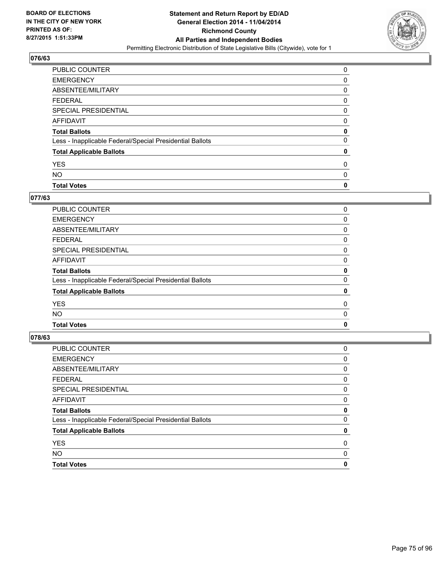

| <b>PUBLIC COUNTER</b>                                    | 0 |
|----------------------------------------------------------|---|
| <b>EMERGENCY</b>                                         | 0 |
| ABSENTEE/MILITARY                                        | 0 |
| <b>FEDERAL</b>                                           | 0 |
| <b>SPECIAL PRESIDENTIAL</b>                              | 0 |
| <b>AFFIDAVIT</b>                                         | 0 |
| <b>Total Ballots</b>                                     | 0 |
| Less - Inapplicable Federal/Special Presidential Ballots | 0 |
| <b>Total Applicable Ballots</b>                          | 0 |
| <b>YES</b>                                               | 0 |
| <b>NO</b>                                                | 0 |
| <b>Total Votes</b>                                       | 0 |

#### **077/63**

| <b>Total Votes</b>                                       | 0 |
|----------------------------------------------------------|---|
| <b>NO</b>                                                | 0 |
| <b>YES</b>                                               | 0 |
| <b>Total Applicable Ballots</b>                          | 0 |
| Less - Inapplicable Federal/Special Presidential Ballots | 0 |
| <b>Total Ballots</b>                                     | 0 |
| <b>AFFIDAVIT</b>                                         | 0 |
| <b>SPECIAL PRESIDENTIAL</b>                              | 0 |
| <b>FEDERAL</b>                                           | 0 |
| ABSENTEE/MILITARY                                        | 0 |
| <b>EMERGENCY</b>                                         | 0 |
| PUBLIC COUNTER                                           | 0 |

| <b>PUBLIC COUNTER</b>                                    | 0 |
|----------------------------------------------------------|---|
| <b>EMERGENCY</b>                                         | 0 |
| ABSENTEE/MILITARY                                        | 0 |
| <b>FEDERAL</b>                                           | 0 |
| <b>SPECIAL PRESIDENTIAL</b>                              | 0 |
| <b>AFFIDAVIT</b>                                         | 0 |
| <b>Total Ballots</b>                                     | 0 |
| Less - Inapplicable Federal/Special Presidential Ballots | 0 |
| <b>Total Applicable Ballots</b>                          | 0 |
| <b>YES</b>                                               | 0 |
| <b>NO</b>                                                | 0 |
| <b>Total Votes</b>                                       | 0 |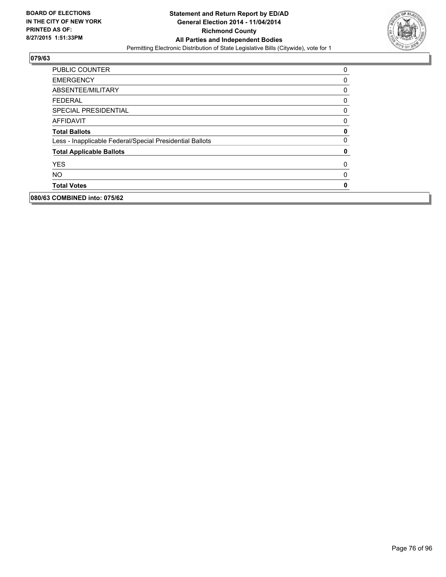

| <b>PUBLIC COUNTER</b>                                    | 0        |
|----------------------------------------------------------|----------|
| <b>EMERGENCY</b>                                         | 0        |
| ABSENTEE/MILITARY                                        | 0        |
| <b>FEDERAL</b>                                           | 0        |
| <b>SPECIAL PRESIDENTIAL</b>                              | 0        |
| <b>AFFIDAVIT</b>                                         | 0        |
| <b>Total Ballots</b>                                     | 0        |
| Less - Inapplicable Federal/Special Presidential Ballots | $\Omega$ |
| <b>Total Applicable Ballots</b>                          | 0        |
| <b>YES</b>                                               | 0        |
| <b>NO</b>                                                | 0        |
| <b>Total Votes</b>                                       | 0        |
| 080/63 COMBINED into: 075/62                             |          |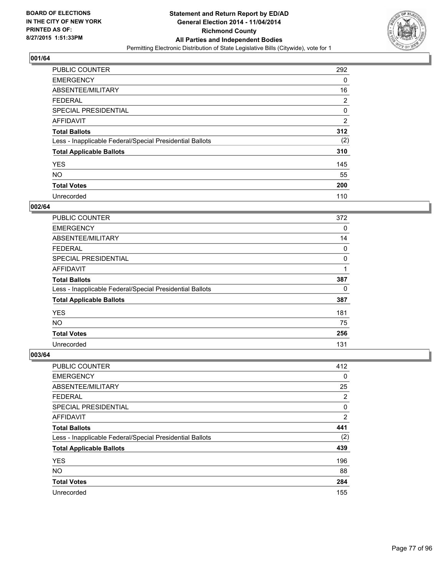

| <b>PUBLIC COUNTER</b>                                    | 292            |
|----------------------------------------------------------|----------------|
| <b>EMERGENCY</b>                                         | 0              |
| ABSENTEE/MILITARY                                        | 16             |
| <b>FEDERAL</b>                                           | 2              |
| <b>SPECIAL PRESIDENTIAL</b>                              | 0              |
| AFFIDAVIT                                                | $\overline{2}$ |
| <b>Total Ballots</b>                                     | 312            |
| Less - Inapplicable Federal/Special Presidential Ballots | (2)            |
| <b>Total Applicable Ballots</b>                          | 310            |
| <b>YES</b>                                               | 145            |
| <b>NO</b>                                                | 55             |
| <b>Total Votes</b>                                       | 200            |
| Unrecorded                                               | 110            |

#### **002/64**

| PUBLIC COUNTER                                           | 372 |
|----------------------------------------------------------|-----|
| <b>EMERGENCY</b>                                         | 0   |
| ABSENTEE/MILITARY                                        | 14  |
| FEDERAL                                                  | 0   |
| <b>SPECIAL PRESIDENTIAL</b>                              | 0   |
| <b>AFFIDAVIT</b>                                         | 1   |
| <b>Total Ballots</b>                                     | 387 |
| Less - Inapplicable Federal/Special Presidential Ballots | 0   |
| <b>Total Applicable Ballots</b>                          | 387 |
| <b>YES</b>                                               | 181 |
| <b>NO</b>                                                | 75  |
| <b>Total Votes</b>                                       | 256 |
| Unrecorded                                               | 131 |

| PUBLIC COUNTER                                           | 412            |
|----------------------------------------------------------|----------------|
| <b>EMERGENCY</b>                                         | 0              |
| ABSENTEE/MILITARY                                        | 25             |
| <b>FEDERAL</b>                                           | 2              |
| <b>SPECIAL PRESIDENTIAL</b>                              | 0              |
| AFFIDAVIT                                                | $\overline{2}$ |
| <b>Total Ballots</b>                                     | 441            |
| Less - Inapplicable Federal/Special Presidential Ballots | (2)            |
| <b>Total Applicable Ballots</b>                          | 439            |
| <b>YES</b>                                               | 196            |
| <b>NO</b>                                                | 88             |
| <b>Total Votes</b>                                       | 284            |
| Unrecorded                                               | 155            |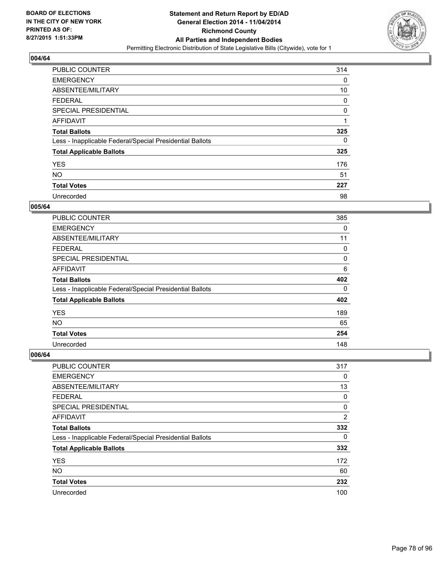

| <b>PUBLIC COUNTER</b>                                    | 314 |
|----------------------------------------------------------|-----|
| <b>EMERGENCY</b>                                         | 0   |
| ABSENTEE/MILITARY                                        | 10  |
| <b>FEDERAL</b>                                           | 0   |
| <b>SPECIAL PRESIDENTIAL</b>                              | 0   |
| AFFIDAVIT                                                | 1   |
| <b>Total Ballots</b>                                     | 325 |
| Less - Inapplicable Federal/Special Presidential Ballots | 0   |
| <b>Total Applicable Ballots</b>                          | 325 |
| <b>YES</b>                                               | 176 |
| <b>NO</b>                                                | 51  |
| <b>Total Votes</b>                                       | 227 |
| Unrecorded                                               | 98  |

#### **005/64**

| <b>PUBLIC COUNTER</b>                                    | 385 |
|----------------------------------------------------------|-----|
| <b>EMERGENCY</b>                                         | 0   |
| ABSENTEE/MILITARY                                        | 11  |
| <b>FEDERAL</b>                                           | 0   |
| <b>SPECIAL PRESIDENTIAL</b>                              | 0   |
| <b>AFFIDAVIT</b>                                         | 6   |
| <b>Total Ballots</b>                                     | 402 |
| Less - Inapplicable Federal/Special Presidential Ballots | 0   |
| <b>Total Applicable Ballots</b>                          | 402 |
| <b>YES</b>                                               | 189 |
| NO.                                                      | 65  |
| <b>Total Votes</b>                                       | 254 |
| Unrecorded                                               | 148 |

| <b>PUBLIC COUNTER</b>                                    | 317            |
|----------------------------------------------------------|----------------|
| <b>EMERGENCY</b>                                         | 0              |
| ABSENTEE/MILITARY                                        | 13             |
| <b>FEDERAL</b>                                           | 0              |
| <b>SPECIAL PRESIDENTIAL</b>                              | 0              |
| AFFIDAVIT                                                | $\overline{2}$ |
| <b>Total Ballots</b>                                     | 332            |
| Less - Inapplicable Federal/Special Presidential Ballots | 0              |
| <b>Total Applicable Ballots</b>                          | 332            |
| <b>YES</b>                                               | 172            |
| <b>NO</b>                                                | 60             |
| <b>Total Votes</b>                                       | 232            |
| Unrecorded                                               | 100            |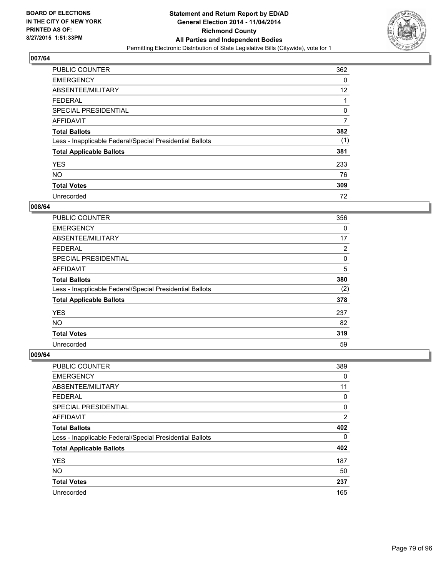

| <b>PUBLIC COUNTER</b>                                    | 362 |
|----------------------------------------------------------|-----|
| <b>EMERGENCY</b>                                         | 0   |
| ABSENTEE/MILITARY                                        | 12  |
| <b>FEDERAL</b>                                           |     |
| <b>SPECIAL PRESIDENTIAL</b>                              | 0   |
| AFFIDAVIT                                                | 7   |
| <b>Total Ballots</b>                                     | 382 |
| Less - Inapplicable Federal/Special Presidential Ballots | (1) |
| <b>Total Applicable Ballots</b>                          | 381 |
| <b>YES</b>                                               | 233 |
| <b>NO</b>                                                | 76  |
| <b>Total Votes</b>                                       | 309 |
| Unrecorded                                               | 72  |

#### **008/64**

| <b>PUBLIC COUNTER</b>                                    | 356 |
|----------------------------------------------------------|-----|
| <b>EMERGENCY</b>                                         | 0   |
| ABSENTEE/MILITARY                                        | 17  |
| FEDERAL                                                  | 2   |
| <b>SPECIAL PRESIDENTIAL</b>                              | 0   |
| <b>AFFIDAVIT</b>                                         | 5   |
| <b>Total Ballots</b>                                     | 380 |
| Less - Inapplicable Federal/Special Presidential Ballots | (2) |
| <b>Total Applicable Ballots</b>                          | 378 |
| <b>YES</b>                                               | 237 |
| <b>NO</b>                                                | 82  |
| <b>Total Votes</b>                                       | 319 |
| Unrecorded                                               | 59  |

| PUBLIC COUNTER                                           | 389            |
|----------------------------------------------------------|----------------|
| <b>EMERGENCY</b>                                         | 0              |
| ABSENTEE/MILITARY                                        | 11             |
| <b>FEDERAL</b>                                           | 0              |
| <b>SPECIAL PRESIDENTIAL</b>                              | 0              |
| AFFIDAVIT                                                | $\overline{2}$ |
| <b>Total Ballots</b>                                     | 402            |
| Less - Inapplicable Federal/Special Presidential Ballots | 0              |
| <b>Total Applicable Ballots</b>                          | 402            |
| <b>YES</b>                                               | 187            |
| <b>NO</b>                                                | 50             |
| <b>Total Votes</b>                                       | 237            |
| Unrecorded                                               | 165            |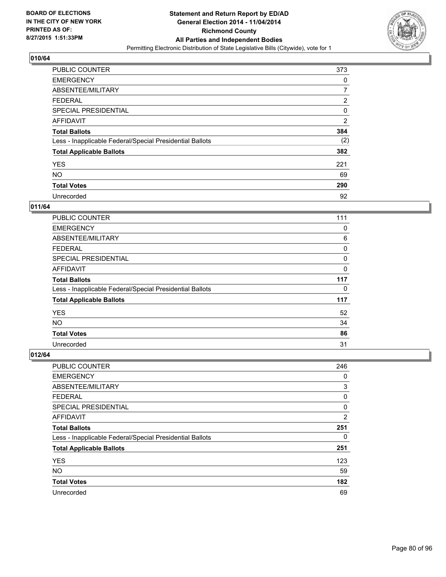

| <b>PUBLIC COUNTER</b>                                    | 373            |
|----------------------------------------------------------|----------------|
| <b>EMERGENCY</b>                                         | 0              |
| ABSENTEE/MILITARY                                        | 7              |
| <b>FEDERAL</b>                                           | $\overline{2}$ |
| SPECIAL PRESIDENTIAL                                     | 0              |
| AFFIDAVIT                                                | $\overline{2}$ |
| <b>Total Ballots</b>                                     | 384            |
| Less - Inapplicable Federal/Special Presidential Ballots | (2)            |
| <b>Total Applicable Ballots</b>                          | 382            |
| <b>YES</b>                                               | 221            |
| <b>NO</b>                                                | 69             |
| <b>Total Votes</b>                                       | 290            |
| Unrecorded                                               | 92             |

# **011/64**

| <b>PUBLIC COUNTER</b>                                    | 111 |
|----------------------------------------------------------|-----|
| <b>EMERGENCY</b>                                         | 0   |
| ABSENTEE/MILITARY                                        | 6   |
| FEDERAL                                                  | 0   |
| <b>SPECIAL PRESIDENTIAL</b>                              | 0   |
| <b>AFFIDAVIT</b>                                         | 0   |
| <b>Total Ballots</b>                                     | 117 |
| Less - Inapplicable Federal/Special Presidential Ballots | 0   |
| <b>Total Applicable Ballots</b>                          | 117 |
| <b>YES</b>                                               | 52  |
| <b>NO</b>                                                | 34  |
| <b>Total Votes</b>                                       | 86  |
| Unrecorded                                               | 31  |

| PUBLIC COUNTER                                           | 246            |
|----------------------------------------------------------|----------------|
| <b>EMERGENCY</b>                                         | 0              |
| ABSENTEE/MILITARY                                        | 3              |
| <b>FEDERAL</b>                                           | 0              |
| <b>SPECIAL PRESIDENTIAL</b>                              | 0              |
| AFFIDAVIT                                                | $\overline{2}$ |
| <b>Total Ballots</b>                                     | 251            |
| Less - Inapplicable Federal/Special Presidential Ballots | 0              |
| <b>Total Applicable Ballots</b>                          | 251            |
| <b>YES</b>                                               | 123            |
| <b>NO</b>                                                | 59             |
| <b>Total Votes</b>                                       | 182            |
| Unrecorded                                               | 69             |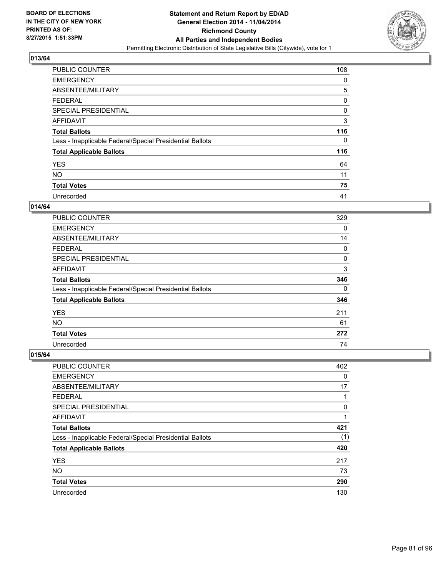

| <b>PUBLIC COUNTER</b>                                    | 108 |
|----------------------------------------------------------|-----|
| <b>EMERGENCY</b>                                         | 0   |
| ABSENTEE/MILITARY                                        | 5   |
| <b>FEDERAL</b>                                           | 0   |
| SPECIAL PRESIDENTIAL                                     | 0   |
| AFFIDAVIT                                                | 3   |
| <b>Total Ballots</b>                                     | 116 |
| Less - Inapplicable Federal/Special Presidential Ballots | 0   |
| <b>Total Applicable Ballots</b>                          | 116 |
| <b>YES</b>                                               | 64  |
| <b>NO</b>                                                | 11  |
| <b>Total Votes</b>                                       | 75  |
| Unrecorded                                               | 41  |

## **014/64**

| <b>PUBLIC COUNTER</b>                                    | 329 |
|----------------------------------------------------------|-----|
| <b>EMERGENCY</b>                                         | 0   |
| ABSENTEE/MILITARY                                        | 14  |
| <b>FEDERAL</b>                                           | 0   |
| <b>SPECIAL PRESIDENTIAL</b>                              | 0   |
| <b>AFFIDAVIT</b>                                         | 3   |
| <b>Total Ballots</b>                                     | 346 |
| Less - Inapplicable Federal/Special Presidential Ballots | 0   |
| <b>Total Applicable Ballots</b>                          | 346 |
| <b>YES</b>                                               | 211 |
| <b>NO</b>                                                | 61  |
| <b>Total Votes</b>                                       | 272 |
| Unrecorded                                               | 74  |

| PUBLIC COUNTER                                           | 402 |
|----------------------------------------------------------|-----|
| <b>EMERGENCY</b>                                         | 0   |
| ABSENTEE/MILITARY                                        | 17  |
| <b>FEDERAL</b>                                           | 1   |
| <b>SPECIAL PRESIDENTIAL</b>                              | 0   |
| AFFIDAVIT                                                | 1   |
| <b>Total Ballots</b>                                     | 421 |
| Less - Inapplicable Federal/Special Presidential Ballots | (1) |
| <b>Total Applicable Ballots</b>                          | 420 |
| <b>YES</b>                                               | 217 |
| <b>NO</b>                                                | 73  |
| <b>Total Votes</b>                                       | 290 |
| Unrecorded                                               | 130 |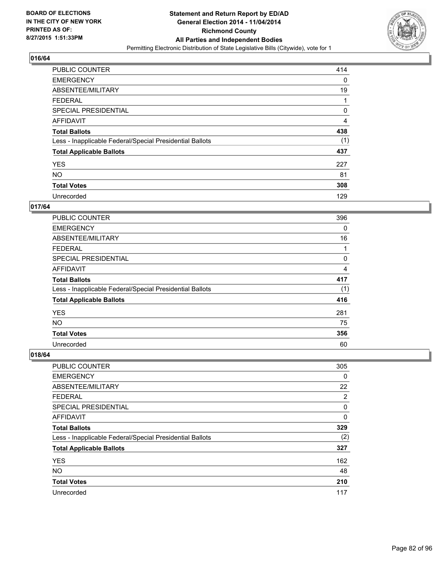

| <b>PUBLIC COUNTER</b>                                    | 414 |
|----------------------------------------------------------|-----|
| <b>EMERGENCY</b>                                         | 0   |
| ABSENTEE/MILITARY                                        | 19  |
| <b>FEDERAL</b>                                           |     |
| <b>SPECIAL PRESIDENTIAL</b>                              | 0   |
| AFFIDAVIT                                                | 4   |
| <b>Total Ballots</b>                                     | 438 |
| Less - Inapplicable Federal/Special Presidential Ballots | (1) |
| <b>Total Applicable Ballots</b>                          | 437 |
| <b>YES</b>                                               | 227 |
| <b>NO</b>                                                | 81  |
| <b>Total Votes</b>                                       | 308 |
| Unrecorded                                               | 129 |

## **017/64**

| PUBLIC COUNTER                                           | 396      |
|----------------------------------------------------------|----------|
| <b>EMERGENCY</b>                                         | $\Omega$ |
| ABSENTEE/MILITARY                                        | 16       |
| <b>FEDERAL</b>                                           |          |
| <b>SPECIAL PRESIDENTIAL</b>                              | 0        |
| <b>AFFIDAVIT</b>                                         | 4        |
| <b>Total Ballots</b>                                     | 417      |
| Less - Inapplicable Federal/Special Presidential Ballots | (1)      |
| <b>Total Applicable Ballots</b>                          | 416      |
| <b>YES</b>                                               | 281      |
| <b>NO</b>                                                | 75       |
| <b>Total Votes</b>                                       | 356      |
| Unrecorded                                               | 60       |

| PUBLIC COUNTER                                           | 305 |
|----------------------------------------------------------|-----|
| <b>EMERGENCY</b>                                         | 0   |
| ABSENTEE/MILITARY                                        | 22  |
| <b>FEDERAL</b>                                           | 2   |
| <b>SPECIAL PRESIDENTIAL</b>                              | 0   |
| AFFIDAVIT                                                | 0   |
| <b>Total Ballots</b>                                     | 329 |
| Less - Inapplicable Federal/Special Presidential Ballots | (2) |
| <b>Total Applicable Ballots</b>                          | 327 |
| <b>YES</b>                                               | 162 |
| <b>NO</b>                                                | 48  |
| <b>Total Votes</b>                                       | 210 |
| Unrecorded                                               | 117 |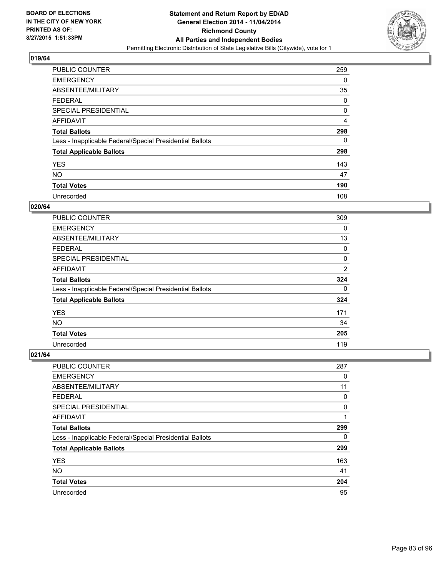

| <b>PUBLIC COUNTER</b>                                    | 259 |
|----------------------------------------------------------|-----|
| <b>EMERGENCY</b>                                         | 0   |
| ABSENTEE/MILITARY                                        | 35  |
| <b>FEDERAL</b>                                           | 0   |
| <b>SPECIAL PRESIDENTIAL</b>                              | 0   |
| AFFIDAVIT                                                | 4   |
| <b>Total Ballots</b>                                     | 298 |
| Less - Inapplicable Federal/Special Presidential Ballots | 0   |
| <b>Total Applicable Ballots</b>                          | 298 |
| <b>YES</b>                                               | 143 |
| <b>NO</b>                                                | 47  |
| <b>Total Votes</b>                                       | 190 |
| Unrecorded                                               | 108 |

## **020/64**

| PUBLIC COUNTER                                           | 309            |
|----------------------------------------------------------|----------------|
| <b>EMERGENCY</b>                                         | $\Omega$       |
| ABSENTEE/MILITARY                                        | 13             |
| FEDERAL                                                  | 0              |
| <b>SPECIAL PRESIDENTIAL</b>                              | 0              |
| <b>AFFIDAVIT</b>                                         | $\overline{2}$ |
| <b>Total Ballots</b>                                     | 324            |
| Less - Inapplicable Federal/Special Presidential Ballots | 0              |
| <b>Total Applicable Ballots</b>                          | 324            |
| <b>YES</b>                                               | 171            |
| <b>NO</b>                                                | 34             |
| <b>Total Votes</b>                                       | 205            |
| Unrecorded                                               | 119            |

| PUBLIC COUNTER                                           | 287 |
|----------------------------------------------------------|-----|
| <b>EMERGENCY</b>                                         | 0   |
| ABSENTEE/MILITARY                                        | 11  |
| <b>FEDERAL</b>                                           | 0   |
| <b>SPECIAL PRESIDENTIAL</b>                              | 0   |
| AFFIDAVIT                                                | 1   |
| <b>Total Ballots</b>                                     | 299 |
| Less - Inapplicable Federal/Special Presidential Ballots | 0   |
| <b>Total Applicable Ballots</b>                          | 299 |
| <b>YES</b>                                               | 163 |
| <b>NO</b>                                                | 41  |
| <b>Total Votes</b>                                       | 204 |
| Unrecorded                                               | 95  |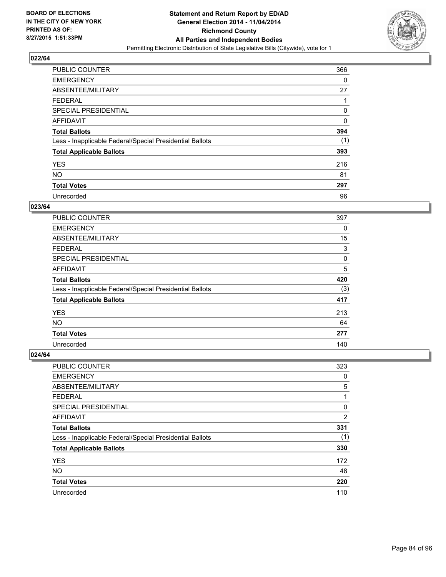

| <b>PUBLIC COUNTER</b>                                    | 366 |
|----------------------------------------------------------|-----|
| <b>EMERGENCY</b>                                         | 0   |
| ABSENTEE/MILITARY                                        | 27  |
| <b>FEDERAL</b>                                           |     |
| SPECIAL PRESIDENTIAL                                     | 0   |
| AFFIDAVIT                                                | 0   |
| <b>Total Ballots</b>                                     | 394 |
| Less - Inapplicable Federal/Special Presidential Ballots | (1) |
| <b>Total Applicable Ballots</b>                          | 393 |
| <b>YES</b>                                               | 216 |
| <b>NO</b>                                                | 81  |
| <b>Total Votes</b>                                       | 297 |
| Unrecorded                                               | 96  |

# **023/64**

| PUBLIC COUNTER                                           | 397 |
|----------------------------------------------------------|-----|
| <b>EMERGENCY</b>                                         | 0   |
| ABSENTEE/MILITARY                                        | 15  |
| <b>FEDERAL</b>                                           | 3   |
| <b>SPECIAL PRESIDENTIAL</b>                              | 0   |
| <b>AFFIDAVIT</b>                                         | 5   |
| <b>Total Ballots</b>                                     | 420 |
| Less - Inapplicable Federal/Special Presidential Ballots | (3) |
| <b>Total Applicable Ballots</b>                          | 417 |
| <b>YES</b>                                               | 213 |
| <b>NO</b>                                                | 64  |
| <b>Total Votes</b>                                       | 277 |
| Unrecorded                                               | 140 |

| <b>PUBLIC COUNTER</b>                                    | 323 |
|----------------------------------------------------------|-----|
| <b>EMERGENCY</b>                                         | 0   |
| ABSENTEE/MILITARY                                        | 5   |
| <b>FEDERAL</b>                                           | 1   |
| SPECIAL PRESIDENTIAL                                     | 0   |
| AFFIDAVIT                                                | 2   |
| <b>Total Ballots</b>                                     | 331 |
| Less - Inapplicable Federal/Special Presidential Ballots | (1) |
| <b>Total Applicable Ballots</b>                          | 330 |
| <b>YES</b>                                               | 172 |
| <b>NO</b>                                                | 48  |
| <b>Total Votes</b>                                       | 220 |
| Unrecorded                                               | 110 |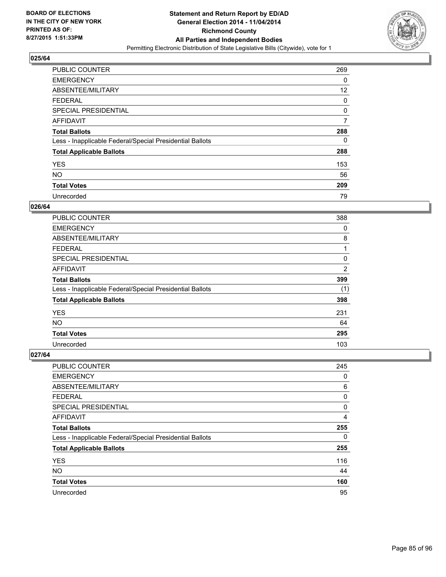

| <b>PUBLIC COUNTER</b>                                    | 269 |
|----------------------------------------------------------|-----|
| <b>EMERGENCY</b>                                         | 0   |
| ABSENTEE/MILITARY                                        | 12  |
| <b>FEDERAL</b>                                           | 0   |
| SPECIAL PRESIDENTIAL                                     | 0   |
| AFFIDAVIT                                                | 7   |
| <b>Total Ballots</b>                                     | 288 |
| Less - Inapplicable Federal/Special Presidential Ballots | 0   |
| <b>Total Applicable Ballots</b>                          | 288 |
| <b>YES</b>                                               | 153 |
| <b>NO</b>                                                | 56  |
| <b>Total Votes</b>                                       | 209 |
| Unrecorded                                               | 79  |

#### **026/64**

| PUBLIC COUNTER                                           | 388            |
|----------------------------------------------------------|----------------|
| <b>EMERGENCY</b>                                         | 0              |
| ABSENTEE/MILITARY                                        | 8              |
| FEDERAL                                                  | 1              |
| <b>SPECIAL PRESIDENTIAL</b>                              | 0              |
| <b>AFFIDAVIT</b>                                         | $\overline{2}$ |
| <b>Total Ballots</b>                                     | 399            |
| Less - Inapplicable Federal/Special Presidential Ballots | (1)            |
| <b>Total Applicable Ballots</b>                          | 398            |
| <b>YES</b>                                               | 231            |
| <b>NO</b>                                                | 64             |
| <b>Total Votes</b>                                       | 295            |
| Unrecorded                                               | 103            |

| PUBLIC COUNTER                                           | 245 |
|----------------------------------------------------------|-----|
| <b>EMERGENCY</b>                                         | 0   |
| ABSENTEE/MILITARY                                        | 6   |
| <b>FEDERAL</b>                                           | 0   |
| <b>SPECIAL PRESIDENTIAL</b>                              | 0   |
| AFFIDAVIT                                                | 4   |
| <b>Total Ballots</b>                                     | 255 |
| Less - Inapplicable Federal/Special Presidential Ballots | 0   |
| <b>Total Applicable Ballots</b>                          | 255 |
| <b>YES</b>                                               | 116 |
| <b>NO</b>                                                | 44  |
| <b>Total Votes</b>                                       | 160 |
| Unrecorded                                               | 95  |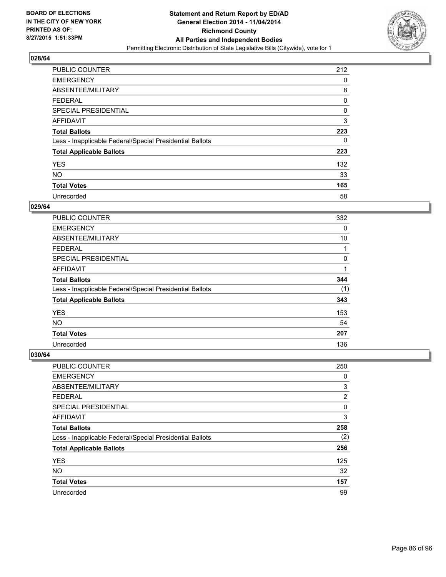

| <b>PUBLIC COUNTER</b>                                    | 212 |
|----------------------------------------------------------|-----|
| <b>EMERGENCY</b>                                         | 0   |
| ABSENTEE/MILITARY                                        | 8   |
| <b>FEDERAL</b>                                           | 0   |
| <b>SPECIAL PRESIDENTIAL</b>                              | 0   |
| AFFIDAVIT                                                | 3   |
| <b>Total Ballots</b>                                     | 223 |
| Less - Inapplicable Federal/Special Presidential Ballots | 0   |
| <b>Total Applicable Ballots</b>                          | 223 |
| <b>YES</b>                                               | 132 |
| <b>NO</b>                                                | 33  |
| <b>Total Votes</b>                                       | 165 |
| Unrecorded                                               | 58  |

## **029/64**

| PUBLIC COUNTER                                           | 332 |
|----------------------------------------------------------|-----|
| <b>EMERGENCY</b>                                         | 0   |
| ABSENTEE/MILITARY                                        | 10  |
| FEDERAL                                                  |     |
| <b>SPECIAL PRESIDENTIAL</b>                              | 0   |
| <b>AFFIDAVIT</b>                                         | 1   |
| <b>Total Ballots</b>                                     | 344 |
| Less - Inapplicable Federal/Special Presidential Ballots | (1) |
| <b>Total Applicable Ballots</b>                          | 343 |
| <b>YES</b>                                               | 153 |
| NO.                                                      | 54  |
| <b>Total Votes</b>                                       | 207 |
| Unrecorded                                               | 136 |

| PUBLIC COUNTER                                           | 250            |
|----------------------------------------------------------|----------------|
| <b>EMERGENCY</b>                                         | 0              |
| ABSENTEE/MILITARY                                        | 3              |
| <b>FEDERAL</b>                                           | $\overline{2}$ |
| <b>SPECIAL PRESIDENTIAL</b>                              | 0              |
| AFFIDAVIT                                                | 3              |
| <b>Total Ballots</b>                                     | 258            |
| Less - Inapplicable Federal/Special Presidential Ballots | (2)            |
| <b>Total Applicable Ballots</b>                          | 256            |
| <b>YES</b>                                               | 125            |
| <b>NO</b>                                                | 32             |
| <b>Total Votes</b>                                       | 157            |
| Unrecorded                                               | 99             |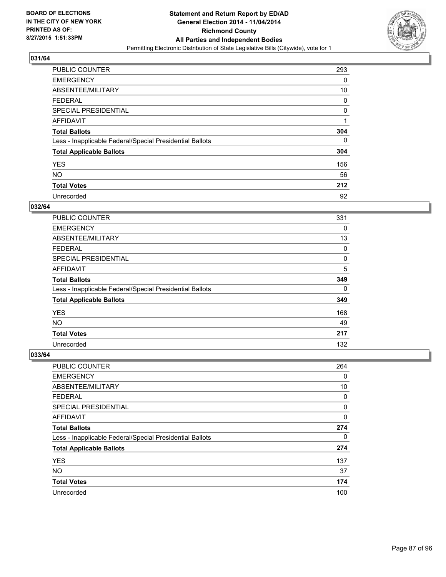

| <b>PUBLIC COUNTER</b>                                    | 293 |
|----------------------------------------------------------|-----|
| <b>EMERGENCY</b>                                         | 0   |
| ABSENTEE/MILITARY                                        | 10  |
| <b>FEDERAL</b>                                           | 0   |
| <b>SPECIAL PRESIDENTIAL</b>                              | 0   |
| AFFIDAVIT                                                | 1   |
| <b>Total Ballots</b>                                     | 304 |
| Less - Inapplicable Federal/Special Presidential Ballots | 0   |
| <b>Total Applicable Ballots</b>                          | 304 |
| <b>YES</b>                                               | 156 |
| <b>NO</b>                                                | 56  |
| <b>Total Votes</b>                                       | 212 |
| Unrecorded                                               | 92  |

## **032/64**

| PUBLIC COUNTER                                           | 331 |
|----------------------------------------------------------|-----|
| <b>EMERGENCY</b>                                         | 0   |
| ABSENTEE/MILITARY                                        | 13  |
| FEDERAL                                                  | 0   |
| <b>SPECIAL PRESIDENTIAL</b>                              | 0   |
| <b>AFFIDAVIT</b>                                         | 5   |
| <b>Total Ballots</b>                                     | 349 |
| Less - Inapplicable Federal/Special Presidential Ballots | 0   |
| <b>Total Applicable Ballots</b>                          | 349 |
| <b>YES</b>                                               | 168 |
| <b>NO</b>                                                | 49  |
| <b>Total Votes</b>                                       | 217 |
| Unrecorded                                               | 132 |

| PUBLIC COUNTER                                           | 264 |
|----------------------------------------------------------|-----|
| <b>EMERGENCY</b>                                         | 0   |
| ABSENTEE/MILITARY                                        | 10  |
| <b>FEDERAL</b>                                           | 0   |
| <b>SPECIAL PRESIDENTIAL</b>                              | 0   |
| AFFIDAVIT                                                | 0   |
| <b>Total Ballots</b>                                     | 274 |
| Less - Inapplicable Federal/Special Presidential Ballots | 0   |
| <b>Total Applicable Ballots</b>                          | 274 |
| <b>YES</b>                                               | 137 |
| <b>NO</b>                                                | 37  |
| <b>Total Votes</b>                                       | 174 |
| Unrecorded                                               | 100 |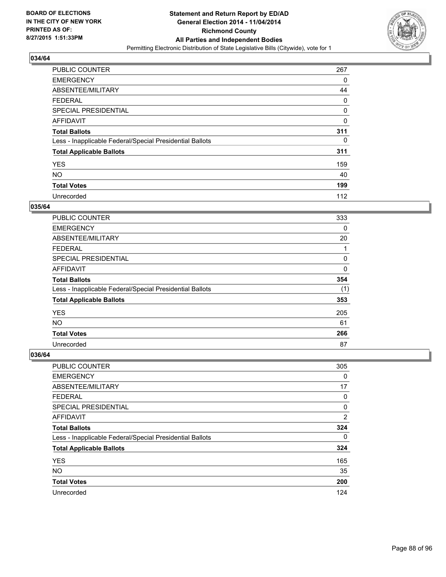

| <b>PUBLIC COUNTER</b>                                    | 267 |
|----------------------------------------------------------|-----|
| <b>EMERGENCY</b>                                         | 0   |
| ABSENTEE/MILITARY                                        | 44  |
| <b>FEDERAL</b>                                           | 0   |
| <b>SPECIAL PRESIDENTIAL</b>                              | 0   |
| <b>AFFIDAVIT</b>                                         | 0   |
| <b>Total Ballots</b>                                     | 311 |
| Less - Inapplicable Federal/Special Presidential Ballots | 0   |
| <b>Total Applicable Ballots</b>                          | 311 |
| <b>YES</b>                                               | 159 |
| <b>NO</b>                                                | 40  |
| <b>Total Votes</b>                                       | 199 |
| Unrecorded                                               | 112 |

## **035/64**

| PUBLIC COUNTER                                           | 333 |
|----------------------------------------------------------|-----|
| <b>EMERGENCY</b>                                         | 0   |
| ABSENTEE/MILITARY                                        | 20  |
| FEDERAL                                                  |     |
| <b>SPECIAL PRESIDENTIAL</b>                              | 0   |
| <b>AFFIDAVIT</b>                                         | 0   |
| <b>Total Ballots</b>                                     | 354 |
| Less - Inapplicable Federal/Special Presidential Ballots | (1) |
| <b>Total Applicable Ballots</b>                          | 353 |
| <b>YES</b>                                               | 205 |
| <b>NO</b>                                                | 61  |
| <b>Total Votes</b>                                       | 266 |
| Unrecorded                                               | 87  |

| PUBLIC COUNTER                                           | 305            |
|----------------------------------------------------------|----------------|
| <b>EMERGENCY</b>                                         | 0              |
| ABSENTEE/MILITARY                                        | 17             |
| <b>FEDERAL</b>                                           | 0              |
| <b>SPECIAL PRESIDENTIAL</b>                              | 0              |
| AFFIDAVIT                                                | $\overline{2}$ |
| <b>Total Ballots</b>                                     | 324            |
| Less - Inapplicable Federal/Special Presidential Ballots | 0              |
| <b>Total Applicable Ballots</b>                          | 324            |
| <b>YES</b>                                               | 165            |
| <b>NO</b>                                                | 35             |
| <b>Total Votes</b>                                       | 200            |
| Unrecorded                                               | 124            |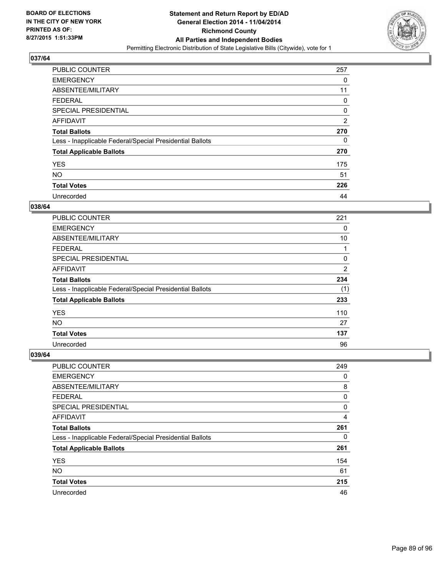

| <b>PUBLIC COUNTER</b>                                    | 257            |
|----------------------------------------------------------|----------------|
| <b>EMERGENCY</b>                                         | 0              |
| ABSENTEE/MILITARY                                        | 11             |
| <b>FEDERAL</b>                                           | 0              |
| SPECIAL PRESIDENTIAL                                     | 0              |
| AFFIDAVIT                                                | $\overline{2}$ |
| <b>Total Ballots</b>                                     | 270            |
| Less - Inapplicable Federal/Special Presidential Ballots | 0              |
| <b>Total Applicable Ballots</b>                          | 270            |
| <b>YES</b>                                               | 175            |
| <b>NO</b>                                                | 51             |
| <b>Total Votes</b>                                       | 226            |
| Unrecorded                                               | 44             |

# **038/64**

| <b>PUBLIC COUNTER</b>                                    | 221            |
|----------------------------------------------------------|----------------|
| <b>EMERGENCY</b>                                         | 0              |
| ABSENTEE/MILITARY                                        | 10             |
| <b>FEDERAL</b>                                           |                |
| <b>SPECIAL PRESIDENTIAL</b>                              | 0              |
| <b>AFFIDAVIT</b>                                         | $\overline{2}$ |
| <b>Total Ballots</b>                                     | 234            |
| Less - Inapplicable Federal/Special Presidential Ballots | (1)            |
| <b>Total Applicable Ballots</b>                          | 233            |
| <b>YES</b>                                               | 110            |
| <b>NO</b>                                                | 27             |
| <b>Total Votes</b>                                       | 137            |
| Unrecorded                                               | 96             |

| PUBLIC COUNTER                                           | 249 |
|----------------------------------------------------------|-----|
| <b>EMERGENCY</b>                                         | 0   |
| ABSENTEE/MILITARY                                        | 8   |
| FEDERAL                                                  | 0   |
| <b>SPECIAL PRESIDENTIAL</b>                              | 0   |
| AFFIDAVIT                                                | 4   |
| <b>Total Ballots</b>                                     | 261 |
| Less - Inapplicable Federal/Special Presidential Ballots | 0   |
| <b>Total Applicable Ballots</b>                          | 261 |
| <b>YES</b>                                               | 154 |
| <b>NO</b>                                                | 61  |
| <b>Total Votes</b>                                       | 215 |
| Unrecorded                                               | 46  |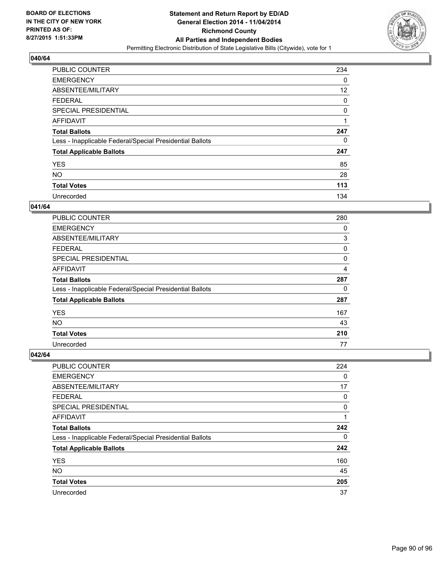

| <b>PUBLIC COUNTER</b>                                    | 234 |
|----------------------------------------------------------|-----|
| <b>EMERGENCY</b>                                         | 0   |
| ABSENTEE/MILITARY                                        | 12  |
| <b>FEDERAL</b>                                           | 0   |
| <b>SPECIAL PRESIDENTIAL</b>                              | 0   |
| AFFIDAVIT                                                | 4   |
| <b>Total Ballots</b>                                     | 247 |
| Less - Inapplicable Federal/Special Presidential Ballots | 0   |
| <b>Total Applicable Ballots</b>                          | 247 |
| <b>YES</b>                                               | 85  |
| <b>NO</b>                                                | 28  |
| <b>Total Votes</b>                                       | 113 |
| Unrecorded                                               | 134 |

## **041/64**

| PUBLIC COUNTER                                           | 280 |
|----------------------------------------------------------|-----|
| <b>EMERGENCY</b>                                         | 0   |
| ABSENTEE/MILITARY                                        | 3   |
| FEDERAL                                                  | 0   |
| <b>SPECIAL PRESIDENTIAL</b>                              | 0   |
| <b>AFFIDAVIT</b>                                         | 4   |
| <b>Total Ballots</b>                                     | 287 |
| Less - Inapplicable Federal/Special Presidential Ballots | 0   |
| <b>Total Applicable Ballots</b>                          | 287 |
| <b>YES</b>                                               | 167 |
| <b>NO</b>                                                | 43  |
| <b>Total Votes</b>                                       | 210 |
| Unrecorded                                               | 77  |

| PUBLIC COUNTER                                           | 224 |
|----------------------------------------------------------|-----|
| <b>EMERGENCY</b>                                         | 0   |
| ABSENTEE/MILITARY                                        | 17  |
| <b>FEDERAL</b>                                           | 0   |
| <b>SPECIAL PRESIDENTIAL</b>                              | 0   |
| AFFIDAVIT                                                | 1   |
| <b>Total Ballots</b>                                     | 242 |
| Less - Inapplicable Federal/Special Presidential Ballots | 0   |
| <b>Total Applicable Ballots</b>                          | 242 |
| <b>YES</b>                                               | 160 |
| <b>NO</b>                                                | 45  |
| <b>Total Votes</b>                                       | 205 |
| Unrecorded                                               | 37  |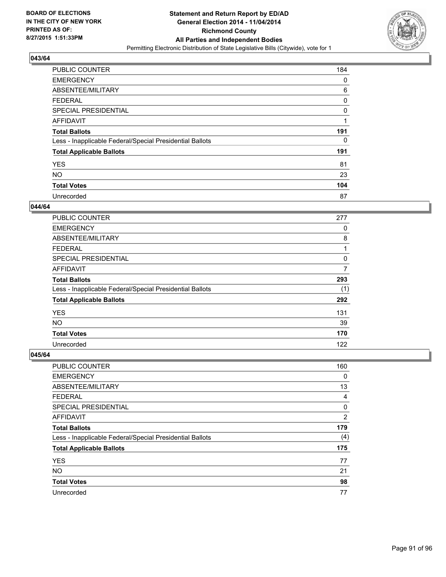

| PUBLIC COUNTER                                           | 184 |
|----------------------------------------------------------|-----|
| <b>EMERGENCY</b>                                         | 0   |
| ABSENTEE/MILITARY                                        | 6   |
| <b>FEDERAL</b>                                           | 0   |
| SPECIAL PRESIDENTIAL                                     | 0   |
| AFFIDAVIT                                                | 1   |
| <b>Total Ballots</b>                                     | 191 |
| Less - Inapplicable Federal/Special Presidential Ballots | 0   |
| <b>Total Applicable Ballots</b>                          | 191 |
| <b>YES</b>                                               | 81  |
| <b>NO</b>                                                | 23  |
| <b>Total Votes</b>                                       | 104 |
| Unrecorded                                               | 87  |

## **044/64**

| PUBLIC COUNTER                                           | 277 |
|----------------------------------------------------------|-----|
| <b>EMERGENCY</b>                                         | 0   |
| ABSENTEE/MILITARY                                        | 8   |
| <b>FEDERAL</b>                                           | 1   |
| <b>SPECIAL PRESIDENTIAL</b>                              | 0   |
| <b>AFFIDAVIT</b>                                         | 7   |
| <b>Total Ballots</b>                                     | 293 |
| Less - Inapplicable Federal/Special Presidential Ballots | (1) |
| <b>Total Applicable Ballots</b>                          | 292 |
| <b>YES</b>                                               | 131 |
| <b>NO</b>                                                | 39  |
| <b>Total Votes</b>                                       | 170 |
| Unrecorded                                               | 122 |

| PUBLIC COUNTER                                           | 160 |
|----------------------------------------------------------|-----|
| <b>EMERGENCY</b>                                         | 0   |
| ABSENTEE/MILITARY                                        | 13  |
| <b>FEDERAL</b>                                           | 4   |
| <b>SPECIAL PRESIDENTIAL</b>                              | 0   |
| AFFIDAVIT                                                | 2   |
| <b>Total Ballots</b>                                     | 179 |
| Less - Inapplicable Federal/Special Presidential Ballots | (4) |
| <b>Total Applicable Ballots</b>                          | 175 |
| <b>YES</b>                                               | 77  |
| <b>NO</b>                                                | 21  |
| <b>Total Votes</b>                                       | 98  |
| Unrecorded                                               | 77  |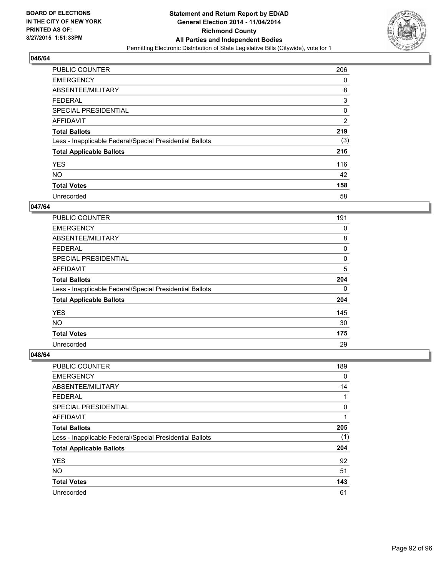

| <b>PUBLIC COUNTER</b>                                    | 206 |
|----------------------------------------------------------|-----|
| <b>EMERGENCY</b>                                         | 0   |
| ABSENTEE/MILITARY                                        | 8   |
| <b>FEDERAL</b>                                           | 3   |
| <b>SPECIAL PRESIDENTIAL</b>                              | 0   |
| AFFIDAVIT                                                | 2   |
| <b>Total Ballots</b>                                     | 219 |
| Less - Inapplicable Federal/Special Presidential Ballots | (3) |
| <b>Total Applicable Ballots</b>                          | 216 |
| <b>YES</b>                                               | 116 |
| <b>NO</b>                                                | 42  |
| <b>Total Votes</b>                                       | 158 |
| Unrecorded                                               | 58  |

#### **047/64**

| PUBLIC COUNTER                                           | 191 |
|----------------------------------------------------------|-----|
| <b>EMERGENCY</b>                                         | 0   |
| ABSENTEE/MILITARY                                        | 8   |
| FEDERAL                                                  | 0   |
| <b>SPECIAL PRESIDENTIAL</b>                              | 0   |
| <b>AFFIDAVIT</b>                                         | 5   |
| <b>Total Ballots</b>                                     | 204 |
| Less - Inapplicable Federal/Special Presidential Ballots | 0   |
| <b>Total Applicable Ballots</b>                          | 204 |
| <b>YES</b>                                               | 145 |
| <b>NO</b>                                                | 30  |
| <b>Total Votes</b>                                       | 175 |
| Unrecorded                                               | 29  |

| PUBLIC COUNTER                                           | 189 |
|----------------------------------------------------------|-----|
| <b>EMERGENCY</b>                                         | 0   |
| ABSENTEE/MILITARY                                        | 14  |
| FEDERAL                                                  |     |
| <b>SPECIAL PRESIDENTIAL</b>                              | 0   |
| AFFIDAVIT                                                |     |
| <b>Total Ballots</b>                                     | 205 |
| Less - Inapplicable Federal/Special Presidential Ballots | (1) |
| <b>Total Applicable Ballots</b>                          | 204 |
| <b>YES</b>                                               | 92  |
| <b>NO</b>                                                | 51  |
| <b>Total Votes</b>                                       | 143 |
| Unrecorded                                               | 61  |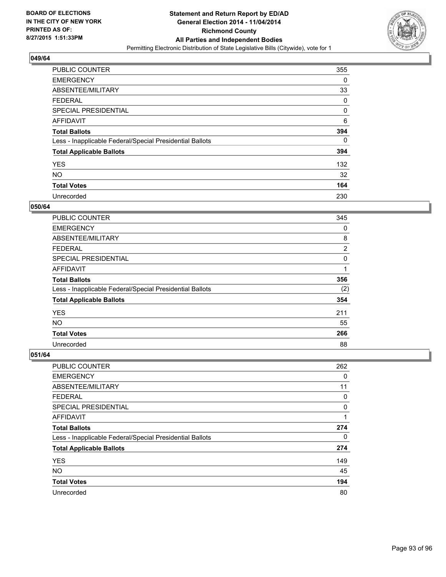

| <b>PUBLIC COUNTER</b>                                    | 355 |
|----------------------------------------------------------|-----|
| <b>EMERGENCY</b>                                         | 0   |
| ABSENTEE/MILITARY                                        | 33  |
| <b>FEDERAL</b>                                           | 0   |
| SPECIAL PRESIDENTIAL                                     | 0   |
| AFFIDAVIT                                                | 6   |
| <b>Total Ballots</b>                                     | 394 |
| Less - Inapplicable Federal/Special Presidential Ballots | 0   |
| <b>Total Applicable Ballots</b>                          | 394 |
| <b>YES</b>                                               | 132 |
| <b>NO</b>                                                | 32  |
| <b>Total Votes</b>                                       | 164 |
| Unrecorded                                               | 230 |

## **050/64**

| <b>PUBLIC COUNTER</b>                                    | 345            |
|----------------------------------------------------------|----------------|
| <b>EMERGENCY</b>                                         | 0              |
| ABSENTEE/MILITARY                                        | 8              |
| FEDERAL                                                  | $\overline{2}$ |
| <b>SPECIAL PRESIDENTIAL</b>                              | 0              |
| <b>AFFIDAVIT</b>                                         | 1              |
| <b>Total Ballots</b>                                     | 356            |
| Less - Inapplicable Federal/Special Presidential Ballots | (2)            |
| <b>Total Applicable Ballots</b>                          | 354            |
| <b>YES</b>                                               | 211            |
| <b>NO</b>                                                | 55             |
| <b>Total Votes</b>                                       | 266            |
| Unrecorded                                               | 88             |

| <b>PUBLIC COUNTER</b>                                    | 262 |
|----------------------------------------------------------|-----|
| <b>EMERGENCY</b>                                         | 0   |
| ABSENTEE/MILITARY                                        | 11  |
| <b>FEDERAL</b>                                           | 0   |
| <b>SPECIAL PRESIDENTIAL</b>                              | 0   |
| AFFIDAVIT                                                | 1   |
| <b>Total Ballots</b>                                     | 274 |
| Less - Inapplicable Federal/Special Presidential Ballots | 0   |
| <b>Total Applicable Ballots</b>                          | 274 |
| <b>YES</b>                                               | 149 |
| <b>NO</b>                                                | 45  |
| <b>Total Votes</b>                                       | 194 |
| Unrecorded                                               | 80  |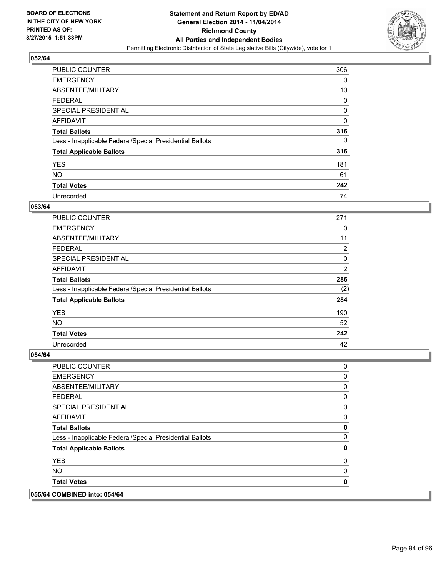

| <b>PUBLIC COUNTER</b>                                    | 306 |
|----------------------------------------------------------|-----|
| <b>EMERGENCY</b>                                         | 0   |
| ABSENTEE/MILITARY                                        | 10  |
| <b>FEDERAL</b>                                           | 0   |
| <b>SPECIAL PRESIDENTIAL</b>                              | 0   |
| AFFIDAVIT                                                | 0   |
| <b>Total Ballots</b>                                     | 316 |
| Less - Inapplicable Federal/Special Presidential Ballots | 0   |
| <b>Total Applicable Ballots</b>                          | 316 |
| <b>YES</b>                                               | 181 |
| <b>NO</b>                                                | 61  |
| <b>Total Votes</b>                                       | 242 |
| Unrecorded                                               | 74  |

#### **053/64**

| <b>PUBLIC COUNTER</b>                                    | 271            |
|----------------------------------------------------------|----------------|
| <b>EMERGENCY</b>                                         | 0              |
| ABSENTEE/MILITARY                                        | 11             |
| FEDERAL                                                  | 2              |
| <b>SPECIAL PRESIDENTIAL</b>                              | 0              |
| <b>AFFIDAVIT</b>                                         | $\overline{2}$ |
| <b>Total Ballots</b>                                     | 286            |
| Less - Inapplicable Federal/Special Presidential Ballots | (2)            |
| <b>Total Applicable Ballots</b>                          | 284            |
| <b>YES</b>                                               | 190            |
| <b>NO</b>                                                | 52             |
| <b>Total Votes</b>                                       | 242            |
| Unrecorded                                               | 42             |

| 055/64 COMBINED into: 054/64                             |              |
|----------------------------------------------------------|--------------|
| <b>Total Votes</b>                                       | 0            |
| <b>NO</b>                                                | 0            |
| <b>YES</b>                                               | 0            |
| <b>Total Applicable Ballots</b>                          | 0            |
| Less - Inapplicable Federal/Special Presidential Ballots | $\mathbf{0}$ |
| <b>Total Ballots</b>                                     | $\mathbf 0$  |
| AFFIDAVIT                                                | 0            |
| <b>SPECIAL PRESIDENTIAL</b>                              | 0            |
| <b>FEDERAL</b>                                           | 0            |
| ABSENTEE/MILITARY                                        | $\mathbf 0$  |
| <b>EMERGENCY</b>                                         | 0            |
| PUBLIC COUNTER                                           | 0            |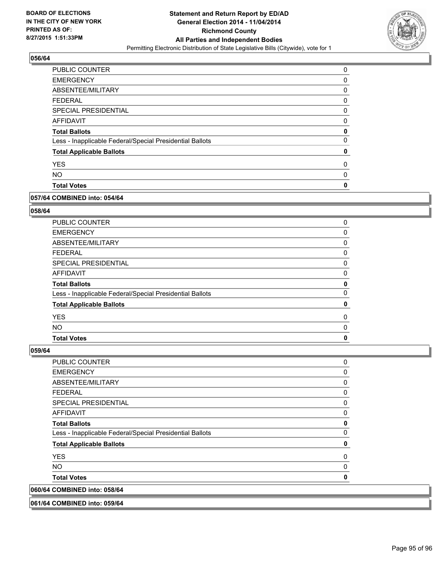

| <b>PUBLIC COUNTER</b>                                    | 0 |
|----------------------------------------------------------|---|
| <b>EMERGENCY</b>                                         | 0 |
| ABSENTEE/MILITARY                                        | 0 |
| <b>FEDERAL</b>                                           | 0 |
| <b>SPECIAL PRESIDENTIAL</b>                              | 0 |
| AFFIDAVIT                                                | 0 |
| <b>Total Ballots</b>                                     | 0 |
| Less - Inapplicable Federal/Special Presidential Ballots | 0 |
| <b>Total Applicable Ballots</b>                          | 0 |
| <b>YES</b>                                               | 0 |
| <b>NO</b>                                                | 0 |
| <b>Total Votes</b>                                       | 0 |

#### **057/64 COMBINED into: 054/64**

## **058/64**

| <b>PUBLIC COUNTER</b>                                    | 0 |
|----------------------------------------------------------|---|
| <b>EMERGENCY</b>                                         | 0 |
| ABSENTEE/MILITARY                                        | 0 |
| <b>FEDERAL</b>                                           | 0 |
| <b>SPECIAL PRESIDENTIAL</b>                              | 0 |
| <b>AFFIDAVIT</b>                                         | 0 |
| <b>Total Ballots</b>                                     | 0 |
| Less - Inapplicable Federal/Special Presidential Ballots | 0 |
| <b>Total Applicable Ballots</b>                          | 0 |
| <b>YES</b>                                               | 0 |
| NO.                                                      | 0 |
| <b>Total Votes</b>                                       | 0 |

**059/64** 

| 061/64 COMBINED into: 059/64                             |          |
|----------------------------------------------------------|----------|
| 060/64 COMBINED into: 058/64                             |          |
| <b>Total Votes</b>                                       | 0        |
| NO.                                                      | $\Omega$ |
| <b>YES</b>                                               | 0        |
| <b>Total Applicable Ballots</b>                          | 0        |
| Less - Inapplicable Federal/Special Presidential Ballots | 0        |
| <b>Total Ballots</b>                                     | 0        |
| <b>AFFIDAVIT</b>                                         | 0        |
| <b>SPECIAL PRESIDENTIAL</b>                              | 0        |
| <b>FEDERAL</b>                                           | 0        |
| ABSENTEE/MILITARY                                        | 0        |
| <b>EMERGENCY</b>                                         | 0        |
| <b>PUBLIC COUNTER</b>                                    | 0        |